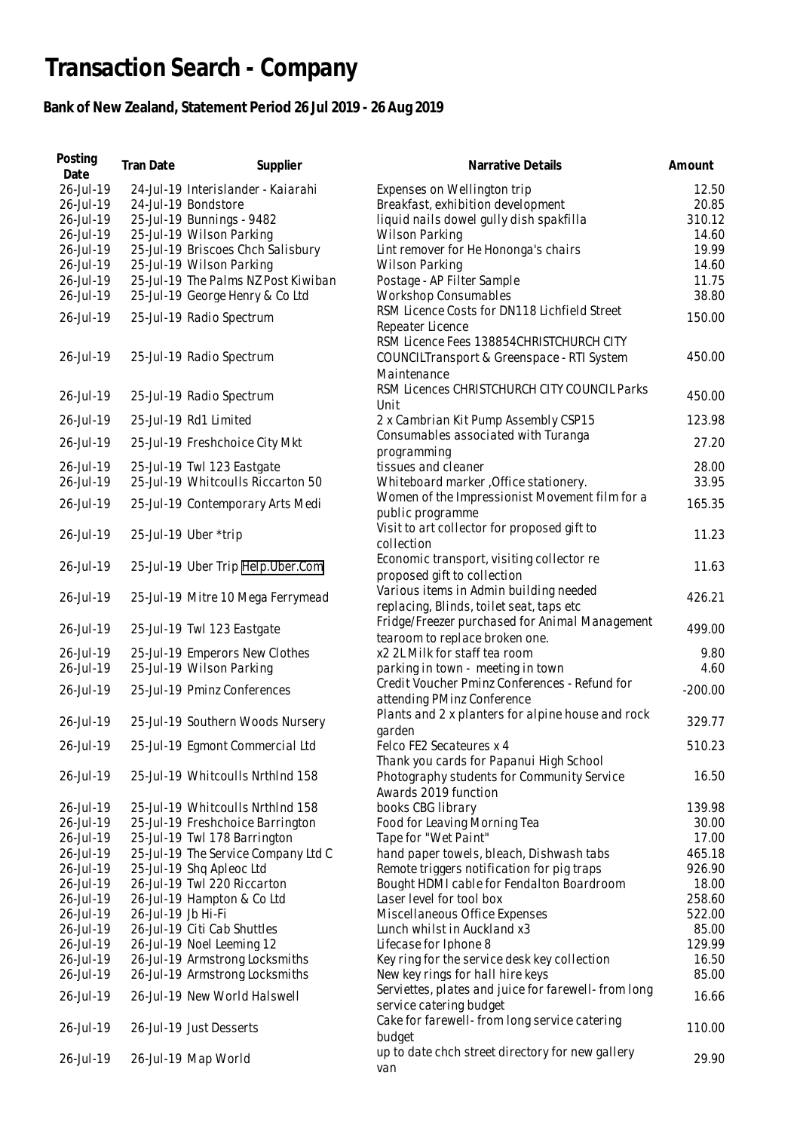## **Transaction Search - Company**

## **Bank of New Zealand, Statement Period 26 Jul 2019 - 26 Aug 2019**

| Posting<br>Date | Tran Date          | Supplier                            | Narrative Details                                    | Amount    |
|-----------------|--------------------|-------------------------------------|------------------------------------------------------|-----------|
| 26-Jul-19       |                    | 24-Jul-19 Interislander - Kaiarahi  | Expenses on Wellington trip                          | 12.50     |
| 26-Jul-19       |                    | 24-Jul-19 Bondstore                 | Breakfast, exhibition development                    | 20.85     |
| 26-Jul-19       |                    | 25-Jul-19 Bunnings - 9482           | liquid nails dowel gully dish spakfilla              | 310.12    |
| 26-Jul-19       |                    | 25-Jul-19 Wilson Parking            | Wilson Parking                                       | 14.60     |
| 26-Jul-19       |                    | 25-Jul-19 Briscoes Chch Salisbury   | Lint remover for He Hononga's chairs                 | 19.99     |
| 26-Jul-19       |                    | 25-Jul-19 Wilson Parking            | Wilson Parking                                       | 14.60     |
|                 |                    | 25-Jul-19 The Palms NZ Post Kiwiban | Postage - AP Filter Sample                           | 11.75     |
| 26-Jul-19       |                    |                                     |                                                      |           |
| 26-Jul-19       |                    | 25-Jul-19 George Henry & Co Ltd     | Workshop Consumables                                 | 38.80     |
| 26-Jul-19       |                    | 25-Jul-19 Radio Spectrum            | RSM Licence Costs for DN118 Lichfield Street         | 150.00    |
|                 |                    |                                     | Repeater Licence                                     |           |
|                 |                    |                                     | RSM Licence Fees 138854CHRISTCHURCH CITY             |           |
| 26-Jul-19       |                    | 25-Jul-19 Radio Spectrum            | COUNCILTransport & Greenspace - RTI System           | 450.00    |
|                 |                    |                                     | Maintenance                                          |           |
| 26-Jul-19       |                    | 25-Jul-19 Radio Spectrum            | RSM Licences CHRISTCHURCH CITY COUNCIL Parks         | 450.00    |
|                 |                    |                                     | Unit                                                 |           |
| 26-Jul-19       |                    | 25-Jul-19 Rd1 Limited               | 2 x Cambrian Kit Pump Assembly CSP15                 | 123.98    |
|                 |                    |                                     | Consumables associated with Turanga                  |           |
| 26-Jul-19       |                    | 25-Jul-19 Freshchoice City Mkt      | programming                                          | 27.20     |
| 26-Jul-19       |                    | 25-Jul-19 Twl 123 Eastgate          | tissues and cleaner                                  | 28.00     |
| 26-Jul-19       |                    | 25-Jul-19 Whitcoulls Riccarton 50   | Whiteboard marker, Office stationery.                | 33.95     |
|                 |                    |                                     | Women of the Impressionist Movement film for a       |           |
| 26-Jul-19       |                    | 25-Jul-19 Contemporary Arts Medi    | public programme                                     | 165.35    |
|                 |                    |                                     | Visit to art collector for proposed gift to          |           |
| 26-Jul-19       |                    | 25-Jul-19 Uber *trip                | collection                                           | 11.23     |
|                 |                    |                                     |                                                      |           |
| 26-Jul-19       |                    | 25-Jul-19 Uber Trip Help.Uber.Com   | Economic transport, visiting collector re            | 11.63     |
|                 |                    |                                     | proposed gift to collection                          |           |
| 26-Jul-19       |                    | 25-Jul-19 Mitre 10 Mega Ferrymead   | Various items in Admin building needed               | 426.21    |
|                 |                    |                                     | replacing, Blinds, toilet seat, taps etc             |           |
| 26-Jul-19       |                    | 25-Jul-19 Twl 123 Eastgate          | Fridge/Freezer purchased for Animal Management       | 499.00    |
|                 |                    |                                     | tearoom to replace broken one.                       |           |
| 26-Jul-19       |                    | 25-Jul-19 Emperors New Clothes      | x2 2L Milk for staff tea room                        | 9.80      |
| 26-Jul-19       |                    | 25-Jul-19 Wilson Parking            | parking in town - meeting in town                    | 4.60      |
|                 |                    |                                     | Credit Voucher Pminz Conferences - Refund for        |           |
| 26-Jul-19       |                    | 25-Jul-19 Pminz Conferences         | attending PMinz Conference                           | $-200.00$ |
|                 |                    |                                     | Plants and 2 x planters for alpine house and rock    |           |
| 26-Jul-19       |                    | 25-Jul-19 Southern Woods Nursery    | garden                                               | 329.77    |
| 26-Jul-19       |                    | 25-Jul-19 Egmont Commercial Ltd     | Felco FE2 Secateures x 4                             | 510.23    |
|                 |                    |                                     |                                                      |           |
|                 |                    |                                     | Thank you cards for Papanui High School              |           |
| 26-Jul-19       |                    | 25-Jul-19 Whitcoulls NrthInd 158    | Photography students for Community Service           | 16.50     |
|                 |                    |                                     | Awards 2019 function                                 |           |
| 26-Jul-19       |                    | 25-Jul-19 Whitcoulls NrthInd 158    | books CBG library                                    | 139.98    |
| 26-Jul-19       |                    | 25-Jul-19 Freshchoice Barrington    | Food for Leaving Morning Tea                         | 30.00     |
| 26-Jul-19       |                    | 25-Jul-19 Twl 178 Barrington        | Tape for "Wet Paint"                                 | 17.00     |
| 26-Jul-19       |                    | 25-Jul-19 The Service Company Ltd C | hand paper towels, bleach, Dishwash tabs             | 465.18    |
| 26-Jul-19       |                    | 25-Jul-19 Shq Apleoc Ltd            | Remote triggers notification for pig traps           | 926.90    |
| 26-Jul-19       |                    | 26-Jul-19 Twl 220 Riccarton         | Bought HDMI cable for Fendalton Boardroom            | 18.00     |
| 26-Jul-19       |                    | 26-Jul-19 Hampton & Co Ltd          | Laser level for tool box                             | 258.60    |
| 26-Jul-19       | 26-Jul-19 Jb Hi-Fi |                                     | Miscellaneous Office Expenses                        | 522.00    |
| 26-Jul-19       |                    | 26-Jul-19 Citi Cab Shuttles         | Lunch whilst in Auckland x3                          | 85.00     |
| 26-Jul-19       |                    | 26-Jul-19 Noel Leeming 12           | Lifecase for Iphone 8                                | 129.99    |
| 26-Jul-19       |                    | 26-Jul-19 Armstrong Locksmiths      | Key ring for the service desk key collection         | 16.50     |
| 26-Jul-19       |                    | 26-Jul-19 Armstrong Locksmiths      | New key rings for hall hire keys                     | 85.00     |
|                 |                    |                                     | Serviettes, plates and juice for farewell- from long |           |
| 26-Jul-19       |                    | 26-Jul-19 New World Halswell        | service catering budget                              | 16.66     |
|                 |                    |                                     | Cake for farewell-from long service catering         |           |
| 26-Jul-19       |                    | 26-Jul-19 Just Desserts             |                                                      | 110.00    |
|                 |                    |                                     | budget                                               |           |
| 26-Jul-19       |                    | 26-Jul-19 Map World                 | up to date chch street directory for new gallery     | 29.90     |
|                 |                    |                                     | van                                                  |           |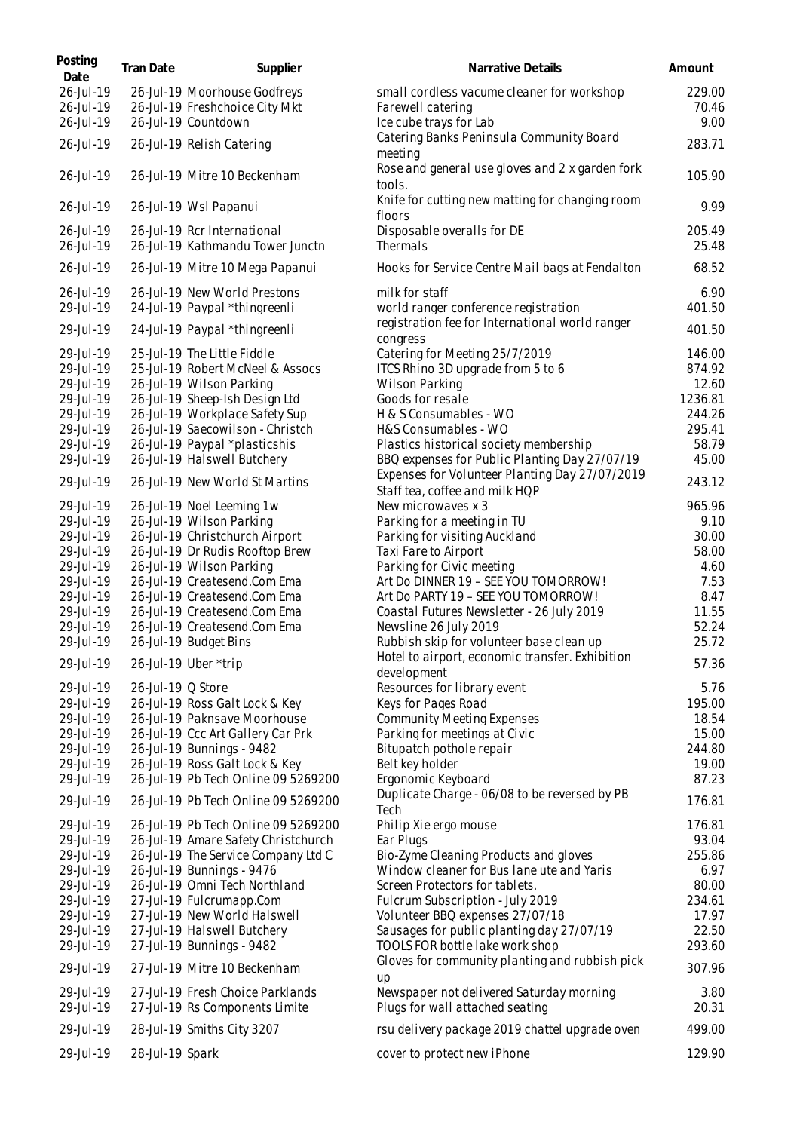| Posting<br>Date        | Tran Date         | Supplier                                                              | Narrative Details                                                                | Amount           |
|------------------------|-------------------|-----------------------------------------------------------------------|----------------------------------------------------------------------------------|------------------|
| 26-Jul-19              |                   | 26-Jul-19 Moorhouse Godfreys                                          | small cordless vacume cleaner for workshop                                       | 229.00           |
| 26-Jul-19<br>26-Jul-19 |                   | 26-Jul-19 Freshchoice City Mkt<br>26-Jul-19 Countdown                 | Farewell catering<br>Ice cube trays for Lab                                      | 70.46<br>9.00    |
| 26-Jul-19              |                   | 26-Jul-19 Relish Catering                                             | Catering Banks Peninsula Community Board<br>meeting                              | 283.71           |
| 26-Jul-19              |                   | 26-Jul-19 Mitre 10 Beckenham                                          | Rose and general use gloves and 2 x garden fork<br>tools.                        | 105.90           |
| 26-Jul-19              |                   | 26-Jul-19 Wsl Papanui                                                 | Knife for cutting new matting for changing room<br>floors                        | 9.99             |
| 26-Jul-19<br>26-Jul-19 |                   | 26-Jul-19 Rcr International<br>26-Jul-19 Kathmandu Tower Junctn       | Disposable overalls for DE<br>Thermals                                           | 205.49<br>25.48  |
| 26-Jul-19              |                   | 26-Jul-19 Mitre 10 Mega Papanui                                       | Hooks for Service Centre Mail bags at Fendalton                                  | 68.52            |
| 26-Jul-19              |                   | 26-Jul-19 New World Prestons                                          | milk for staff                                                                   | 6.90             |
| 29-Jul-19              |                   | 24-Jul-19 Paypal *thingreenli                                         | world ranger conference registration                                             | 401.50           |
| 29-Jul-19              |                   | 24-Jul-19 Paypal *thingreenli                                         | registration fee for International world ranger<br>congress                      | 401.50           |
| 29-Jul-19              |                   | 25-Jul-19 The Little Fiddle                                           | Catering for Meeting 25/7/2019                                                   | 146.00           |
| 29-Jul-19              |                   | 25-Jul-19 Robert McNeel & Assocs                                      | ITCS Rhino 3D upgrade from 5 to 6                                                | 874.92           |
| 29-Jul-19<br>29-Jul-19 |                   | 26-Jul-19 Wilson Parking<br>26-Jul-19 Sheep-Ish Design Ltd            | Wilson Parking<br>Goods for resale                                               | 12.60<br>1236.81 |
| 29-Jul-19              |                   | 26-Jul-19 Workplace Safety Sup                                        | H & S Consumables - WO                                                           | 244.26           |
| 29-Jul-19              |                   | 26-Jul-19 Saecowilson - Christch                                      | H&S Consumables - WO                                                             | 295.41           |
| 29-Jul-19              |                   | 26-Jul-19 Paypal *plasticshis                                         | Plastics historical society membership                                           | 58.79            |
| 29-Jul-19              |                   | 26-Jul-19 Halswell Butchery                                           | BBQ expenses for Public Planting Day 27/07/19                                    | 45.00            |
| 29-Jul-19              |                   | 26-Jul-19 New World St Martins                                        | Expenses for Volunteer Planting Day 27/07/2019<br>Staff tea, coffee and milk HQP | 243.12           |
| 29-Jul-19              |                   | 26-Jul-19 Noel Leeming 1w                                             | New microwaves x 3                                                               | 965.96           |
| 29-Jul-19              |                   | 26-Jul-19 Wilson Parking                                              | Parking for a meeting in TU                                                      | 9.10             |
| 29-Jul-19              |                   | 26-Jul-19 Christchurch Airport                                        | Parking for visiting Auckland                                                    | 30.00            |
| 29-Jul-19              |                   | 26-Jul-19 Dr Rudis Rooftop Brew                                       | Taxi Fare to Airport                                                             | 58.00            |
| 29-Jul-19              |                   | 26-Jul-19 Wilson Parking                                              | Parking for Civic meeting                                                        | 4.60             |
| 29-Jul-19              |                   | 26-Jul-19 Createsend.Com Ema                                          | Art Do DINNER 19 - SEE YOU TOMORROW!                                             | 7.53             |
| 29-Jul-19              |                   | 26-Jul-19 Createsend.Com Ema                                          | Art Do PARTY 19 - SEE YOU TOMORROW!                                              | 8.47             |
| 29-Jul-19              |                   | 26-Jul-19 Createsend.Com Ema                                          | Coastal Futures Newsletter - 26 July 2019                                        | 11.55            |
| 29-Jul-19              |                   | 26-Jul-19 Createsend.Com Ema                                          | Newsline 26 July 2019                                                            | 52.24            |
| 29-Jul-19              |                   | 26-Jul-19 Budget Bins                                                 | Rubbish skip for volunteer base clean up                                         | 25.72            |
| 29-Jul-19              |                   | 26-Jul-19 Uber *trip                                                  | Hotel to airport, economic transfer. Exhibition<br>development                   | 57.36            |
| 29-Jul-19              | 26-Jul-19 Q Store |                                                                       | Resources for library event                                                      | 5.76             |
| 29-Jul-19              |                   | 26-Jul-19 Ross Galt Lock & Key                                        | Keys for Pages Road                                                              | 195.00           |
| 29-Jul-19              |                   | 26-Jul-19 Paknsave Moorhouse                                          | <b>Community Meeting Expenses</b>                                                | 18.54            |
| 29-Jul-19              |                   | 26-Jul-19 Ccc Art Gallery Car Prk                                     | Parking for meetings at Civic                                                    | 15.00            |
| 29-Jul-19<br>29-Jul-19 |                   | 26-Jul-19 Bunnings - 9482                                             | Bitupatch pothole repair                                                         | 244.80<br>19.00  |
| 29-Jul-19              |                   | 26-Jul-19 Ross Galt Lock & Key<br>26-Jul-19 Pb Tech Online 09 5269200 | Belt key holder<br>Ergonomic Keyboard                                            | 87.23            |
| 29-Jul-19              |                   | 26-Jul-19 Pb Tech Online 09 5269200                                   | Duplicate Charge - 06/08 to be reversed by PB<br>Tech                            | 176.81           |
| 29-Jul-19              |                   | 26-Jul-19 Pb Tech Online 09 5269200                                   | Philip Xie ergo mouse                                                            | 176.81           |
| 29-Jul-19              |                   | 26-Jul-19 Amare Safety Christchurch                                   | Ear Plugs                                                                        | 93.04            |
| 29-Jul-19              |                   | 26-Jul-19 The Service Company Ltd C                                   | Bio-Zyme Cleaning Products and gloves                                            | 255.86           |
| 29-Jul-19              |                   | 26-Jul-19 Bunnings - 9476                                             | Window cleaner for Bus lane ute and Yaris                                        | 6.97             |
| 29-Jul-19              |                   | 26-Jul-19 Omni Tech Northland                                         | Screen Protectors for tablets.                                                   | 80.00            |
| 29-Jul-19              |                   | 27-Jul-19 Fulcrumapp.Com                                              | Fulcrum Subscription - July 2019                                                 | 234.61           |
| 29-Jul-19              |                   | 27-Jul-19 New World Halswell                                          | Volunteer BBQ expenses 27/07/18                                                  | 17.97            |
| 29-Jul-19              |                   | 27-Jul-19 Halswell Butchery                                           | Sausages for public planting day 27/07/19                                        | 22.50            |
| 29-Jul-19              |                   | 27-Jul-19 Bunnings - 9482                                             | TOOLS FOR bottle lake work shop                                                  | 293.60           |
| 29-Jul-19              |                   | 27-Jul-19 Mitre 10 Beckenham                                          | Gloves for community planting and rubbish pick<br>up                             | 307.96           |
| 29-Jul-19<br>29-Jul-19 |                   | 27-Jul-19 Fresh Choice Parklands<br>27-Jul-19 Rs Components Limite    | Newspaper not delivered Saturday morning<br>Plugs for wall attached seating      | 3.80<br>20.31    |
| 29-Jul-19              |                   | 28-Jul-19 Smiths City 3207                                            | rsu delivery package 2019 chattel upgrade oven                                   | 499.00           |
| 29-Jul-19              | 28-Jul-19 Spark   |                                                                       | cover to protect new iPhone                                                      | 129.90           |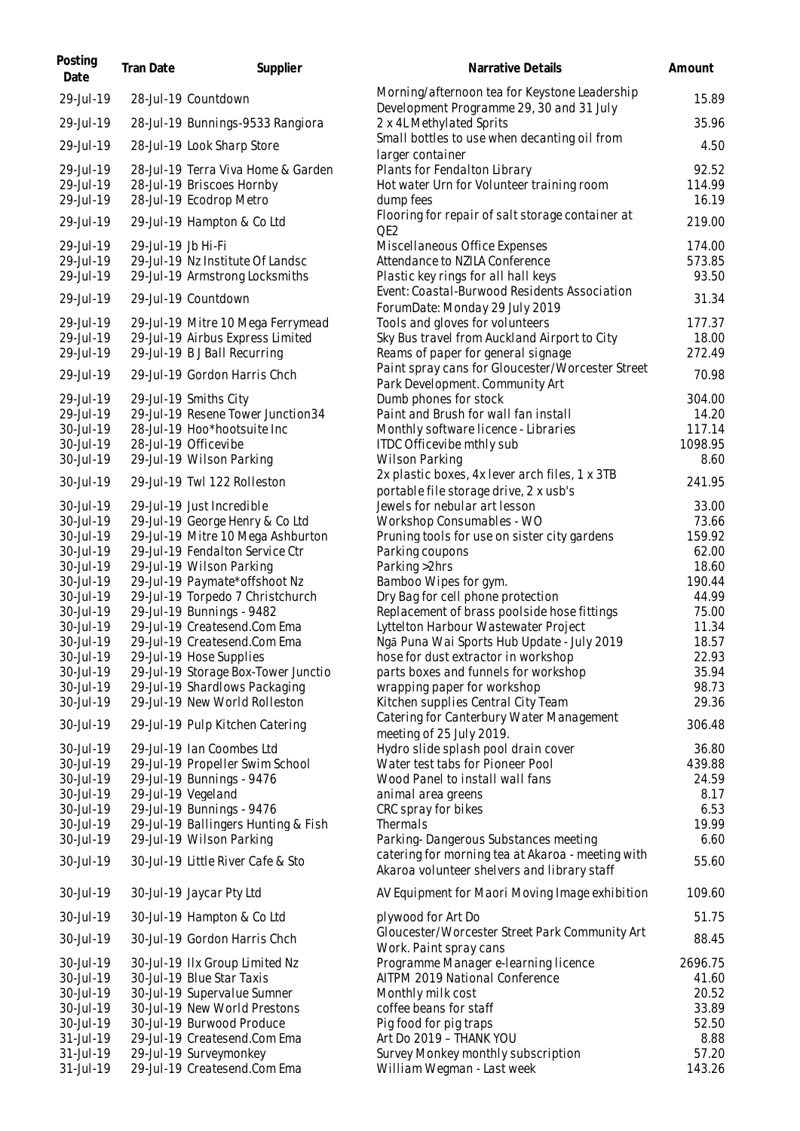| Posting<br>Date        | Tran Date          | Supplier                                                        | Narrative Details                                                                         | Amount          |
|------------------------|--------------------|-----------------------------------------------------------------|-------------------------------------------------------------------------------------------|-----------------|
| 29-Jul-19              |                    | 28-Jul-19 Countdown                                             | Morning/afternoon tea for Keystone Leadership<br>Development Programme 29, 30 and 31 July | 15.89           |
| 29-Jul-19              |                    | 28-Jul-19 Bunnings-9533 Rangiora                                | 2 x 4L Methylated Sprits                                                                  | 35.96           |
| 29-Jul-19              |                    | 28-Jul-19 Look Sharp Store                                      | Small bottles to use when decanting oil from<br>larger container                          | 4.50            |
| 29-Jul-19              |                    | 28-Jul-19 Terra Viva Home & Garden                              | Plants for Fendalton Library                                                              | 92.52           |
| 29-Jul-19              |                    | 28-Jul-19 Briscoes Hornby                                       | Hot water Urn for Volunteer training room                                                 | 114.99          |
| 29-Jul-19              |                    | 28-Jul-19 Ecodrop Metro                                         | dump fees                                                                                 | 16.19           |
| 29-Jul-19              |                    | 29-Jul-19 Hampton & Co Ltd                                      | Flooring for repair of salt storage container at<br>QE <sub>2</sub>                       | 219.00          |
| 29-Jul-19              | 29-Jul-19 Jb Hi-Fi |                                                                 | Miscellaneous Office Expenses                                                             | 174.00          |
| 29-Jul-19              |                    | 29-Jul-19 Nz Institute Of Landsc                                | Attendance to NZILA Conference                                                            | 573.85          |
| 29-Jul-19              |                    | 29-Jul-19 Armstrong Locksmiths                                  | Plastic key rings for all hall keys                                                       | 93.50           |
| 29-Jul-19              |                    | 29-Jul-19 Countdown                                             | Event: Coastal-Burwood Residents Association<br>ForumDate: Monday 29 July 2019            | 31.34           |
| 29-Jul-19              |                    | 29-Jul-19 Mitre 10 Mega Ferrymead                               | Tools and gloves for volunteers                                                           | 177.37          |
| 29-Jul-19              |                    | 29-Jul-19 Airbus Express Limited                                | Sky Bus travel from Auckland Airport to City                                              | 18.00           |
| 29-Jul-19              |                    | 29-Jul-19 B J Ball Recurring                                    | Reams of paper for general signage                                                        | 272.49          |
| 29-Jul-19              |                    | 29-Jul-19 Gordon Harris Chch                                    | Paint spray cans for Gloucester/Worcester Street                                          | 70.98           |
|                        |                    |                                                                 | Park Development. Community Art                                                           |                 |
| 29-Jul-19              |                    | 29-Jul-19 Smiths City                                           | Dumb phones for stock                                                                     | 304.00          |
| 29-Jul-19              |                    | 29-Jul-19 Resene Tower Junction 34                              | Paint and Brush for wall fan install                                                      | 14.20           |
| 30-Jul-19              |                    | 28-Jul-19 Hoo*hootsuite Inc                                     | Monthly software licence - Libraries                                                      | 117.14          |
| 30-Jul-19<br>30-Jul-19 |                    | 28-Jul-19 Officevibe<br>29-Jul-19 Wilson Parking                | ITDC Officevibe mthly sub<br>Wilson Parking                                               | 1098.95<br>8.60 |
|                        |                    |                                                                 | 2x plastic boxes, 4x lever arch files, 1 x 3TB                                            |                 |
| 30-Jul-19              |                    | 29-Jul-19 Twl 122 Rolleston                                     | portable file storage drive, 2 x usb's                                                    | 241.95          |
| 30-Jul-19              |                    | 29-Jul-19 Just Incredible                                       | Jewels for nebular art lesson                                                             | 33.00           |
| 30-Jul-19              |                    | 29-Jul-19 George Henry & Co Ltd                                 | Workshop Consumables - WO                                                                 | 73.66           |
| 30-Jul-19              |                    | 29-Jul-19 Mitre 10 Mega Ashburton                               | Pruning tools for use on sister city gardens                                              | 159.92          |
| 30-Jul-19              |                    | 29-Jul-19 Fendalton Service Ctr                                 | Parking coupons                                                                           | 62.00           |
| 30-Jul-19              |                    | 29-Jul-19 Wilson Parking                                        | Parking >2hrs                                                                             | 18.60           |
| 30-Jul-19              |                    | 29-Jul-19 Paymate*offshoot Nz                                   | Bamboo Wipes for gym.                                                                     | 190.44          |
| 30-Jul-19<br>30-Jul-19 |                    | 29-Jul-19 Torpedo 7 Christchurch<br>29-Jul-19 Bunnings - 9482   | Dry Bag for cell phone protection<br>Replacement of brass poolside hose fittings          | 44.99<br>75.00  |
| 30-Jul-19              |                    | 29-Jul-19 Createsend.Com Ema                                    | Lyttelton Harbour Wastewater Project                                                      | 11.34           |
| 30-Jul-19              |                    | 29-Jul-19 Createsend.Com Ema                                    | Ngā Puna Wai Sports Hub Update - July 2019                                                | 18.57           |
| 30-Jul-19              |                    | 29-Jul-19 Hose Supplies                                         | hose for dust extractor in workshop                                                       | 22.93           |
| 30-Jul-19              |                    | 29-Jul-19 Storage Box-Tower Junctio                             | parts boxes and funnels for workshop                                                      | 35.94           |
| 30-Jul-19              |                    | 29-Jul-19 Shardlows Packaging                                   | wrapping paper for workshop                                                               | 98.73           |
| 30-Jul-19              |                    | 29-Jul-19 New World Rolleston                                   | Kitchen supplies Central City Team                                                        | 29.36           |
| 30-Jul-19              |                    | 29-Jul-19 Pulp Kitchen Catering                                 | Catering for Canterbury Water Management<br>meeting of 25 July 2019.                      | 306.48          |
| 30-Jul-19              |                    | 29-Jul-19 Ian Coombes Ltd                                       | Hydro slide splash pool drain cover                                                       | 36.80           |
| 30-Jul-19              |                    | 29-Jul-19 Propeller Swim School                                 | Water test tabs for Pioneer Pool                                                          | 439.88          |
| 30-Jul-19              |                    | 29-Jul-19 Bunnings - 9476                                       | Wood Panel to install wall fans                                                           | 24.59           |
| 30-Jul-19              |                    | 29-Jul-19 Vegeland                                              | animal area greens                                                                        | 8.17            |
| 30-Jul-19              |                    | 29-Jul-19 Bunnings - 9476                                       | CRC spray for bikes                                                                       | 6.53            |
| 30-Jul-19<br>30-Jul-19 |                    | 29-Jul-19 Ballingers Hunting & Fish<br>29-Jul-19 Wilson Parking | Thermals<br>Parking-Dangerous Substances meeting                                          | 19.99<br>6.60   |
| 30-Jul-19              |                    | 30-Jul-19 Little River Cafe & Sto                               | catering for morning tea at Akaroa - meeting with                                         | 55.60           |
|                        |                    |                                                                 | Akaroa volunteer shelvers and library staff                                               |                 |
| 30-Jul-19              |                    | 30-Jul-19 Jaycar Pty Ltd                                        | AV Equipment for Maori Moving Image exhibition                                            | 109.60          |
| 30-Jul-19              |                    | 30-Jul-19 Hampton & Co Ltd                                      | plywood for Art Do                                                                        | 51.75           |
| 30-Jul-19              |                    | 30-Jul-19 Gordon Harris Chch                                    | Gloucester/Worcester Street Park Community Art<br>Work. Paint spray cans                  | 88.45           |
| 30-Jul-19              |                    | 30-Jul-19 IIx Group Limited Nz                                  | Programme Manager e-learning licence                                                      | 2696.75         |
| 30-Jul-19              |                    | 30-Jul-19 Blue Star Taxis                                       | AITPM 2019 National Conference                                                            | 41.60           |
| 30-Jul-19<br>30-Jul-19 |                    | 30-Jul-19 Supervalue Sumner<br>30-Jul-19 New World Prestons     | Monthly milk cost<br>coffee beans for staff                                               | 20.52<br>33.89  |
| 30-Jul-19              |                    | 30-Jul-19 Burwood Produce                                       | Pig food for pig traps                                                                    | 52.50           |
| 31-Jul-19              |                    | 29-Jul-19 Createsend.Com Ema                                    | Art Do 2019 - THANK YOU                                                                   | 8.88            |
| 31-Jul-19              |                    | 29-Jul-19 Surveymonkey                                          | Survey Monkey monthly subscription                                                        | 57.20           |
| 31-Jul-19              |                    | 29-Jul-19 Createsend.Com Ema                                    | William Wegman - Last week                                                                | 143.26          |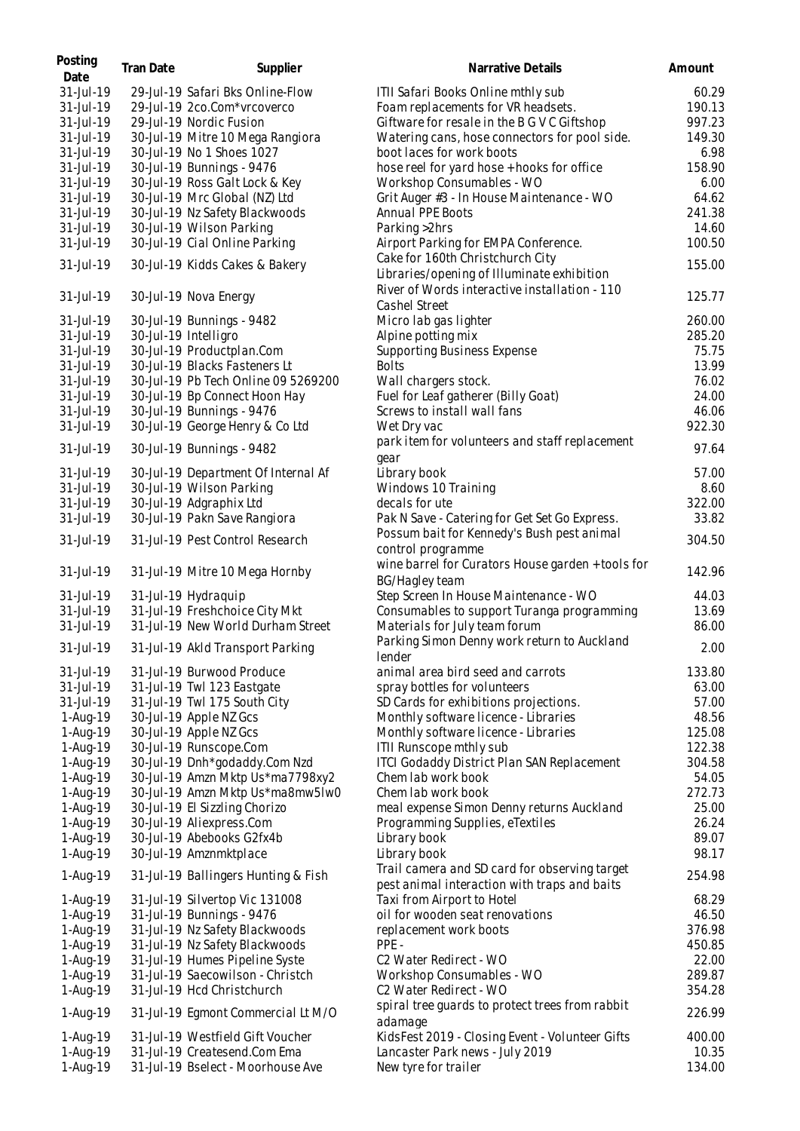| Posting<br>Date | Tran Date | Supplier                            | Narrative Details                                                          | Amount |
|-----------------|-----------|-------------------------------------|----------------------------------------------------------------------------|--------|
| 31-Jul-19       |           | 29-Jul-19 Safari Bks Online-Flow    | ITII Safari Books Online mthly sub                                         | 60.29  |
| 31-Jul-19       |           | 29-Jul-19 2co.Com*vrcoverco         | Foam replacements for VR headsets.                                         | 190.13 |
| 31-Jul-19       |           | 29-Jul-19 Nordic Fusion             | Giftware for resale in the B G V C Giftshop                                | 997.23 |
| 31-Jul-19       |           | 30-Jul-19 Mitre 10 Mega Rangiora    | Watering cans, hose connectors for pool side.                              | 149.30 |
| 31-Jul-19       |           | 30-Jul-19 No 1 Shoes 1027           | boot laces for work boots                                                  | 6.98   |
| 31-Jul-19       |           | 30-Jul-19 Bunnings - 9476           | hose reel for yard hose + hooks for office                                 | 158.90 |
| 31-Jul-19       |           | 30-Jul-19 Ross Galt Lock & Key      | Workshop Consumables - WO                                                  | 6.00   |
| 31-Jul-19       |           | 30-Jul-19 Mrc Global (NZ) Ltd       | Grit Auger #3 - In House Maintenance - WO                                  | 64.62  |
| 31-Jul-19       |           | 30-Jul-19 Nz Safety Blackwoods      | Annual PPE Boots                                                           | 241.38 |
| 31-Jul-19       |           | 30-Jul-19 Wilson Parking            | Parking > 2hrs                                                             | 14.60  |
| 31-Jul-19       |           | 30-Jul-19 Cial Online Parking       | Airport Parking for EMPA Conference.                                       | 100.50 |
|                 |           |                                     | Cake for 160th Christchurch City                                           |        |
| 31-Jul-19       |           | 30-Jul-19 Kidds Cakes & Bakery      | Libraries/opening of Illuminate exhibition                                 | 155.00 |
|                 |           |                                     | River of Words interactive installation - 110                              |        |
| 31-Jul-19       |           | 30-Jul-19 Nova Energy               |                                                                            | 125.77 |
|                 |           |                                     | Cashel Street                                                              |        |
| 31-Jul-19       |           | 30-Jul-19 Bunnings - 9482           | Micro lab gas lighter                                                      | 260.00 |
| 31-Jul-19       |           | 30-Jul-19 Intelligro                | Alpine potting mix                                                         | 285.20 |
| 31-Jul-19       |           | 30-Jul-19 Productplan.Com           | Supporting Business Expense                                                | 75.75  |
| 31-Jul-19       |           | 30-Jul-19 Blacks Fasteners Lt       | <b>Bolts</b>                                                               | 13.99  |
| 31-Jul-19       |           | 30-Jul-19 Pb Tech Online 09 5269200 | Wall chargers stock.                                                       | 76.02  |
| 31-Jul-19       |           | 30-Jul-19 Bp Connect Hoon Hay       | Fuel for Leaf gatherer (Billy Goat)                                        | 24.00  |
| 31-Jul-19       |           | 30-Jul-19 Bunnings - 9476           | Screws to install wall fans                                                | 46.06  |
| 31-Jul-19       |           | 30-Jul-19 George Henry & Co Ltd     | Wet Dry vac                                                                | 922.30 |
| 31-Jul-19       |           | 30-Jul-19 Bunnings - 9482           | park item for volunteers and staff replacement<br>gear                     | 97.64  |
| 31-Jul-19       |           | 30-Jul-19 Department Of Internal Af | Library book                                                               | 57.00  |
| 31-Jul-19       |           | 30-Jul-19 Wilson Parking            | Windows 10 Training                                                        | 8.60   |
| 31-Jul-19       |           | 30-Jul-19 Adgraphix Ltd             | decals for ute                                                             | 322.00 |
| 31-Jul-19       |           | 30-Jul-19 Pakn Save Rangiora        | Pak N Save - Catering for Get Set Go Express.                              | 33.82  |
| 31-Jul-19       |           | 31-Jul-19 Pest Control Research     | Possum bait for Kennedy's Bush pest animal<br>control programme            | 304.50 |
| 31-Jul-19       |           | 31-Jul-19 Mitre 10 Mega Hornby      | wine barrel for Curators House garden + tools for                          | 142.96 |
|                 |           |                                     | <b>BG/Hagley team</b>                                                      |        |
| 31-Jul-19       |           | 31-Jul-19 Hydraquip                 | Step Screen In House Maintenance - WO                                      | 44.03  |
| 31-Jul-19       |           | 31-Jul-19 Freshchoice City Mkt      | Consumables to support Turanga programming                                 | 13.69  |
| 31-Jul-19       |           | 31-Jul-19 New World Durham Street   | Materials for July team forum                                              | 86.00  |
| 31-Jul-19       |           | 31-Jul-19 Akld Transport Parking    | Parking Simon Denny work return to Auckland<br>lender                      | 2.00   |
| 31-Jul-19       |           | 31-Jul-19 Burwood Produce           | animal area bird seed and carrots                                          | 133.80 |
| 31-Jul-19       |           | 31-Jul-19 Twl 123 Eastgate          | spray bottles for volunteers                                               | 63.00  |
| 31-Jul-19       |           | 31-Jul-19 Twl 175 South City        | SD Cards for exhibitions projections.                                      | 57.00  |
| 1-Aug-19        |           | 30-Jul-19 Apple NZ Gcs              | Monthly software licence - Libraries                                       | 48.56  |
| 1-Aug-19        |           | 30-Jul-19 Apple NZ Gcs              | Monthly software licence - Libraries                                       | 125.08 |
| 1-Aug-19        |           | 30-Jul-19 Runscope.Com              | ITII Runscope mthly sub                                                    | 122.38 |
| 1-Aug-19        |           | 30-Jul-19 Dnh*godaddy.Com Nzd       | ITCI Godaddy District Plan SAN Replacement                                 | 304.58 |
| 1-Aug-19        |           | 30-Jul-19 Amzn Mktp Us*ma7798xy2    | Chem lab work book                                                         | 54.05  |
| 1-Aug-19        |           | 30-Jul-19 Amzn Mktp Us*ma8mw5Iw0    | Chem lab work book                                                         | 272.73 |
| 1-Aug-19        |           | 30-Jul-19 El Sizzling Chorizo       | meal expense Simon Denny returns Auckland                                  | 25.00  |
| 1-Aug-19        |           | 30-Jul-19 Aliexpress.Com            | Programming Supplies, eTextiles                                            | 26.24  |
| 1-Aug-19        |           | 30-Jul-19 Abebooks G2fx4b           | Library book                                                               | 89.07  |
| 1-Aug-19        |           | 30-Jul-19 Amznmktplace              | Library book                                                               | 98.17  |
| 1-Aug-19        |           | 31-Jul-19 Ballingers Hunting & Fish | Trail camera and SD card for observing target                              | 254.98 |
| 1-Aug-19        |           | 31-Jul-19 Silvertop Vic 131008      | pest animal interaction with traps and baits<br>Taxi from Airport to Hotel | 68.29  |
| 1-Aug-19        |           | 31-Jul-19 Bunnings - 9476           | oil for wooden seat renovations                                            | 46.50  |
| 1-Aug-19        |           | 31-Jul-19 Nz Safety Blackwoods      | replacement work boots                                                     | 376.98 |
| 1-Aug-19        |           | 31-Jul-19 Nz Safety Blackwoods      | PPE-                                                                       | 450.85 |
| 1-Aug-19        |           | 31-Jul-19 Humes Pipeline Syste      | C2 Water Redirect - WO                                                     | 22.00  |
| 1-Aug-19        |           | 31-Jul-19 Saecowilson - Christch    | Workshop Consumables - WO                                                  | 289.87 |
| 1-Aug-19        |           | 31-Jul-19 Hcd Christchurch          | C <sub>2</sub> Water Redirect - WO                                         | 354.28 |
| 1-Aug-19        |           | 31-Jul-19 Egmont Commercial Lt M/O  | spiral tree guards to protect trees from rabbit<br>adamage                 | 226.99 |
| 1-Aug-19        |           | 31-Jul-19 Westfield Gift Voucher    | KidsFest 2019 - Closing Event - Volunteer Gifts                            | 400.00 |
| 1-Aug-19        |           | 31-Jul-19 Createsend.Com Ema        | Lancaster Park news - July 2019                                            | 10.35  |
| 1-Aug-19        |           | 31-Jul-19 Bselect - Moorhouse Ave   | New tyre for trailer                                                       | 134.00 |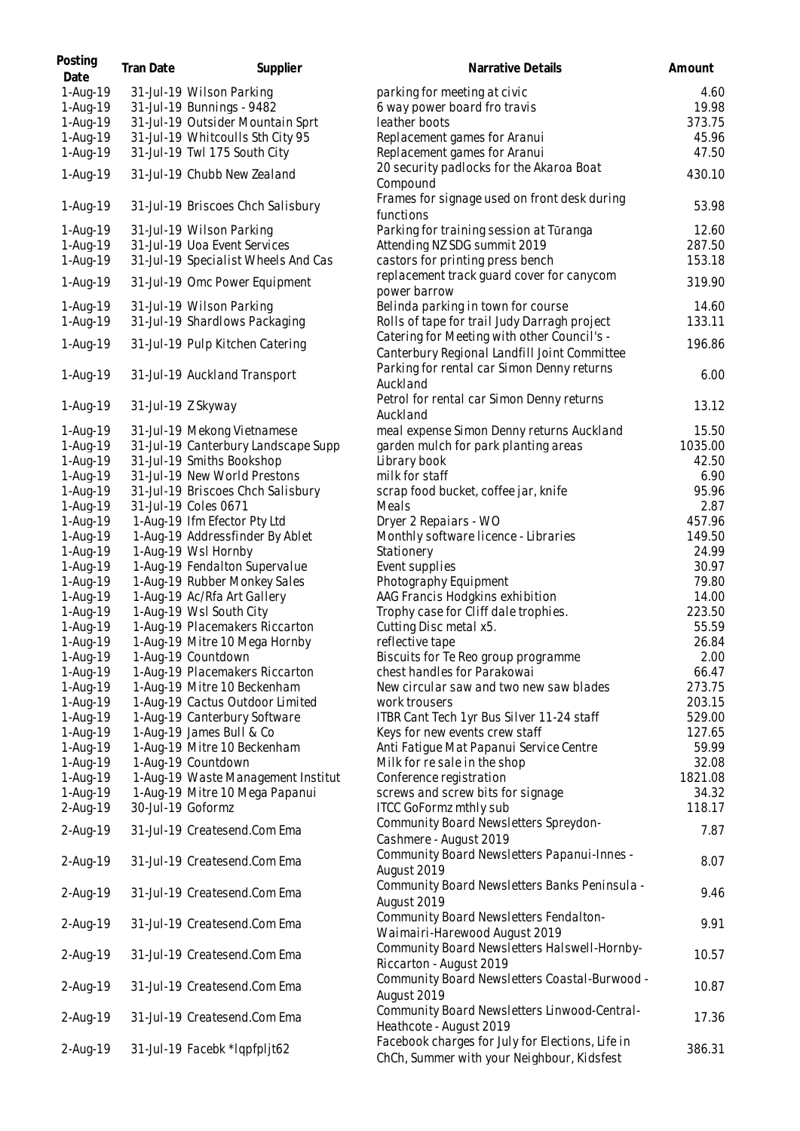| Posting<br>Date      | Tran Date         | Supplier                                                  | Narrative Details                                                                              | Amount          |
|----------------------|-------------------|-----------------------------------------------------------|------------------------------------------------------------------------------------------------|-----------------|
| 1-Aug-19             |                   | 31-Jul-19 Wilson Parking                                  | parking for meeting at civic                                                                   | 4.60            |
| 1-Aug-19             |                   | 31-Jul-19 Bunnings - 9482                                 | 6 way power board fro travis                                                                   | 19.98           |
| 1-Aug-19             |                   | 31-Jul-19 Outsider Mountain Sprt                          | leather boots                                                                                  | 373.75          |
| 1-Aug-19             |                   | 31-Jul-19 Whitcoulls Sth City 95                          | Replacement games for Aranui                                                                   | 45.96           |
| 1-Aug-19             |                   | 31-Jul-19 Twl 175 South City                              | Replacement games for Aranui                                                                   | 47.50           |
| 1-Aug-19             |                   | 31-Jul-19 Chubb New Zealand                               | 20 security padlocks for the Akaroa Boat<br>Compound                                           | 430.10          |
| 1-Aug-19             |                   | 31-Jul-19 Briscoes Chch Salisbury                         | Frames for signage used on front desk during<br>functions                                      | 53.98           |
| 1-Aug-19             |                   | 31-Jul-19 Wilson Parking                                  | Parking for training session at Tūranga                                                        | 12.60           |
| 1-Aug-19             |                   | 31-Jul-19 Uoa Event Services                              | Attending NZ SDG summit 2019                                                                   | 287.50          |
| 1-Aug-19             |                   | 31-Jul-19 Specialist Wheels And Cas                       | castors for printing press bench                                                               | 153.18          |
| 1-Aug-19             |                   | 31-Jul-19 Omc Power Equipment                             | replacement track guard cover for canycom<br>power barrow                                      | 319.90          |
| 1-Aug-19             |                   | 31-Jul-19 Wilson Parking                                  | Belinda parking in town for course                                                             | 14.60           |
| 1-Aug-19             |                   | 31-Jul-19 Shardlows Packaging                             | Rolls of tape for trail Judy Darragh project                                                   | 133.11          |
| 1-Aug-19             |                   | 31-Jul-19 Pulp Kitchen Catering                           | Catering for Meeting with other Council's -                                                    | 196.86          |
|                      |                   |                                                           | Canterbury Regional Landfill Joint Committee                                                   |                 |
| 1-Aug-19             |                   | 31-Jul-19 Auckland Transport                              | Parking for rental car Simon Denny returns                                                     | 6.00            |
|                      |                   |                                                           | Auckland                                                                                       |                 |
| 1-Aug-19             |                   | 31-Jul-19 Z Skyway                                        | Petrol for rental car Simon Denny returns                                                      | 13.12           |
|                      |                   |                                                           | Auckland                                                                                       |                 |
| 1-Aug-19             |                   | 31-Jul-19 Mekong Vietnamese                               | meal expense Simon Denny returns Auckland                                                      | 15.50           |
| 1-Aug-19             |                   | 31-Jul-19 Canterbury Landscape Supp                       | garden mulch for park planting areas                                                           | 1035.00         |
| 1-Aug-19             |                   | 31-Jul-19 Smiths Bookshop                                 | Library book                                                                                   | 42.50           |
| 1-Aug-19             |                   | 31-Jul-19 New World Prestons                              | milk for staff                                                                                 | 6.90            |
| 1-Aug-19             |                   | 31-Jul-19 Briscoes Chch Salisbury<br>31-Jul-19 Coles 0671 | scrap food bucket, coffee jar, knife<br>Meals                                                  | 95.96<br>2.87   |
| 1-Aug-19<br>1-Aug-19 |                   | 1-Aug-19 Ifm Efector Pty Ltd                              | Dryer 2 Repaiars - WO                                                                          | 457.96          |
| 1-Aug-19             |                   | 1-Aug-19 Addressfinder By Ablet                           | Monthly software licence - Libraries                                                           | 149.50          |
| 1-Aug-19             |                   | 1-Aug-19 Wsl Hornby                                       | Stationery                                                                                     | 24.99           |
| 1-Aug-19             |                   | 1-Aug-19 Fendalton Supervalue                             | Event supplies                                                                                 | 30.97           |
| 1-Aug-19             |                   | 1-Aug-19 Rubber Monkey Sales                              | Photography Equipment                                                                          | 79.80           |
| 1-Aug-19             |                   | 1-Aug-19 Ac/Rfa Art Gallery                               | AAG Francis Hodgkins exhibition                                                                | 14.00           |
| 1-Aug-19             |                   | 1-Aug-19 Wsl South City                                   | Trophy case for Cliff dale trophies.                                                           | 223.50          |
| 1-Aug-19             |                   | 1-Aug-19 Placemakers Riccarton                            | Cutting Disc metal x5.                                                                         | 55.59           |
| 1-Aug-19             |                   | 1-Aug-19 Mitre 10 Mega Hornby                             | reflective tape                                                                                | 26.84           |
| 1-Aug-19             |                   | 1-Aug-19 Countdown                                        | Biscuits for Te Reo group programme                                                            | 2.00            |
| 1-Aug-19             |                   | 1-Aug-19 Placemakers Riccarton                            | chest handles for Parakowai                                                                    | 66.47           |
| 1-Aug-19             |                   | 1-Aug-19 Mitre 10 Beckenham                               | New circular saw and two new saw blades                                                        | 273.75          |
| 1-Aug-19             |                   | 1-Aug-19 Cactus Outdoor Limited                           | work trousers                                                                                  | 203.15          |
| 1-Aug-19             |                   | 1-Aug-19 Canterbury Software                              | ITBR Cant Tech 1yr Bus Silver 11-24 staff                                                      | 529.00          |
| 1-Aug-19             |                   | 1-Aug-19 James Bull & Co                                  | Keys for new events crew staff                                                                 | 127.65          |
| 1-Aug-19             |                   | 1-Aug-19 Mitre 10 Beckenham                               | Anti Fatigue Mat Papanui Service Centre                                                        | 59.99           |
| 1-Aug-19             |                   | 1-Aug-19 Countdown                                        | Milk for resale in the shop                                                                    | 32.08           |
| 1-Aug-19             |                   | 1-Aug-19 Waste Management Institut                        | Conference registration                                                                        | 1821.08         |
| 1-Aug-19<br>2-Aug-19 | 30-Jul-19 Goformz | 1-Aug-19 Mitre 10 Mega Papanui                            | screws and screw bits for signage<br><b>ITCC GoFormz mthly sub</b>                             | 34.32<br>118.17 |
| 2-Aug-19             |                   | 31-Jul-19 Createsend.Com Ema                              | Community Board Newsletters Spreydon-                                                          | 7.87            |
|                      |                   | 31-Jul-19 Createsend.Com Ema                              | Cashmere - August 2019<br>Community Board Newsletters Papanui-Innes -                          | 8.07            |
| 2-Aug-19             |                   |                                                           | August 2019<br>Community Board Newsletters Banks Peninsula -                                   |                 |
| 2-Aug-19             |                   | 31-Jul-19 Createsend.Com Ema                              | August 2019                                                                                    | 9.46            |
| 2-Aug-19             |                   | 31-Jul-19 Createsend.Com Ema                              | Community Board Newsletters Fendalton-<br>Waimairi-Harewood August 2019                        | 9.91            |
| 2-Aug-19             |                   | 31-Jul-19 Createsend.Com Ema                              | Community Board Newsletters Halswell-Hornby-<br>Riccarton - August 2019                        | 10.57           |
| 2-Aug-19             |                   | 31-Jul-19 Createsend.Com Ema                              | Community Board Newsletters Coastal-Burwood -<br>August 2019                                   | 10.87           |
| 2-Aug-19             |                   | 31-Jul-19 Createsend.Com Ema                              | Community Board Newsletters Linwood-Central-<br>Heathcote - August 2019                        | 17.36           |
| 2-Aug-19             |                   | 31-Jul-19 Facebk *lqpfpljt62                              | Facebook charges for July for Elections, Life in<br>ChCh, Summer with your Neighbour, Kidsfest | 386.31          |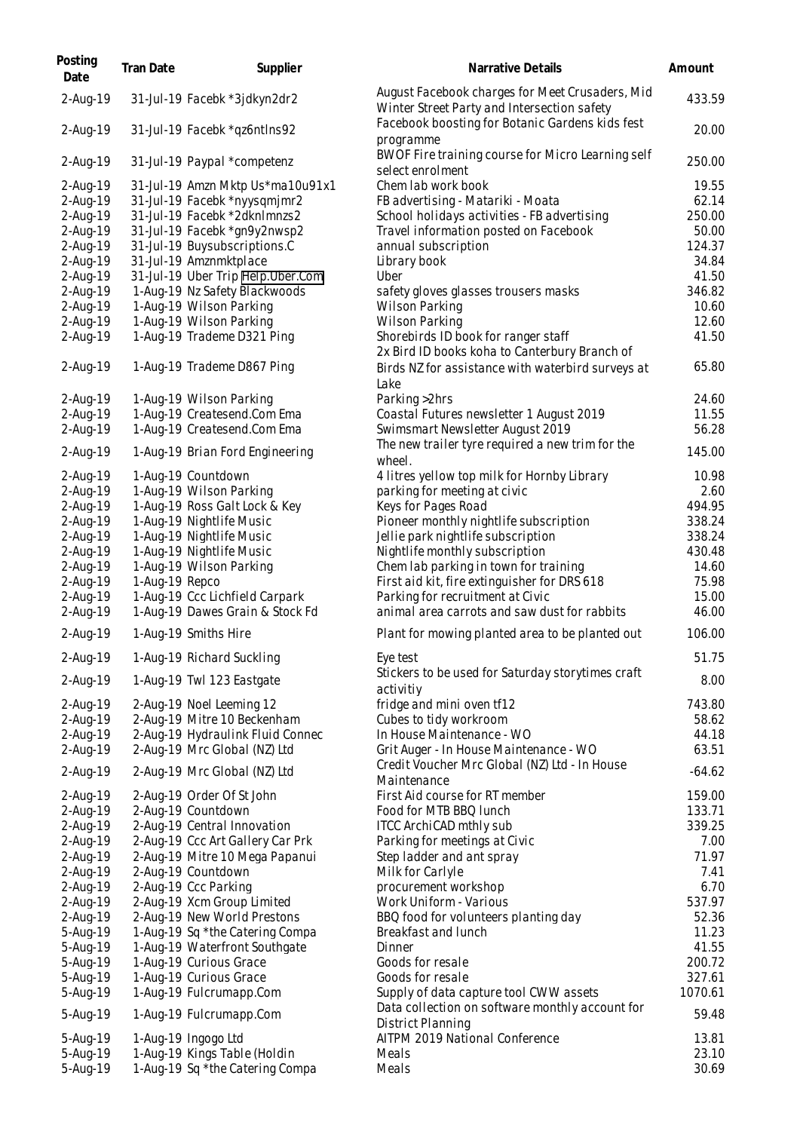| Posting<br>Date        | Tran Date      | Supplier                                                        | Narrative Details                                                                               | Amount           |
|------------------------|----------------|-----------------------------------------------------------------|-------------------------------------------------------------------------------------------------|------------------|
| 2-Aug-19               |                | 31-Jul-19 Facebk *3jdkyn2dr2                                    | August Facebook charges for Meet Crusaders, Mid<br>Winter Street Party and Intersection safety  | 433.59           |
| 2-Aug-19               |                | 31-Jul-19 Facebk *qz6ntlns92                                    | Facebook boosting for Botanic Gardens kids fest<br>programme                                    | 20.00            |
| 2-Aug-19               |                | 31-Jul-19 Paypal *competenz                                     | BWOF Fire training course for Micro Learning self<br>select enrolment                           | 250.00           |
| 2-Aug-19               |                | 31-Jul-19 Amzn Mktp Us*ma10u91x1                                | Chem lab work book                                                                              | 19.55            |
| 2-Aug-19               |                | 31-Jul-19 Facebk *nyysqmjmr2                                    | FB advertising - Matariki - Moata                                                               | 62.14            |
| 2-Aug-19               |                | 31-Jul-19 Facebk *2dknlmnzs2                                    | School holidays activities - FB advertising                                                     | 250.00           |
| 2-Aug-19               |                | 31-Jul-19 Facebk *gn9y2nwsp2                                    | Travel information posted on Facebook                                                           | 50.00            |
| $2-Auq-19$             |                | 31-Jul-19 Buysubscriptions.C                                    | annual subscription                                                                             | 124.37           |
| 2-Aug-19               |                | 31-Jul-19 Amznmktplace                                          | Library book                                                                                    | 34.84            |
| 2-Aug-19               |                | 31-Jul-19 Uber Trip Help.Uber.Com                               | Uber                                                                                            | 41.50            |
| 2-Aug-19               |                | 1-Aug-19 Nz Safety Blackwoods                                   | safety gloves glasses trousers masks                                                            | 346.82           |
| 2-Aug-19               |                | 1-Aug-19 Wilson Parking                                         | Wilson Parking                                                                                  | 10.60            |
| 2-Aug-19               |                | 1-Aug-19 Wilson Parking                                         | Wilson Parking                                                                                  | 12.60            |
| $2-Auq-19$             |                | 1-Aug-19 Trademe D321 Ping                                      | Shorebirds ID book for ranger staff<br>2x Bird ID books koha to Canterbury Branch of            | 41.50            |
| 2-Aug-19               |                | 1-Aug-19 Trademe D867 Ping                                      | Birds NZ for assistance with waterbird surveys at<br>Lake                                       | 65.80            |
| 2-Aug-19               |                | 1-Aug-19 Wilson Parking                                         | Parking > 2hrs                                                                                  | 24.60            |
| $2-Auq-19$             |                | 1-Aug-19 Createsend.Com Ema                                     | Coastal Futures newsletter 1 August 2019                                                        | 11.55            |
| 2-Aug-19               |                | 1-Aug-19 Createsend.Com Ema                                     | Swimsmart Newsletter August 2019                                                                | 56.28            |
| 2-Aug-19               |                | 1-Aug-19 Brian Ford Engineering                                 | The new trailer tyre required a new trim for the<br>wheel.                                      | 145.00           |
| 2-Aug-19               |                | 1-Aug-19 Countdown                                              | 4 litres yellow top milk for Hornby Library                                                     | 10.98            |
| 2-Aug-19               |                | 1-Aug-19 Wilson Parking                                         | parking for meeting at civic                                                                    | 2.60             |
| 2-Aug-19               |                | 1-Aug-19 Ross Galt Lock & Key                                   | Keys for Pages Road                                                                             | 494.95           |
| 2-Aug-19               |                | 1-Aug-19 Nightlife Music                                        | Pioneer monthly nightlife subscription                                                          | 338.24           |
| 2-Aug-19               |                | 1-Aug-19 Nightlife Music                                        | Jellie park nightlife subscription                                                              | 338.24           |
| 2-Aug-19               |                | 1-Aug-19 Nightlife Music                                        | Nightlife monthly subscription                                                                  | 430.48           |
| 2-Aug-19               |                | 1-Aug-19 Wilson Parking                                         | Chem lab parking in town for training                                                           | 14.60            |
| 2-Aug-19               | 1-Aug-19 Repco |                                                                 | First aid kit, fire extinguisher for DRS 618                                                    | 75.98            |
| 2-Aug-19               |                | 1-Aug-19 Ccc Lichfield Carpark                                  | Parking for recruitment at Civic                                                                | 15.00            |
| $2-Auq-19$<br>2-Aug-19 |                | 1-Aug-19 Dawes Grain & Stock Fd<br>1-Aug-19 Smiths Hire         | animal area carrots and saw dust for rabbits<br>Plant for mowing planted area to be planted out | 46.00<br>106.00  |
| 2-Aug-19               |                | 1-Aug-19 Richard Suckling                                       | Eye test                                                                                        | 51.75            |
| 2-Aug-19               |                | 1-Aug-19 Twl 123 Eastgate                                       | Stickers to be used for Saturday storytimes craft                                               | 8.00             |
| $2-Auq-19$             |                |                                                                 | activitiy                                                                                       | 743.80           |
| 2-Aug-19               |                | 2-Aug-19 Noel Leeming 12<br>2-Aug-19 Mitre 10 Beckenham         | fridge and mini oven tf12<br>Cubes to tidy workroom                                             | 58.62            |
| 2-Aug-19               |                | 2-Aug-19 Hydraulink Fluid Connec                                | In House Maintenance - WO                                                                       | 44.18            |
| 2-Aug-19               |                | 2-Aug-19 Mrc Global (NZ) Ltd                                    | Grit Auger - In House Maintenance - WO                                                          | 63.51            |
|                        |                |                                                                 | Credit Voucher Mrc Global (NZ) Ltd - In House                                                   |                  |
| 2-Aug-19               |                | 2-Aug-19 Mrc Global (NZ) Ltd                                    | Maintenance                                                                                     | $-64.62$         |
| 2-Aug-19               |                | 2-Aug-19 Order Of St John                                       | First Aid course for RT member                                                                  | 159.00           |
| 2-Aug-19               |                | 2-Aug-19 Countdown                                              | Food for MTB BBQ lunch                                                                          | 133.71<br>339.25 |
| 2-Aug-19<br>2-Aug-19   |                | 2-Aug-19 Central Innovation<br>2-Aug-19 Ccc Art Gallery Car Prk | ITCC ArchiCAD mthly sub<br>Parking for meetings at Civic                                        | 7.00             |
| 2-Aug-19               |                | 2-Aug-19 Mitre 10 Mega Papanui                                  | Step ladder and ant spray                                                                       | 71.97            |
| 2-Aug-19               |                | 2-Aug-19 Countdown                                              | Milk for Carlyle                                                                                | 7.41             |
| 2-Aug-19               |                | 2-Aug-19 Ccc Parking                                            | procurement workshop                                                                            | 6.70             |
| 2-Aug-19               |                | 2-Aug-19 Xcm Group Limited                                      | Work Uniform - Various                                                                          | 537.97           |
| 2-Aug-19               |                | 2-Aug-19 New World Prestons                                     | BBQ food for volunteers planting day                                                            | 52.36            |
| 5-Aug-19               |                | 1-Aug-19 Sq *the Catering Compa                                 | Breakfast and lunch                                                                             | 11.23            |
| 5-Aug-19               |                | 1-Aug-19 Waterfront Southgate                                   | Dinner                                                                                          | 41.55            |
| 5-Aug-19               |                | 1-Aug-19 Curious Grace                                          | Goods for resale                                                                                | 200.72           |
| 5-Aug-19               |                | 1-Aug-19 Curious Grace                                          | Goods for resale                                                                                | 327.61           |
| 5-Aug-19               |                | 1-Aug-19 Fulcrumapp.Com                                         | Supply of data capture tool CWW assets                                                          | 1070.61          |
| 5-Aug-19               |                | 1-Aug-19 Fulcrumapp.Com                                         | Data collection on software monthly account for<br>District Planning                            | 59.48            |
| 5-Aug-19               |                | 1-Aug-19 Ingogo Ltd                                             | AITPM 2019 National Conference                                                                  | 13.81            |
| 5-Aug-19               |                | 1-Aug-19 Kings Table (Holdin                                    | Meals                                                                                           | 23.10            |
| 5-Aug-19               |                | 1-Aug-19 Sq *the Catering Compa                                 | Meals                                                                                           | 30.69            |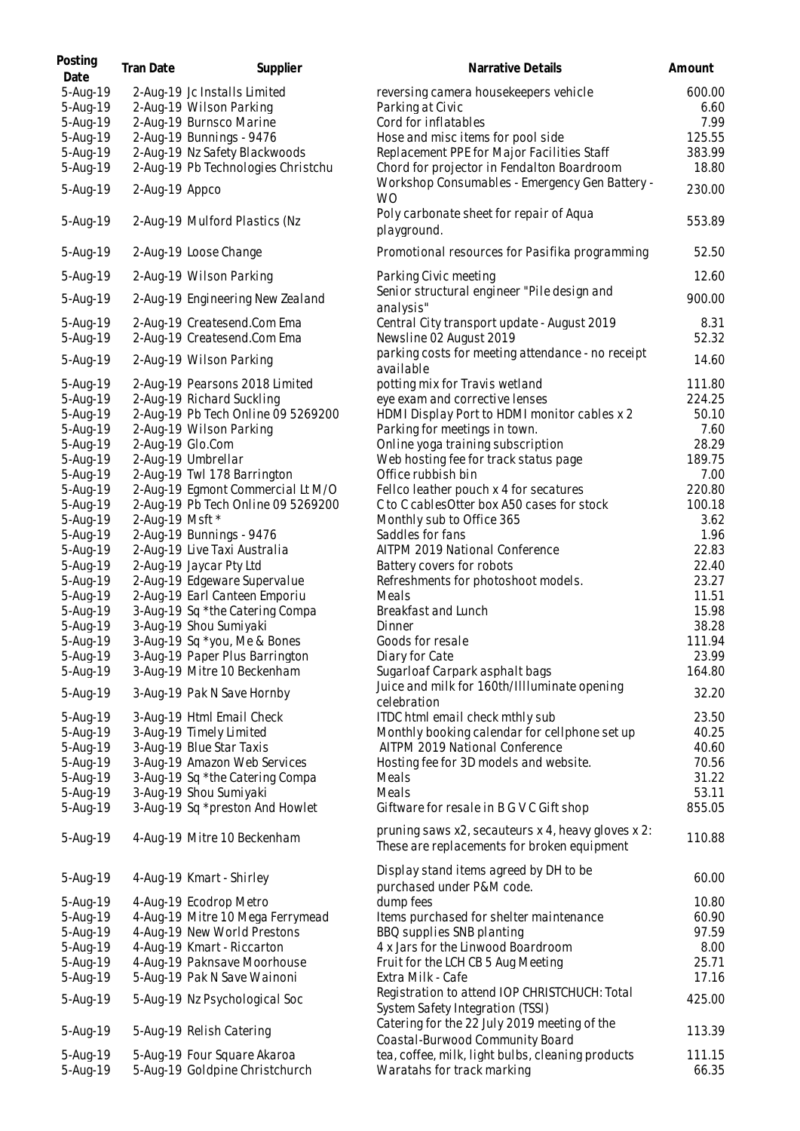| Posting<br>Date      | Tran Date        | Supplier                                                   | Narrative Details                                                                                 | Amount        |
|----------------------|------------------|------------------------------------------------------------|---------------------------------------------------------------------------------------------------|---------------|
| 5-Aug-19             |                  | 2-Aug-19 Jc Installs Limited                               | reversing camera housekeepers vehicle                                                             | 600.00        |
| 5-Aug-19             |                  | 2-Aug-19 Wilson Parking                                    | Parking at Civic                                                                                  | 6.60          |
| 5-Aug-19             |                  | 2-Aug-19 Burnsco Marine                                    | Cord for inflatables                                                                              | 7.99          |
| 5-Aug-19             |                  | 2-Aug-19 Bunnings - 9476                                   | Hose and misc items for pool side                                                                 | 125.55        |
| 5-Aug-19             |                  | 2-Aug-19 Nz Safety Blackwoods                              | Replacement PPE for Major Facilities Staff                                                        | 383.99        |
| 5-Aug-19             |                  | 2-Aug-19 Pb Technologies Christchu                         | Chord for projector in Fendalton Boardroom                                                        | 18.80         |
| 5-Aug-19             | 2-Aug-19 Appco   |                                                            | Workshop Consumables - Emergency Gen Battery -<br><b>WO</b>                                       | 230.00        |
| 5-Aug-19             |                  | 2-Aug-19 Mulford Plastics (Nz                              | Poly carbonate sheet for repair of Aqua<br>playground.                                            | 553.89        |
| 5-Aug-19             |                  | 2-Aug-19 Loose Change                                      | Promotional resources for Pasifika programming                                                    | 52.50         |
| 5-Aug-19             |                  | 2-Aug-19 Wilson Parking                                    | Parking Civic meeting                                                                             | 12.60         |
| 5-Aug-19             |                  | 2-Aug-19 Engineering New Zealand                           | Senior structural engineer "Pile design and<br>analysis"                                          | 900.00        |
| 5-Aug-19<br>5-Aug-19 |                  | 2-Aug-19 Createsend.Com Ema<br>2-Aug-19 Createsend.Com Ema | Central City transport update - August 2019<br>Newsline 02 August 2019                            | 8.31<br>52.32 |
|                      |                  |                                                            | parking costs for meeting attendance - no receipt                                                 | 14.60         |
| 5-Aug-19<br>5-Aug-19 |                  | 2-Aug-19 Wilson Parking<br>2-Aug-19 Pearsons 2018 Limited  | available<br>potting mix for Travis wetland                                                       | 111.80        |
| 5-Aug-19             |                  | 2-Aug-19 Richard Suckling                                  | eye exam and corrective lenses                                                                    | 224.25        |
| 5-Aug-19             |                  | 2-Aug-19 Pb Tech Online 09 5269200                         | HDMI Display Port to HDMI monitor cables x 2                                                      | 50.10         |
| 5-Aug-19             |                  | 2-Aug-19 Wilson Parking                                    | Parking for meetings in town.                                                                     | 7.60          |
| 5-Aug-19             | 2-Aug-19 Glo.Com |                                                            | Online yoga training subscription                                                                 | 28.29         |
| 5-Aug-19             |                  | 2-Aug-19 Umbrellar                                         | Web hosting fee for track status page                                                             | 189.75        |
| 5-Aug-19             |                  | 2-Aug-19 Twl 178 Barrington                                | Office rubbish bin                                                                                | 7.00          |
| 5-Aug-19             |                  | 2-Aug-19 Egmont Commercial Lt M/O                          | Fellco leather pouch x 4 for secatures                                                            | 220.80        |
| 5-Aug-19             |                  | 2-Aug-19 Pb Tech Online 09 5269200                         | C to C cables Otter box A50 cases for stock                                                       | 100.18        |
| 5-Aug-19             | 2-Aug-19 Msft *  |                                                            | Monthly sub to Office 365                                                                         | 3.62          |
| 5-Aug-19             |                  | 2-Aug-19 Bunnings - 9476                                   | Saddles for fans                                                                                  | 1.96          |
| 5-Aug-19             |                  | 2-Aug-19 Live Taxi Australia                               | AITPM 2019 National Conference                                                                    | 22.83         |
| 5-Aug-19             |                  | 2-Aug-19 Jaycar Pty Ltd                                    | Battery covers for robots                                                                         | 22.40         |
| 5-Aug-19             |                  | 2-Aug-19 Edgeware Supervalue                               | Refreshments for photoshoot models.                                                               | 23.27         |
| 5-Aug-19             |                  | 2-Aug-19 Earl Canteen Emporiu                              | Meals                                                                                             | 11.51         |
| 5-Aug-19             |                  | 3-Aug-19 Sq *the Catering Compa                            | Breakfast and Lunch                                                                               | 15.98         |
| 5-Aug-19             |                  | 3-Aug-19 Shou Sumiyaki                                     | Dinner                                                                                            | 38.28         |
| 5-Aug-19             |                  | 3-Aug-19 Sq *you, Me & Bones                               | Goods for resale                                                                                  | 111.94        |
| 5-Aug-19             |                  | 3-Aug-19 Paper Plus Barrington                             | Diary for Cate                                                                                    | 23.99         |
| 5-Aug-19             |                  | 3-Aug-19 Mitre 10 Beckenham                                | Sugarloaf Carpark asphalt bags                                                                    | 164.80        |
| 5-Aug-19             |                  | 3-Aug-19 Pak N Save Hornby                                 | Juice and milk for 160th/Illluminate opening<br>celebration                                       | 32.20         |
| 5-Aug-19             |                  | 3-Aug-19 Html Email Check                                  | ITDC html email check mthly sub                                                                   | 23.50         |
| 5-Aug-19             |                  | 3-Aug-19 Timely Limited                                    | Monthly booking calendar for cellphone set up                                                     | 40.25         |
| 5-Aug-19             |                  | 3-Aug-19 Blue Star Taxis                                   | AITPM 2019 National Conference                                                                    | 40.60         |
| 5-Aug-19             |                  | 3-Aug-19 Amazon Web Services                               | Hosting fee for 3D models and website.                                                            | 70.56         |
| 5-Aug-19             |                  | 3-Aug-19 Sq *the Catering Compa                            | Meals                                                                                             | 31.22         |
| 5-Aug-19             |                  | 3-Aug-19 Shou Sumiyaki                                     | Meals                                                                                             | 53.11         |
| 5-Aug-19             |                  | 3-Aug-19 Sq *preston And Howlet                            | Giftware for resale in B G V C Gift shop                                                          | 855.05        |
| 5-Aug-19             |                  | 4-Aug-19 Mitre 10 Beckenham                                | pruning saws x2, secauteurs x 4, heavy gloves x 2:<br>These are replacements for broken equipment | 110.88        |
| 5-Aug-19             |                  | 4-Aug-19 Kmart - Shirley                                   | Display stand items agreed by DH to be<br>purchased under P&M code.                               | 60.00         |
| 5-Aug-19             |                  | 4-Aug-19 Ecodrop Metro                                     | dump fees                                                                                         | 10.80         |
| 5-Aug-19             |                  | 4-Aug-19 Mitre 10 Mega Ferrymead                           | Items purchased for shelter maintenance                                                           | 60.90         |
| 5-Aug-19             |                  | 4-Aug-19 New World Prestons                                | BBQ supplies SNB planting                                                                         | 97.59         |
| 5-Aug-19             |                  | 4-Aug-19 Kmart - Riccarton                                 | 4 x Jars for the Linwood Boardroom                                                                | 8.00          |
| 5-Aug-19             |                  | 4-Aug-19 Paknsave Moorhouse                                | Fruit for the LCH CB 5 Aug Meeting                                                                | 25.71         |
| 5-Aug-19             |                  | 5-Aug-19 Pak N Save Wainoni                                | Extra Milk - Cafe                                                                                 | 17.16         |
| 5-Aug-19             |                  | 5-Aug-19 Nz Psychological Soc                              | Registration to attend IOP CHRISTCHUCH: Total                                                     | 425.00        |
|                      |                  |                                                            | System Safety Integration (TSSI)                                                                  |               |
| 5-Aug-19             |                  | 5-Aug-19 Relish Catering                                   | Catering for the 22 July 2019 meeting of the<br>Coastal-Burwood Community Board                   | 113.39        |
| 5-Aug-19             |                  | 5-Aug-19 Four Square Akaroa                                | tea, coffee, milk, light bulbs, cleaning products                                                 | 111.15        |
| 5-Aug-19             |                  | 5-Aug-19 Goldpine Christchurch                             | Waratahs for track marking                                                                        | 66.35         |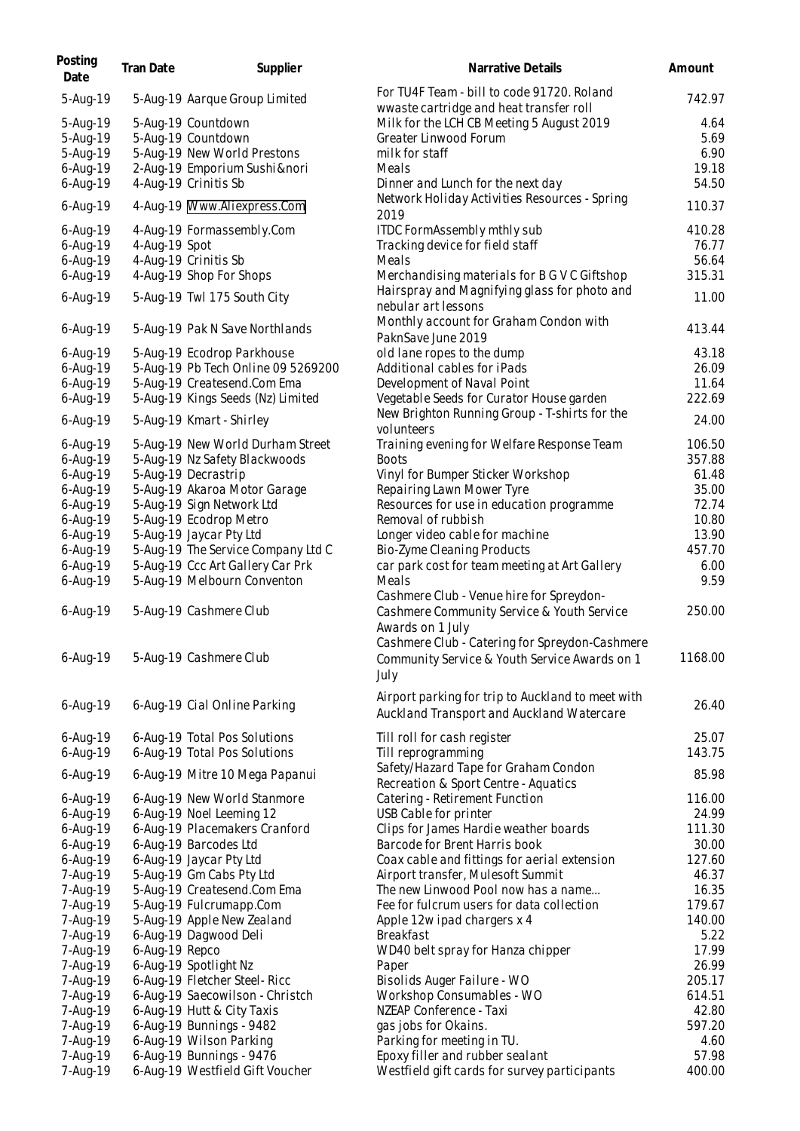| Posting<br>Date      | Tran Date      | Supplier                                                        | Narrative Details                                                                                          | Amount         |
|----------------------|----------------|-----------------------------------------------------------------|------------------------------------------------------------------------------------------------------------|----------------|
| 5-Aug-19             |                | 5-Aug-19 Aarque Group Limited                                   | For TU4F Team - bill to code 91720. Roland<br>wwaste cartridge and heat transfer roll                      | 742.97         |
| 5-Aug-19             |                | 5-Aug-19 Countdown                                              | Milk for the LCH CB Meeting 5 August 2019                                                                  | 4.64           |
| 5-Aug-19             |                | 5-Aug-19 Countdown                                              | Greater Linwood Forum                                                                                      | 5.69           |
| 5-Aug-19             |                | 5-Aug-19 New World Prestons                                     | milk for staff                                                                                             | 6.90           |
| 6-Aug-19             |                | 2-Aug-19 Emporium Sushi & nori                                  | Meals                                                                                                      | 19.18          |
| 6-Aug-19             |                | 4-Aug-19 Crinitis Sb                                            | Dinner and Lunch for the next day                                                                          | 54.50          |
| 6-Aug-19             |                | 4-Aug-19 Www.Aliexpress.Com                                     | Network Holiday Activities Resources - Spring<br>2019                                                      | 110.37         |
| 6-Aug-19             |                | 4-Aug-19 Formassembly.Com                                       | ITDC FormAssembly mthly sub                                                                                | 410.28         |
| 6-Aug-19             | 4-Aug-19 Spot  |                                                                 | Tracking device for field staff                                                                            | 76.77          |
| 6-Aug-19             |                | 4-Aug-19 Crinitis Sb                                            | Meals                                                                                                      | 56.64          |
| 6-Aug-19             |                | 4-Aug-19 Shop For Shops                                         | Merchandising materials for B G V C Giftshop                                                               | 315.31         |
|                      |                |                                                                 | Hairspray and Magnifying glass for photo and                                                               |                |
| 6-Aug-19             |                | 5-Aug-19 Twl 175 South City                                     | nebular art lessons<br>Monthly account for Graham Condon with                                              | 11.00          |
| 6-Aug-19             |                | 5-Aug-19 Pak N Save Northlands                                  | PaknSave June 2019                                                                                         | 413.44         |
| $6 - Aug-19$         |                | 5-Aug-19 Ecodrop Parkhouse                                      | old lane ropes to the dump                                                                                 | 43.18          |
| $6 - Aug-19$         |                | 5-Aug-19 Pb Tech Online 09 5269200                              | Additional cables for iPads                                                                                | 26.09          |
| 6-Aug-19             |                | 5-Aug-19 Createsend.Com Ema                                     | Development of Naval Point                                                                                 | 11.64          |
| 6-Aug-19             |                | 5-Aug-19 Kings Seeds (Nz) Limited                               | Vegetable Seeds for Curator House garden                                                                   | 222.69         |
| 6-Aug-19             |                | 5-Aug-19 Kmart - Shirley                                        | New Brighton Running Group - T-shirts for the<br>volunteers                                                | 24.00          |
| 6-Aug-19             |                | 5-Aug-19 New World Durham Street                                | Training evening for Welfare Response Team                                                                 | 106.50         |
| 6-Aug-19             |                | 5-Aug-19 Nz Safety Blackwoods                                   | <b>Boots</b>                                                                                               | 357.88         |
| 6-Aug-19             |                | 5-Aug-19 Decrastrip                                             | Vinyl for Bumper Sticker Workshop                                                                          | 61.48          |
| 6-Aug-19             |                | 5-Aug-19 Akaroa Motor Garage                                    | Repairing Lawn Mower Tyre                                                                                  | 35.00          |
| 6-Aug-19             |                | 5-Aug-19 Sign Network Ltd                                       | Resources for use in education programme                                                                   | 72.74          |
| 6-Aug-19             |                | 5-Aug-19 Ecodrop Metro                                          | Removal of rubbish                                                                                         | 10.80          |
| 6-Aug-19             |                | 5-Aug-19 Jaycar Pty Ltd                                         | Longer video cable for machine                                                                             | 13.90          |
| 6-Aug-19             |                | 5-Aug-19 The Service Company Ltd C                              | Bio-Zyme Cleaning Products                                                                                 | 457.70<br>6.00 |
| 6-Aug-19<br>6-Aug-19 |                | 5-Aug-19 Ccc Art Gallery Car Prk<br>5-Aug-19 Melbourn Conventon | car park cost for team meeting at Art Gallery<br>Meals                                                     | 9.59           |
| 6-Aug-19             |                | 5-Aug-19 Cashmere Club                                          | Cashmere Club - Venue hire for Spreydon-<br>Cashmere Community Service & Youth Service<br>Awards on 1 July | 250.00         |
| 6-Aug-19             |                | 5-Aug-19 Cashmere Club                                          | Cashmere Club - Catering for Spreydon-Cashmere<br>Community Service & Youth Service Awards on 1<br>July    | 1168.00        |
| 6-Aug-19             |                | 6-Aug-19 Cial Online Parking                                    | Airport parking for trip to Auckland to meet with<br>Auckland Transport and Auckland Watercare             | 26.40          |
| 6-Aug-19             |                | 6-Aug-19 Total Pos Solutions                                    | Till roll for cash register                                                                                | 25.07          |
| $6 - Aug-19$         |                | 6-Aug-19 Total Pos Solutions                                    | Till reprogramming                                                                                         | 143.75         |
|                      |                |                                                                 | Safety/Hazard Tape for Graham Condon                                                                       | 85.98          |
| 6-Aug-19             |                | 6-Aug-19 Mitre 10 Mega Papanui                                  | Recreation & Sport Centre - Aquatics                                                                       |                |
| $6 - Aug-19$         |                | 6-Aug-19 New World Stanmore                                     | Catering - Retirement Function                                                                             | 116.00         |
| 6-Aug-19             |                | 6-Aug-19 Noel Leeming 12                                        | USB Cable for printer                                                                                      | 24.99          |
| 6-Aug-19             |                | 6-Aug-19 Placemakers Cranford                                   | Clips for James Hardie weather boards                                                                      | 111.30         |
| $6 - Aug-19$         |                | 6-Aug-19 Barcodes Ltd                                           | Barcode for Brent Harris book                                                                              | 30.00          |
| $6 - Aug-19$         |                | 6-Aug-19 Jaycar Pty Ltd                                         | Coax cable and fittings for aerial extension                                                               | 127.60         |
| 7-Aug-19             |                | 5-Aug-19 Gm Cabs Pty Ltd                                        | Airport transfer, Mulesoft Summit                                                                          | 46.37          |
| 7-Aug-19             |                | 5-Aug-19 Createsend.Com Ema                                     | The new Linwood Pool now has a name                                                                        | 16.35          |
| 7-Aug-19             |                | 5-Aug-19 Fulcrumapp.Com                                         | Fee for fulcrum users for data collection                                                                  | 179.67         |
| 7-Aug-19             |                | 5-Aug-19 Apple New Zealand                                      | Apple 12w ipad chargers x 4                                                                                | 140.00         |
| 7-Aug-19             |                | 6-Aug-19 Dagwood Deli                                           | <b>Breakfast</b>                                                                                           | 5.22           |
| 7-Aug-19             | 6-Aug-19 Repco |                                                                 | WD40 belt spray for Hanza chipper                                                                          | 17.99          |
| 7-Aug-19             |                | 6-Aug-19 Spotlight Nz                                           | Paper                                                                                                      | 26.99          |
| 7-Aug-19             |                | 6-Aug-19 Fletcher Steel-Ricc                                    | Bisolids Auger Failure - WO                                                                                | 205.17         |
| 7-Aug-19             |                | 6-Aug-19 Saecowilson - Christch                                 | Workshop Consumables - WO                                                                                  | 614.51         |
| 7-Aug-19             |                | 6-Aug-19 Hutt & City Taxis                                      | NZEAP Conference - Taxi                                                                                    | 42.80          |
| 7-Aug-19             |                | 6-Aug-19 Bunnings - 9482                                        | gas jobs for Okains.                                                                                       | 597.20         |
| 7-Aug-19             |                | 6-Aug-19 Wilson Parking<br>6-Aug-19 Bunnings - 9476             | Parking for meeting in TU.<br>Epoxy filler and rubber sealant                                              | 4.60<br>57.98  |
| 7-Aug-19<br>7-Aug-19 |                | 6-Aug-19 Westfield Gift Voucher                                 | Westfield gift cards for survey participants                                                               | 400.00         |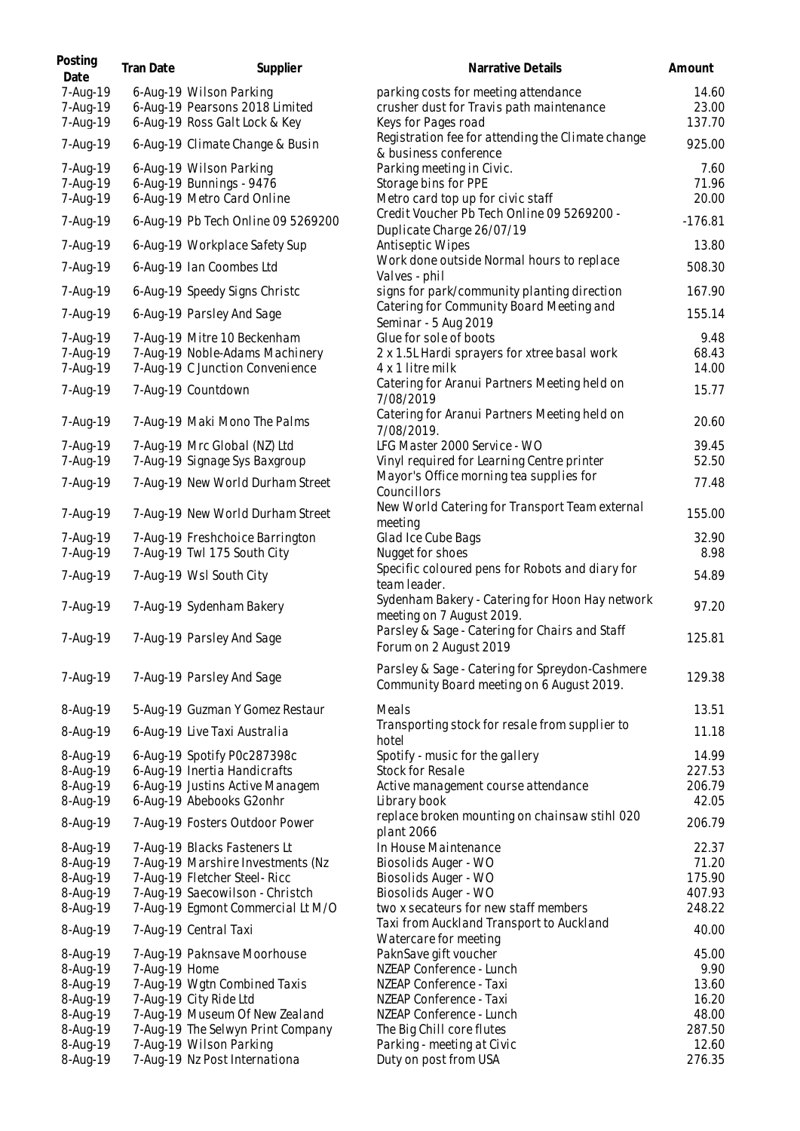| Posting<br>Date                  | Tran Date     | Supplier                                                                                         | Narrative Details                                                                                       | Amount                   |
|----------------------------------|---------------|--------------------------------------------------------------------------------------------------|---------------------------------------------------------------------------------------------------------|--------------------------|
| 7-Aug-19<br>7-Aug-19<br>7-Aug-19 |               | 6-Aug-19 Wilson Parking<br>6-Aug-19 Pearsons 2018 Limited<br>6-Aug-19 Ross Galt Lock & Key       | parking costs for meeting attendance<br>crusher dust for Travis path maintenance<br>Keys for Pages road | 14.60<br>23.00<br>137.70 |
| 7-Aug-19                         |               | 6-Aug-19 Climate Change & Busin                                                                  | Registration fee for attending the Climate change                                                       | 925.00                   |
| 7-Aug-19                         |               | 6-Aug-19 Wilson Parking                                                                          | & business conference<br>Parking meeting in Civic.                                                      | 7.60                     |
| 7-Aug-19<br>7-Aug-19             |               | 6-Aug-19 Bunnings - 9476<br>6-Aug-19 Metro Card Online                                           | Storage bins for PPE<br>Metro card top up for civic staff                                               | 71.96<br>20.00           |
| 7-Aug-19                         |               | 6-Aug-19 Pb Tech Online 09 5269200                                                               | Credit Voucher Pb Tech Online 09 5269200 -                                                              | $-176.81$                |
| 7-Aug-19                         |               | 6-Aug-19 Workplace Safety Sup                                                                    | Duplicate Charge 26/07/19<br>Antiseptic Wipes                                                           | 13.80                    |
| 7-Aug-19                         |               | 6-Aug-19 Ian Coombes Ltd                                                                         | Work done outside Normal hours to replace                                                               | 508.30                   |
| 7-Aug-19                         |               | 6-Aug-19 Speedy Signs Christc                                                                    | Valves - phil<br>signs for park/community planting direction                                            | 167.90                   |
| 7-Aug-19                         |               | 6-Aug-19 Parsley And Sage                                                                        | Catering for Community Board Meeting and<br>Seminar - 5 Aug 2019                                        | 155.14                   |
| 7-Aug-19<br>7-Aug-19<br>7-Aug-19 |               | 7-Aug-19 Mitre 10 Beckenham<br>7-Aug-19 Noble-Adams Machinery<br>7-Aug-19 C Junction Convenience | Glue for sole of boots<br>2 x 1.5L Hardi sprayers for xtree basal work<br>4 x 1 litre milk              | 9.48<br>68.43<br>14.00   |
| 7-Aug-19                         |               | 7-Aug-19 Countdown                                                                               | Catering for Aranui Partners Meeting held on<br>7/08/2019                                               | 15.77                    |
| 7-Aug-19                         |               | 7-Aug-19 Maki Mono The Palms                                                                     | Catering for Aranui Partners Meeting held on<br>7/08/2019.                                              | 20.60                    |
| 7-Aug-19<br>7-Aug-19             |               | 7-Aug-19 Mrc Global (NZ) Ltd<br>7-Aug-19 Signage Sys Baxgroup                                    | LFG Master 2000 Service - WO<br>Vinyl required for Learning Centre printer                              | 39.45<br>52.50           |
| 7-Aug-19                         |               | 7-Aug-19 New World Durham Street                                                                 | Mayor's Office morning tea supplies for                                                                 | 77.48                    |
| 7-Aug-19                         |               | 7-Aug-19 New World Durham Street                                                                 | Councillors<br>New World Catering for Transport Team external                                           | 155.00                   |
| 7-Aug-19                         |               | 7-Aug-19 Freshchoice Barrington                                                                  | meeting<br>Glad Ice Cube Bags                                                                           | 32.90                    |
| 7-Aug-19                         |               | 7-Aug-19 Twl 175 South City                                                                      | Nugget for shoes<br>Specific coloured pens for Robots and diary for                                     | 8.98                     |
| 7-Aug-19                         |               | 7-Aug-19 Wsl South City                                                                          | team leader.                                                                                            | 54.89                    |
| 7-Aug-19                         |               | 7-Aug-19 Sydenham Bakery                                                                         | Sydenham Bakery - Catering for Hoon Hay network<br>meeting on 7 August 2019.                            | 97.20                    |
| 7-Aug-19                         |               | 7-Aug-19 Parsley And Sage                                                                        | Parsley & Sage - Catering for Chairs and Staff<br>Forum on 2 August 2019                                | 125.81                   |
| 7-Aug-19                         |               | 7-Aug-19 Parsley And Sage                                                                        | Parsley & Sage - Catering for Spreydon-Cashmere<br>Community Board meeting on 6 August 2019.            | 129.38                   |
| 8-Aug-19                         |               | 5-Aug-19 Guzman Y Gomez Restaur                                                                  | Meals                                                                                                   | 13.51                    |
| 8-Aug-19                         |               | 6-Aug-19 Live Taxi Australia                                                                     | Transporting stock for resale from supplier to<br>hotel                                                 | 11.18                    |
| 8-Aug-19                         |               | 6-Aug-19 Spotify P0c287398c                                                                      | Spotify - music for the gallery                                                                         | 14.99                    |
| 8-Aug-19<br>8-Aug-19             |               | 6-Aug-19 Inertia Handicrafts<br>6-Aug-19 Justins Active Managem                                  | Stock for Resale<br>Active management course attendance                                                 | 227.53<br>206.79         |
| 8-Aug-19                         |               | 6-Aug-19 Abebooks G2onhr                                                                         | Library book                                                                                            | 42.05                    |
| 8-Aug-19                         |               | 7-Aug-19 Fosters Outdoor Power                                                                   | replace broken mounting on chainsaw stihl 020<br>plant 2066                                             | 206.79                   |
| 8-Aug-19                         |               | 7-Aug-19 Blacks Fasteners Lt                                                                     | In House Maintenance                                                                                    | 22.37<br>71.20           |
| 8-Aug-19<br>8-Aug-19             |               | 7-Aug-19 Marshire Investments (Nz<br>7-Aug-19 Fletcher Steel-Ricc                                | Biosolids Auger - WO<br>Biosolids Auger - WO                                                            | 175.90                   |
| 8-Aug-19                         |               | 7-Aug-19 Saecowilson - Christch                                                                  | Biosolids Auger - WO                                                                                    | 407.93                   |
| 8-Aug-19                         |               | 7-Aug-19 Egmont Commercial Lt M/O                                                                | two x secateurs for new staff members                                                                   | 248.22                   |
| 8-Aug-19                         |               | 7-Aug-19 Central Taxi                                                                            | Taxi from Auckland Transport to Auckland<br>Watercare for meeting                                       | 40.00                    |
| 8-Aug-19                         |               | 7-Aug-19 Paknsave Moorhouse                                                                      | PaknSave gift voucher                                                                                   | 45.00                    |
| 8-Aug-19                         | 7-Aug-19 Home |                                                                                                  | NZEAP Conference - Lunch                                                                                | 9.90                     |
| 8-Aug-19                         |               | 7-Aug-19 Wgtn Combined Taxis                                                                     | NZEAP Conference - Taxi                                                                                 | 13.60                    |
| 8-Aug-19                         |               | 7-Aug-19 City Ride Ltd                                                                           | NZEAP Conference - Taxi                                                                                 | 16.20                    |
| 8-Aug-19                         |               | 7-Aug-19 Museum Of New Zealand                                                                   | NZEAP Conference - Lunch                                                                                | 48.00                    |
| 8-Aug-19<br>8-Aug-19             |               | 7-Aug-19 The Selwyn Print Company<br>7-Aug-19 Wilson Parking                                     | The Big Chill core flutes<br>Parking - meeting at Civic                                                 | 287.50<br>12.60          |
| 8-Aug-19                         |               | 7-Aug-19 Nz Post Internationa                                                                    | Duty on post from USA                                                                                   | 276.35                   |
|                                  |               |                                                                                                  |                                                                                                         |                          |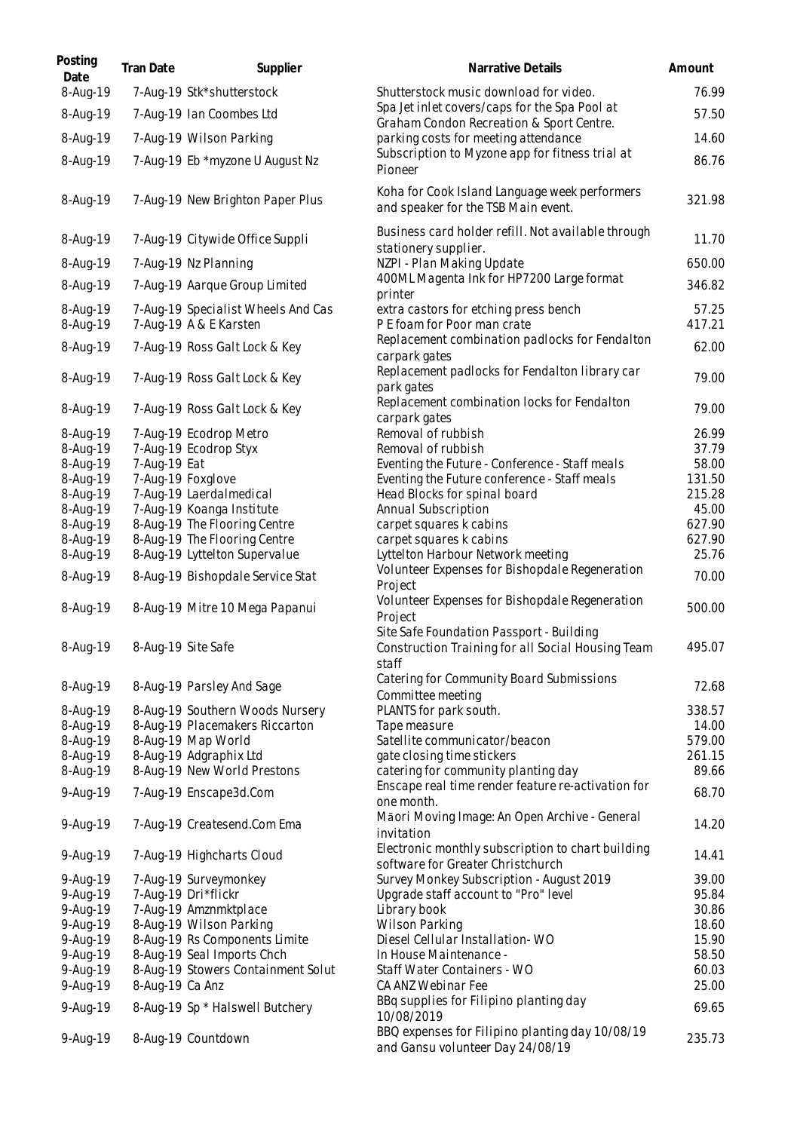| Posting<br>Date      | Tran Date          | Supplier                                                     | Narrative Details                                                                                      | Amount           |
|----------------------|--------------------|--------------------------------------------------------------|--------------------------------------------------------------------------------------------------------|------------------|
| 8-Aug-19             |                    | 7-Aug-19 Stk*shutterstock                                    | Shutterstock music download for video.<br>Spa Jet inlet covers/caps for the Spa Pool at                | 76.99            |
| 8-Aug-19             |                    | 7-Aug-19 Ian Coombes Ltd                                     | Graham Condon Recreation & Sport Centre.                                                               | 57.50            |
| 8-Aug-19             |                    | 7-Aug-19 Wilson Parking                                      | parking costs for meeting attendance                                                                   | 14.60            |
| 8-Aug-19             |                    | 7-Aug-19 Eb *myzone U August Nz                              | Subscription to Myzone app for fitness trial at<br>Pioneer                                             | 86.76            |
| 8-Aug-19             |                    | 7-Aug-19 New Brighton Paper Plus                             | Koha for Cook Island Language week performers<br>and speaker for the TSB Main event.                   | 321.98           |
| 8-Aug-19             |                    | 7-Aug-19 Citywide Office Suppli                              | Business card holder refill. Not available through<br>stationery supplier.                             | 11.70            |
| 8-Aug-19             |                    | 7-Aug-19 Nz Planning                                         | NZPI - Plan Making Update                                                                              | 650.00           |
| 8-Aug-19             |                    | 7-Aug-19 Aarque Group Limited                                | 400ML Magenta Ink for HP7200 Large format<br>printer                                                   | 346.82           |
| 8-Aug-19<br>8-Aug-19 |                    | 7-Aug-19 Specialist Wheels And Cas<br>7-Aug-19 A & E Karsten | extra castors for etching press bench<br>P E foam for Poor man crate                                   | 57.25<br>417.21  |
| 8-Aug-19             |                    | 7-Aug-19 Ross Galt Lock & Key                                | Replacement combination padlocks for Fendalton<br>carpark gates                                        | 62.00            |
| 8-Aug-19             |                    | 7-Aug-19 Ross Galt Lock & Key                                | Replacement padlocks for Fendalton library car<br>park gates                                           | 79.00            |
| 8-Aug-19             |                    | 7-Aug-19 Ross Galt Lock & Key                                | Replacement combination locks for Fendalton<br>carpark gates                                           | 79.00            |
| 8-Aug-19             |                    | 7-Aug-19 Ecodrop Metro                                       | Removal of rubbish                                                                                     | 26.99            |
| 8-Aug-19             |                    | 7-Aug-19 Ecodrop Styx                                        | Removal of rubbish                                                                                     | 37.79            |
| 8-Aug-19             | 7-Aug-19 Eat       |                                                              | Eventing the Future - Conference - Staff meals                                                         | 58.00            |
| 8-Aug-19<br>8-Aug-19 |                    | 7-Aug-19 Foxglove<br>7-Aug-19 Laerdalmedical                 | Eventing the Future conference - Staff meals<br>Head Blocks for spinal board                           | 131.50<br>215.28 |
| 8-Aug-19             |                    | 7-Aug-19 Koanga Institute                                    | Annual Subscription                                                                                    | 45.00            |
| 8-Aug-19             |                    | 8-Aug-19 The Flooring Centre                                 | carpet squares k cabins                                                                                | 627.90           |
| 8-Aug-19             |                    | 8-Aug-19 The Flooring Centre                                 | carpet squares k cabins                                                                                | 627.90           |
| 8-Aug-19             |                    | 8-Aug-19 Lyttelton Supervalue                                | Lyttelton Harbour Network meeting                                                                      | 25.76            |
| 8-Aug-19             |                    | 8-Aug-19 Bishopdale Service Stat                             | Volunteer Expenses for Bishopdale Regeneration<br>Project                                              | 70.00            |
| 8-Aug-19             |                    | 8-Aug-19 Mitre 10 Mega Papanui                               | Volunteer Expenses for Bishopdale Regeneration<br>Project                                              | 500.00           |
| 8-Aug-19             | 8-Aug-19 Site Safe |                                                              | Site Safe Foundation Passport - Building<br>Construction Training for all Social Housing Team<br>staff | 495.07           |
| 8-Aug-19             |                    | 8-Aug-19 Parsley And Sage                                    | Catering for Community Board Submissions<br>Committee meeting                                          | 72.68            |
| 8-Aug-19             |                    | 8-Aug-19 Southern Woods Nursery                              | PLANTS for park south.                                                                                 | 338.57           |
| 8-Aug-19             |                    | 8-Aug-19 Placemakers Riccarton                               | Tape measure                                                                                           | 14.00            |
| 8-Aug-19             |                    | 8-Aug-19 Map World                                           | Satellite communicator/beacon                                                                          | 579.00           |
| 8-Aug-19             |                    | 8-Aug-19 Adgraphix Ltd                                       | gate closing time stickers                                                                             | 261.15           |
| 8-Aug-19             |                    | 8-Aug-19 New World Prestons                                  | catering for community planting day                                                                    | 89.66            |
| 9-Aug-19             |                    | 7-Aug-19 Enscape3d.Com                                       | Enscape real time render feature re-activation for<br>one month.                                       | 68.70            |
| 9-Aug-19             |                    | 7-Aug-19 Createsend.Com Ema                                  | Māori Moving Image: An Open Archive - General<br>invitation                                            | 14.20            |
| 9-Aug-19             |                    | 7-Aug-19 Highcharts Cloud                                    | Electronic monthly subscription to chart building<br>software for Greater Christchurch                 | 14.41            |
| 9-Aug-19             |                    | 7-Aug-19 Surveymonkey                                        | Survey Monkey Subscription - August 2019                                                               | 39.00            |
| 9-Aug-19             |                    | 7-Aug-19 Dri*flickr                                          | Upgrade staff account to "Pro" level                                                                   | 95.84            |
| 9-Aug-19             |                    | 7-Aug-19 Amznmktplace                                        | Library book                                                                                           | 30.86            |
| 9-Aug-19             |                    | 8-Aug-19 Wilson Parking                                      | <b>Wilson Parking</b>                                                                                  | 18.60            |
| 9-Aug-19             |                    | 8-Aug-19 Rs Components Limite                                | Diesel Cellular Installation-WO                                                                        | 15.90            |
| 9-Aug-19             |                    | 8-Aug-19 Seal Imports Chch                                   | In House Maintenance -                                                                                 | 58.50            |
| 9-Aug-19             |                    | 8-Aug-19 Stowers Containment Solut                           | Staff Water Containers - WO                                                                            | 60.03            |
| 9-Aug-19<br>9-Aug-19 | 8-Aug-19 Ca Anz    | 8-Aug-19 Sp * Halswell Butchery                              | CA ANZ Webinar Fee<br>BBq supplies for Filipino planting day                                           | 25.00<br>69.65   |
| 9-Aug-19             |                    | 8-Aug-19 Countdown                                           | 10/08/2019<br>BBQ expenses for Filipino planting day 10/08/19<br>and Gansu volunteer Day 24/08/19      | 235.73           |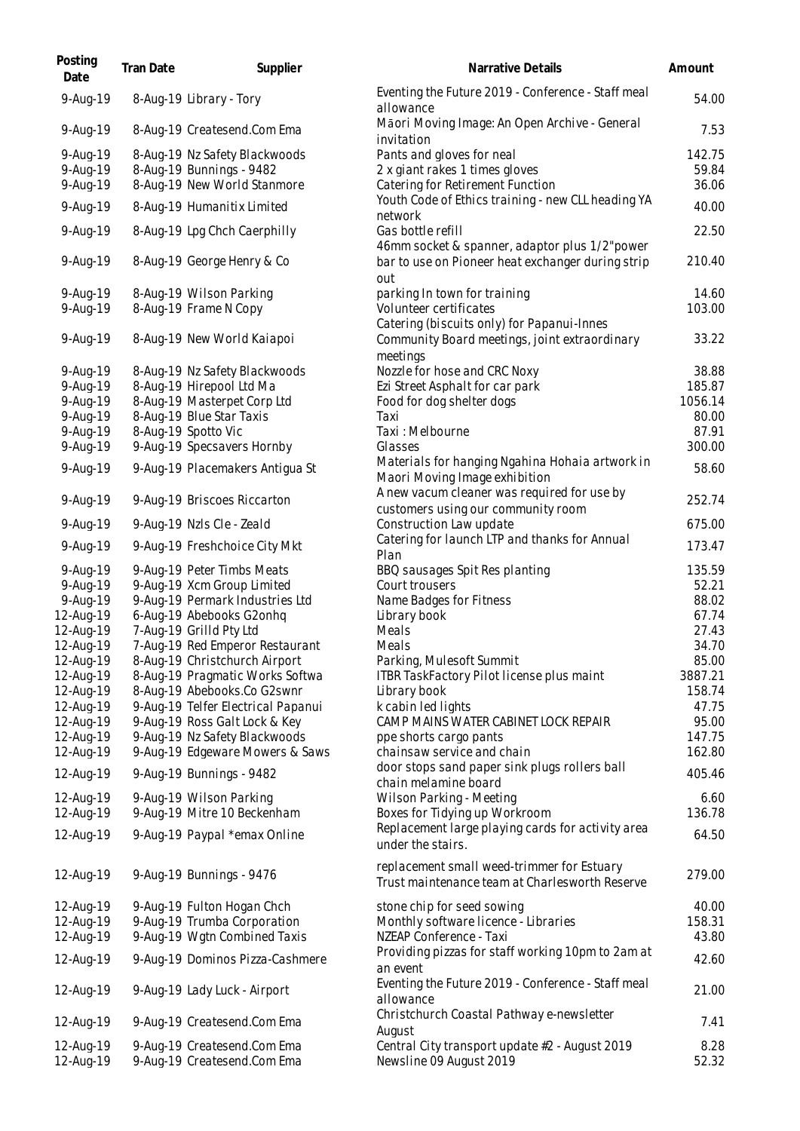| Posting<br>Date | Tran Date | Supplier                           | Narrative Details                                                                            | Amount  |
|-----------------|-----------|------------------------------------|----------------------------------------------------------------------------------------------|---------|
| 9-Aug-19        |           | 8-Aug-19 Library - Tory            | Eventing the Future 2019 - Conference - Staff meal<br>allowance                              | 54.00   |
| 9-Aug-19        |           | 8-Aug-19 Createsend.Com Ema        | Māori Moving Image: An Open Archive - General<br>invitation                                  | 7.53    |
| 9-Aug-19        |           | 8-Aug-19 Nz Safety Blackwoods      | Pants and gloves for neal                                                                    | 142.75  |
| 9-Aug-19        |           | 8-Aug-19 Bunnings - 9482           | 2 x giant rakes 1 times gloves                                                               | 59.84   |
| 9-Aug-19        |           | 8-Aug-19 New World Stanmore        | Catering for Retirement Function                                                             | 36.06   |
| 9-Aug-19        |           | 8-Aug-19 Humanitix Limited         | Youth Code of Ethics training - new CLL heading YA                                           | 40.00   |
|                 |           |                                    | network                                                                                      |         |
| 9-Aug-19        |           | 8-Aug-19 Lpg Chch Caerphilly       | Gas bottle refill<br>46mm socket & spanner, adaptor plus 1/2"power                           | 22.50   |
| 9-Aug-19        |           | 8-Aug-19 George Henry & Co         | bar to use on Pioneer heat exchanger during strip<br>out                                     | 210.40  |
| $9 - Aug - 19$  |           | 8-Aug-19 Wilson Parking            | parking In town for training                                                                 | 14.60   |
| 9-Aug-19        |           | 8-Aug-19 Frame N Copy              | Volunteer certificates                                                                       | 103.00  |
|                 |           |                                    | Catering (biscuits only) for Papanui-Innes                                                   |         |
| 9-Aug-19        |           | 8-Aug-19 New World Kaiapoi         | Community Board meetings, joint extraordinary                                                | 33.22   |
|                 |           |                                    | meetings                                                                                     |         |
| 9-Aug-19        |           | 8-Aug-19 Nz Safety Blackwoods      | Nozzle for hose and CRC Noxy                                                                 | 38.88   |
| 9-Aug-19        |           | 8-Aug-19 Hirepool Ltd Ma           | Ezi Street Asphalt for car park                                                              | 185.87  |
| 9-Aug-19        |           | 8-Aug-19 Masterpet Corp Ltd        | Food for dog shelter dogs                                                                    | 1056.14 |
| 9-Aug-19        |           | 8-Aug-19 Blue Star Taxis           | Taxi                                                                                         | 80.00   |
| 9-Aug-19        |           | 8-Aug-19 Spotto Vic                | Taxi: Melbourne                                                                              | 87.91   |
| 9-Aug-19        |           | 9-Aug-19 Specsavers Hornby         | Glasses                                                                                      | 300.00  |
|                 |           |                                    | Materials for hanging Ngahina Hohaia artwork in                                              |         |
| 9-Aug-19        |           | 9-Aug-19 Placemakers Antigua St    | Maori Moving Image exhibition                                                                | 58.60   |
| 9-Aug-19        |           | 9-Aug-19 Briscoes Riccarton        | A new vacum cleaner was required for use by<br>customers using our community room            | 252.74  |
| 9-Aug-19        |           | 9-Aug-19 Nzls Cle - Zeald          | Construction Law update                                                                      | 675.00  |
| 9-Aug-19        |           | 9-Aug-19 Freshchoice City Mkt      | Catering for launch LTP and thanks for Annual<br>Plan                                        | 173.47  |
| 9-Aug-19        |           | 9-Aug-19 Peter Timbs Meats         | BBQ sausages Spit Res planting                                                               | 135.59  |
| 9-Aug-19        |           | 9-Aug-19 Xcm Group Limited         | Court trousers                                                                               | 52.21   |
| 9-Aug-19        |           | 9-Aug-19 Permark Industries Ltd    | Name Badges for Fitness                                                                      | 88.02   |
| 12-Aug-19       |           | 6-Aug-19 Abebooks G2onhq           | Library book                                                                                 | 67.74   |
| 12-Aug-19       |           | 7-Aug-19 Grilld Pty Ltd            | Meals                                                                                        | 27.43   |
| 12-Aug-19       |           | 7-Aug-19 Red Emperor Restaurant    | Meals                                                                                        | 34.70   |
| 12-Aug-19       |           | 8-Aug-19 Christchurch Airport      | Parking, Mulesoft Summit                                                                     | 85.00   |
| 12-Aug-19       |           | 8-Aug-19 Pragmatic Works Softwa    | ITBR TaskFactory Pilot license plus maint                                                    | 3887.21 |
| 12-Aug-19       |           | 8-Aug-19 Abebooks.Co G2swnr        | Library book                                                                                 | 158.74  |
| 12-Aug-19       |           | 9-Aug-19 Telfer Electrical Papanui | k cabin led lights                                                                           | 47.75   |
| 12-Aug-19       |           | 9-Aug-19 Ross Galt Lock & Key      | CAMP MAINS WATER CABINET LOCK REPAIR                                                         | 95.00   |
| 12-Aug-19       |           | 9-Aug-19 Nz Safety Blackwoods      | ppe shorts cargo pants                                                                       | 147.75  |
| 12-Aug-19       |           | 9-Aug-19 Edgeware Mowers & Saws    | chainsaw service and chain                                                                   | 162.80  |
|                 |           |                                    | door stops sand paper sink plugs rollers ball                                                |         |
| 12-Aug-19       |           | 9-Aug-19 Bunnings - 9482           | chain melamine board                                                                         | 405.46  |
| 12-Aug-19       |           | 9-Aug-19 Wilson Parking            | Wilson Parking - Meeting                                                                     | 6.60    |
| 12-Aug-19       |           | 9-Aug-19 Mitre 10 Beckenham        | Boxes for Tidying up Workroom                                                                | 136.78  |
| 12-Aug-19       |           | 9-Aug-19 Paypal *emax Online       | Replacement large playing cards for activity area<br>under the stairs.                       | 64.50   |
| 12-Aug-19       |           | 9-Aug-19 Bunnings - 9476           | replacement small weed-trimmer for Estuary<br>Trust maintenance team at Charlesworth Reserve | 279.00  |
| 12-Aug-19       |           | 9-Aug-19 Fulton Hogan Chch         | stone chip for seed sowing                                                                   | 40.00   |
| 12-Aug-19       |           | 9-Aug-19 Trumba Corporation        | Monthly software licence - Libraries                                                         | 158.31  |
| 12-Aug-19       |           | 9-Aug-19 Wgtn Combined Taxis       | NZEAP Conference - Taxi                                                                      | 43.80   |
|                 |           |                                    | Providing pizzas for staff working 10pm to 2am at                                            |         |
| 12-Aug-19       |           | 9-Aug-19 Dominos Pizza-Cashmere    | an event<br>Eventing the Future 2019 - Conference - Staff meal                               | 42.60   |
| 12-Aug-19       |           | 9-Aug-19 Lady Luck - Airport       | allowance                                                                                    | 21.00   |
| 12-Aug-19       |           | 9-Aug-19 Createsend.Com Ema        | Christchurch Coastal Pathway e-newsletter<br>August                                          | 7.41    |
| 12-Aug-19       |           | 9-Aug-19 Createsend.Com Ema        | Central City transport update #2 - August 2019                                               | 8.28    |
| 12-Aug-19       |           | 9-Aug-19 Createsend.Com Ema        | Newsline 09 August 2019                                                                      | 52.32   |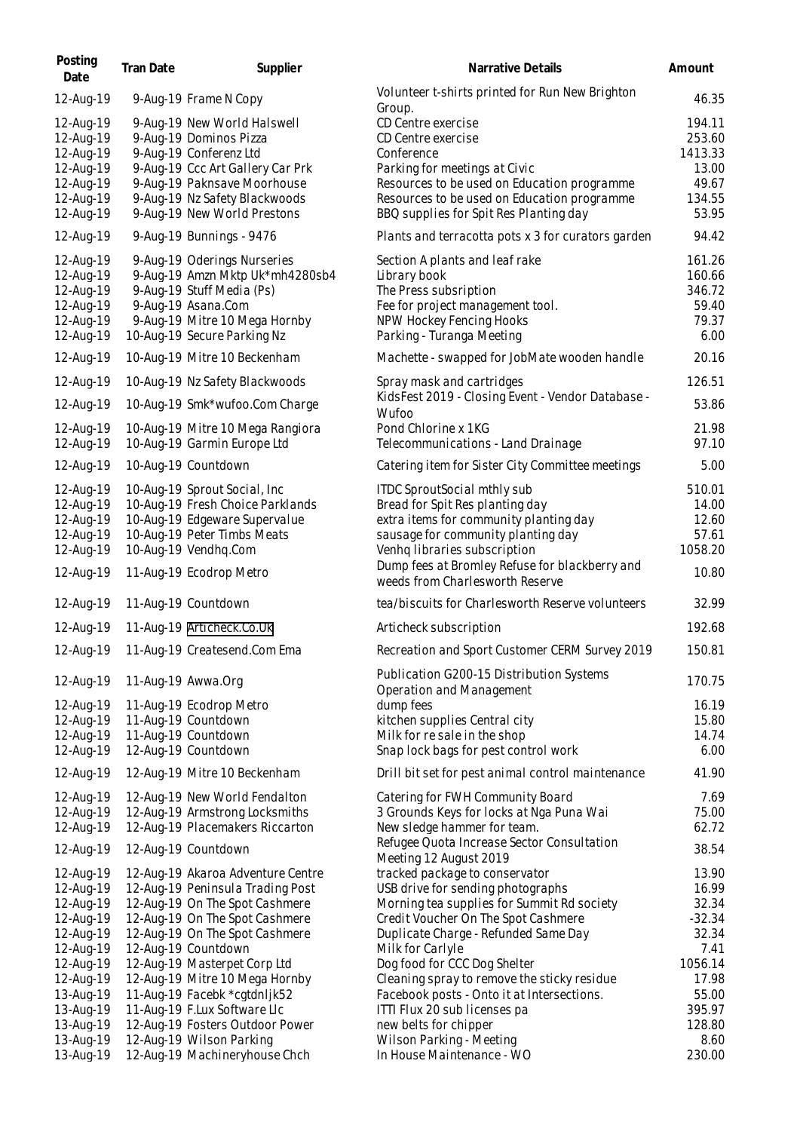| Posting<br>Date                                                                         | Tran Date | Supplier                                                                                                                                                                                                           | Narrative Details                                                                                                                                                                                                                                                   | Amount                                                           |
|-----------------------------------------------------------------------------------------|-----------|--------------------------------------------------------------------------------------------------------------------------------------------------------------------------------------------------------------------|---------------------------------------------------------------------------------------------------------------------------------------------------------------------------------------------------------------------------------------------------------------------|------------------------------------------------------------------|
| 12-Aug-19                                                                               |           | 9-Aug-19 Frame N Copy                                                                                                                                                                                              | Volunteer t-shirts printed for Run New Brighton<br>Group.                                                                                                                                                                                                           | 46.35                                                            |
| 12-Aug-19<br>12-Aug-19<br>12-Aug-19<br>12-Aug-19<br>12-Aug-19<br>12-Aug-19<br>12-Aug-19 |           | 9-Aug-19 New World Halswell<br>9-Aug-19 Dominos Pizza<br>9-Aug-19 Conferenz Ltd<br>9-Aug-19 Ccc Art Gallery Car Prk<br>9-Aug-19 Paknsave Moorhouse<br>9-Aug-19 Nz Safety Blackwoods<br>9-Aug-19 New World Prestons | CD Centre exercise<br>CD Centre exercise<br>Conference<br>Parking for meetings at Civic<br>Resources to be used on Education programme<br>Resources to be used on Education programme<br>BBQ supplies for Spit Res Planting day                                     | 194.11<br>253.60<br>1413.33<br>13.00<br>49.67<br>134.55<br>53.95 |
| 12-Aug-19                                                                               |           | 9-Aug-19 Bunnings - 9476                                                                                                                                                                                           | Plants and terracotta pots x 3 for curators garden                                                                                                                                                                                                                  | 94.42                                                            |
| 12-Aug-19<br>12-Aug-19<br>12-Aug-19<br>12-Aug-19<br>12-Aug-19<br>12-Aug-19              |           | 9-Aug-19 Oderings Nurseries<br>9-Aug-19 Amzn Mktp Uk*mh4280sb4<br>9-Aug-19 Stuff Media (Ps)<br>9-Aug-19 Asana.Com<br>9-Aug-19 Mitre 10 Mega Hornby<br>10-Aug-19 Secure Parking Nz                                  | Section A plants and leaf rake<br>Library book<br>The Press subsription<br>Fee for project management tool.<br>NPW Hockey Fencing Hooks<br>Parking - Turanga Meeting                                                                                                | 161.26<br>160.66<br>346.72<br>59.40<br>79.37<br>6.00             |
| 12-Aug-19                                                                               |           | 10-Aug-19 Mitre 10 Beckenham                                                                                                                                                                                       | Machette - swapped for JobMate wooden handle                                                                                                                                                                                                                        | 20.16                                                            |
| 12-Aug-19                                                                               |           | 10-Aug-19 Nz Safety Blackwoods                                                                                                                                                                                     | Spray mask and cartridges<br>KidsFest 2019 - Closing Event - Vendor Database -                                                                                                                                                                                      | 126.51                                                           |
| 12-Aug-19<br>12-Aug-19<br>12-Aug-19                                                     |           | 10-Aug-19 Smk*wufoo.Com Charge<br>10-Aug-19 Mitre 10 Mega Rangiora<br>10-Aug-19 Garmin Europe Ltd                                                                                                                  | Wufoo<br>Pond Chlorine x 1KG<br>Telecommunications - Land Drainage                                                                                                                                                                                                  | 53.86<br>21.98<br>97.10                                          |
| 12-Aug-19                                                                               |           | 10-Aug-19 Countdown                                                                                                                                                                                                | Catering item for Sister City Committee meetings                                                                                                                                                                                                                    | 5.00                                                             |
| 12-Aug-19<br>12-Aug-19<br>12-Aug-19<br>12-Aug-19<br>12-Aug-19<br>12-Aug-19              |           | 10-Aug-19 Sprout Social, Inc.<br>10-Aug-19 Fresh Choice Parklands<br>10-Aug-19 Edgeware Supervalue<br>10-Aug-19 Peter Timbs Meats<br>10-Aug-19 Vendhq.Com<br>11-Aug-19 Ecodrop Metro                               | ITDC SproutSocial mthly sub<br>Bread for Spit Res planting day<br>extra items for community planting day<br>sausage for community planting day<br>Venhq libraries subscription<br>Dump fees at Bromley Refuse for blackberry and<br>weeds from Charlesworth Reserve | 510.01<br>14.00<br>12.60<br>57.61<br>1058.20<br>10.80            |
| 12-Aug-19                                                                               |           | 11-Aug-19 Countdown                                                                                                                                                                                                | tea/biscuits for Charlesworth Reserve volunteers                                                                                                                                                                                                                    | 32.99                                                            |
| 12-Aug-19                                                                               |           | 11-Aug-19 Articheck.Co.Uk                                                                                                                                                                                          | Articheck subscription                                                                                                                                                                                                                                              | 192.68                                                           |
|                                                                                         |           | 12-Aug-19 11-Aug-19 Createsend.Com Ema                                                                                                                                                                             | Recreation and Sport Customer CERM Survey 2019                                                                                                                                                                                                                      | 150.81                                                           |
| 12-Aug-19<br>12-Aug-19                                                                  |           | 11-Aug-19 Awwa.Org<br>11-Aug-19 Ecodrop Metro                                                                                                                                                                      | Publication G200-15 Distribution Systems<br>Operation and Management<br>dump fees                                                                                                                                                                                   | 170.75<br>16.19                                                  |
| 12-Aug-19                                                                               |           | 11-Aug-19 Countdown                                                                                                                                                                                                | kitchen supplies Central city                                                                                                                                                                                                                                       | 15.80                                                            |
| 12-Aug-19<br>12-Aug-19                                                                  |           | 11-Aug-19 Countdown<br>12-Aug-19 Countdown                                                                                                                                                                         | Milk for resale in the shop<br>Snap lock bags for pest control work                                                                                                                                                                                                 | 14.74<br>6.00                                                    |
| 12-Aug-19                                                                               |           | 12-Aug-19 Mitre 10 Beckenham                                                                                                                                                                                       | Drill bit set for pest animal control maintenance                                                                                                                                                                                                                   | 41.90                                                            |
| 12-Aug-19                                                                               |           | 12-Aug-19 New World Fendalton                                                                                                                                                                                      | Catering for FWH Community Board                                                                                                                                                                                                                                    | 7.69                                                             |
| 12-Aug-19                                                                               |           | 12-Aug-19 Armstrong Locksmiths                                                                                                                                                                                     | 3 Grounds Keys for locks at Nga Puna Wai                                                                                                                                                                                                                            | 75.00                                                            |
| 12-Aug-19                                                                               |           | 12-Aug-19 Placemakers Riccarton                                                                                                                                                                                    | New sledge hammer for team.                                                                                                                                                                                                                                         | 62.72                                                            |
| 12-Aug-19                                                                               |           | 12-Aug-19 Countdown                                                                                                                                                                                                | Refugee Quota Increase Sector Consultation<br>Meeting 12 August 2019                                                                                                                                                                                                | 38.54                                                            |
| 12-Aug-19                                                                               |           | 12-Aug-19 Akaroa Adventure Centre                                                                                                                                                                                  | tracked package to conservator                                                                                                                                                                                                                                      | 13.90                                                            |
| 12-Aug-19                                                                               |           | 12-Aug-19 Peninsula Trading Post                                                                                                                                                                                   | USB drive for sending photographs                                                                                                                                                                                                                                   | 16.99                                                            |
| 12-Aug-19                                                                               |           | 12-Aug-19 On The Spot Cashmere                                                                                                                                                                                     | Morning tea supplies for Summit Rd society                                                                                                                                                                                                                          | 32.34                                                            |
| 12-Aug-19<br>12-Aug-19                                                                  |           | 12-Aug-19 On The Spot Cashmere                                                                                                                                                                                     | Credit Voucher On The Spot Cashmere                                                                                                                                                                                                                                 | $-32.34$<br>32.34                                                |
|                                                                                         |           | 12-Aug-19 On The Spot Cashmere                                                                                                                                                                                     | Duplicate Charge - Refunded Same Day                                                                                                                                                                                                                                |                                                                  |
| 12-Aug-19<br>12-Aug-19                                                                  |           | 12-Aug-19 Countdown<br>12-Aug-19 Masterpet Corp Ltd                                                                                                                                                                | Milk for Carlyle<br>Dog food for CCC Dog Shelter                                                                                                                                                                                                                    | 7.41<br>1056.14                                                  |
| 12-Aug-19                                                                               |           | 12-Aug-19 Mitre 10 Mega Hornby                                                                                                                                                                                     | Cleaning spray to remove the sticky residue                                                                                                                                                                                                                         | 17.98                                                            |
| 13-Aug-19                                                                               |           | 11-Aug-19 Facebk *cgtdnljk52                                                                                                                                                                                       | Facebook posts - Onto it at Intersections.                                                                                                                                                                                                                          | 55.00                                                            |
| 13-Aug-19                                                                               |           | 11-Aug-19 F.Lux Software Llc                                                                                                                                                                                       | ITTI Flux 20 sub licenses pa                                                                                                                                                                                                                                        | 395.97                                                           |
| 13-Aug-19                                                                               |           | 12-Aug-19 Fosters Outdoor Power                                                                                                                                                                                    | new belts for chipper                                                                                                                                                                                                                                               | 128.80                                                           |
| 13-Aug-19                                                                               |           | 12-Aug-19 Wilson Parking                                                                                                                                                                                           | Wilson Parking - Meeting                                                                                                                                                                                                                                            | 8.60                                                             |
| 13-Aug-19                                                                               |           | 12-Aug-19 Machineryhouse Chch                                                                                                                                                                                      | In House Maintenance - WO                                                                                                                                                                                                                                           | 230.00                                                           |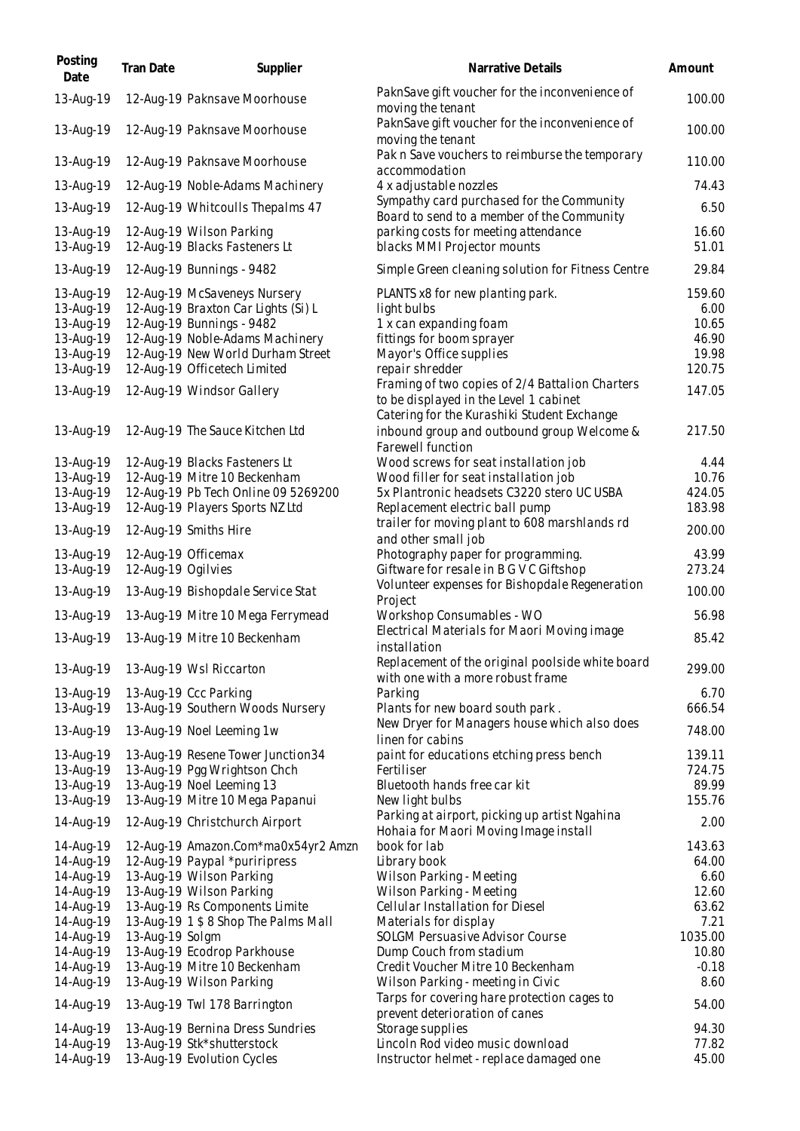| Posting<br>Date        | Tran Date          | Supplier                                                            | Narrative Details                                                                       | Amount           |
|------------------------|--------------------|---------------------------------------------------------------------|-----------------------------------------------------------------------------------------|------------------|
| 13-Aug-19              |                    | 12-Aug-19 Paknsave Moorhouse                                        | PaknSave gift voucher for the inconvenience of<br>moving the tenant                     | 100.00           |
| 13-Aug-19              |                    | 12-Aug-19 Paknsave Moorhouse                                        | PaknSave gift voucher for the inconvenience of<br>moving the tenant                     | 100.00           |
| 13-Aug-19              |                    | 12-Aug-19 Paknsave Moorhouse                                        | Pak n Save vouchers to reimburse the temporary<br>accommodation                         | 110.00           |
| 13-Aug-19              |                    | 12-Aug-19 Noble-Adams Machinery                                     | 4 x adjustable nozzles                                                                  | 74.43            |
| 13-Aug-19              |                    | 12-Aug-19 Whitcoulls Thepalms 47                                    | Sympathy card purchased for the Community<br>Board to send to a member of the Community | 6.50             |
| 13-Aug-19<br>13-Aug-19 |                    | 12-Aug-19 Wilson Parking<br>12-Aug-19 Blacks Fasteners Lt           | parking costs for meeting attendance<br>blacks MMI Projector mounts                     | 16.60<br>51.01   |
| 13-Aug-19              |                    | 12-Aug-19 Bunnings - 9482                                           | Simple Green cleaning solution for Fitness Centre                                       | 29.84            |
| 13-Aug-19<br>13-Aug-19 |                    | 12-Aug-19 McSaveneys Nursery<br>12-Aug-19 Braxton Car Lights (Si) L | PLANTS x8 for new planting park.<br>light bulbs                                         | 159.60<br>6.00   |
| 13-Aug-19              |                    | 12-Aug-19 Bunnings - 9482                                           | 1 x can expanding foam                                                                  | 10.65            |
| 13-Aug-19              |                    | 12-Aug-19 Noble-Adams Machinery                                     | fittings for boom sprayer                                                               | 46.90            |
| 13-Aug-19              |                    | 12-Aug-19 New World Durham Street                                   | Mayor's Office supplies                                                                 | 19.98            |
| 13-Aug-19              |                    | 12-Aug-19 Officetech Limited                                        | repair shredder<br>Framing of two copies of 2/4 Battalion Charters                      | 120.75           |
| 13-Aug-19              |                    | 12-Aug-19 Windsor Gallery                                           | to be displayed in the Level 1 cabinet<br>Catering for the Kurashiki Student Exchange   | 147.05           |
| 13-Aug-19              |                    | 12-Aug-19 The Sauce Kitchen Ltd                                     | inbound group and outbound group Welcome &<br>Farewell function                         | 217.50           |
| 13-Aug-19              |                    | 12-Aug-19 Blacks Fasteners Lt                                       | Wood screws for seat installation job                                                   | 4.44             |
| 13-Aug-19              |                    | 12-Aug-19 Mitre 10 Beckenham                                        | Wood filler for seat installation job                                                   | 10.76            |
| 13-Aug-19              |                    | 12-Aug-19 Pb Tech Online 09 5269200                                 | 5x Plantronic headsets C3220 stero UC USBA                                              | 424.05           |
| 13-Aug-19              |                    | 12-Aug-19 Players Sports NZ Ltd                                     | Replacement electric ball pump                                                          | 183.98           |
| 13-Aug-19              |                    | 12-Aug-19 Smiths Hire                                               | trailer for moving plant to 608 marshlands rd<br>and other small job                    | 200.00           |
| 13-Aug-19              |                    | 12-Aug-19 Officemax                                                 | Photography paper for programming.                                                      | 43.99            |
| 13-Aug-19              | 12-Aug-19 Ogilvies |                                                                     | Giftware for resale in B G V C Giftshop                                                 | 273.24           |
| 13-Aug-19              |                    | 13-Aug-19 Bishopdale Service Stat                                   | Volunteer expenses for Bishopdale Regeneration<br>Project                               | 100.00           |
| 13-Aug-19              |                    | 13-Aug-19 Mitre 10 Mega Ferrymead                                   | Workshop Consumables - WO                                                               | 56.98            |
| 13-Aug-19              |                    | 13-Aug-19 Mitre 10 Beckenham                                        | Electrical Materials for Maori Moving image<br>installation                             | 85.42            |
| 13-Aug-19              |                    | 13-Aug-19 Wsl Riccarton                                             | Replacement of the original poolside white board<br>with one with a more robust frame   | 299.00           |
| 13-Aug-19              |                    | 13-Aug-19 Ccc Parking                                               | Parking                                                                                 | 6.70             |
| 13-Aug-19              |                    | 13-Aug-19 Southern Woods Nursery                                    | Plants for new board south park.                                                        | 666.54           |
| 13-Aug-19              |                    | 13-Aug-19 Noel Leeming 1w                                           | New Dryer for Managers house which also does<br>linen for cabins                        | 748.00           |
| 13-Aug-19              |                    | 13-Aug-19 Resene Tower Junction34                                   | paint for educations etching press bench                                                | 139.11           |
| 13-Aug-19              |                    | 13-Aug-19 Pgg Wrightson Chch                                        | Fertiliser                                                                              | 724.75           |
| 13-Aug-19              |                    | 13-Aug-19 Noel Leeming 13                                           | Bluetooth hands free car kit                                                            | 89.99            |
| 13-Aug-19              |                    | 13-Aug-19 Mitre 10 Mega Papanui                                     | New light bulbs                                                                         | 155.76           |
| 14-Aug-19              |                    | 12-Aug-19 Christchurch Airport                                      | Parking at airport, picking up artist Ngahina<br>Hohaia for Maori Moving Image install  | 2.00             |
| 14-Aug-19              |                    | 12-Aug-19 Amazon.Com*ma0x54yr2 Amzn                                 | book for lab                                                                            | 143.63           |
| 14-Aug-19              |                    | 12-Aug-19 Paypal *puriripress                                       | Library book                                                                            | 64.00            |
| 14-Aug-19              |                    | 13-Aug-19 Wilson Parking                                            | Wilson Parking - Meeting                                                                | 6.60             |
| 14-Aug-19              |                    | 13-Aug-19 Wilson Parking                                            | Wilson Parking - Meeting                                                                | 12.60            |
| 14-Aug-19              |                    | 13-Aug-19 Rs Components Limite                                      | Cellular Installation for Diesel                                                        | 63.62            |
| 14-Aug-19              |                    | 13-Aug-19 1 \$ 8 Shop The Palms Mall                                | Materials for display                                                                   | 7.21             |
| 14-Aug-19<br>14-Aug-19 | 13-Aug-19 Solgm    | 13-Aug-19 Ecodrop Parkhouse                                         | SOLGM Persuasive Advisor Course<br>Dump Couch from stadium                              | 1035.00<br>10.80 |
| 14-Aug-19              |                    | 13-Aug-19 Mitre 10 Beckenham                                        | Credit Voucher Mitre 10 Beckenham                                                       | $-0.18$          |
| 14-Aug-19              |                    | 13-Aug-19 Wilson Parking                                            | Wilson Parking - meeting in Civic                                                       | 8.60             |
| 14-Aug-19              |                    | 13-Aug-19 Twl 178 Barrington                                        | Tarps for covering hare protection cages to<br>prevent deterioration of canes           | 54.00            |
| 14-Aug-19              |                    | 13-Aug-19 Bernina Dress Sundries                                    | Storage supplies                                                                        | 94.30            |
| 14-Aug-19              |                    | 13-Aug-19 Stk*shutterstock                                          | Lincoln Rod video music download                                                        | 77.82            |
| 14-Aug-19              |                    | 13-Aug-19 Evolution Cycles                                          | Instructor helmet - replace damaged one                                                 | 45.00            |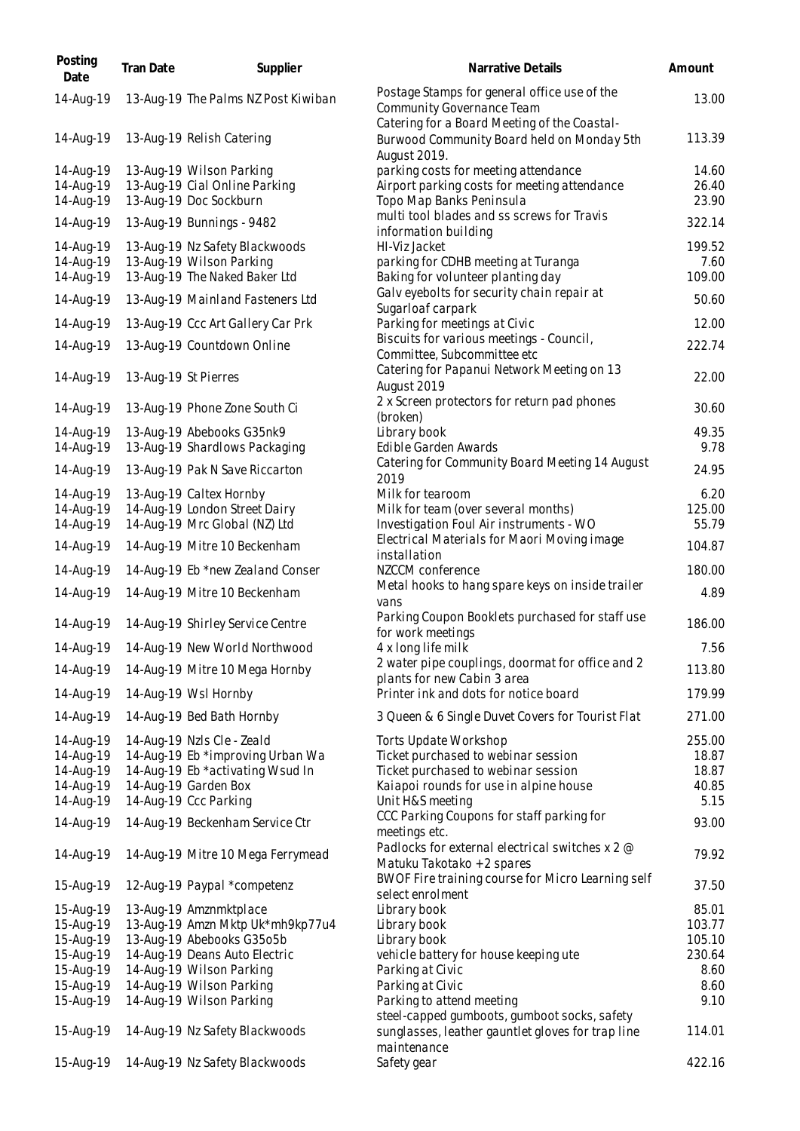| Posting<br>Date        | Tran Date | Supplier                                                  | Narrative Details                                                                                          | Amount         |
|------------------------|-----------|-----------------------------------------------------------|------------------------------------------------------------------------------------------------------------|----------------|
| 14-Aug-19              |           | 13-Aug-19 The Palms NZ Post Kiwiban                       | Postage Stamps for general office use of the<br><b>Community Governance Team</b>                           | 13.00          |
| 14-Aug-19              |           | 13-Aug-19 Relish Catering                                 | Catering for a Board Meeting of the Coastal-<br>Burwood Community Board held on Monday 5th<br>August 2019. | 113.39         |
| 14-Aug-19              |           | 13-Aug-19 Wilson Parking                                  | parking costs for meeting attendance                                                                       | 14.60          |
| 14-Aug-19              |           | 13-Aug-19 Cial Online Parking                             | Airport parking costs for meeting attendance                                                               | 26.40          |
| 14-Aug-19              |           | 13-Aug-19 Doc Sockburn                                    | Topo Map Banks Peninsula                                                                                   | 23.90          |
| 14-Aug-19              |           | 13-Aug-19 Bunnings - 9482                                 | multi tool blades and ss screws for Travis                                                                 | 322.14         |
|                        |           |                                                           | information building                                                                                       |                |
| 14-Aug-19              |           | 13-Aug-19 Nz Safety Blackwoods                            | HI-Viz Jacket                                                                                              | 199.52         |
| 14-Aug-19<br>14-Aug-19 |           | 13-Aug-19 Wilson Parking<br>13-Aug-19 The Naked Baker Ltd | parking for CDHB meeting at Turanga<br>Baking for volunteer planting day                                   | 7.60<br>109.00 |
|                        |           |                                                           | Galv eyebolts for security chain repair at                                                                 |                |
| 14-Aug-19              |           | 13-Aug-19 Mainland Fasteners Ltd                          | Sugarloaf carpark                                                                                          | 50.60          |
| 14-Aug-19              |           | 13-Aug-19 Ccc Art Gallery Car Prk                         | Parking for meetings at Civic                                                                              | 12.00          |
| 14-Aug-19              |           | 13-Aug-19 Countdown Online                                | Biscuits for various meetings - Council,                                                                   | 222.74         |
|                        |           |                                                           | Committee, Subcommittee etc                                                                                |                |
| 14-Aug-19              |           | 13-Aug-19 St Pierres                                      | Catering for Papanui Network Meeting on 13                                                                 | 22.00          |
|                        |           |                                                           | August 2019                                                                                                |                |
| 14-Aug-19              |           | 13-Aug-19 Phone Zone South Ci                             | 2 x Screen protectors for return pad phones                                                                | 30.60          |
|                        |           |                                                           | (broken)                                                                                                   |                |
| 14-Aug-19              |           | 13-Aug-19 Abebooks G35nk9                                 | Library book                                                                                               | 49.35          |
| 14-Aug-19              |           | 13-Aug-19 Shardlows Packaging                             | Edible Garden Awards                                                                                       | 9.78           |
| 14-Aug-19              |           | 13-Aug-19 Pak N Save Riccarton                            | Catering for Community Board Meeting 14 August<br>2019                                                     | 24.95          |
| 14-Aug-19              |           | 13-Aug-19 Caltex Hornby                                   | Milk for tearoom                                                                                           | 6.20           |
| 14-Aug-19              |           | 14-Aug-19 London Street Dairy                             | Milk for team (over several months)                                                                        | 125.00         |
| 14-Aug-19              |           | 14-Aug-19 Mrc Global (NZ) Ltd                             | Investigation Foul Air instruments - WO                                                                    | 55.79          |
| 14-Aug-19              |           | 14-Aug-19 Mitre 10 Beckenham                              | Electrical Materials for Maori Moving image                                                                | 104.87         |
|                        |           |                                                           | installation                                                                                               |                |
| 14-Aug-19              |           | 14-Aug-19 Eb *new Zealand Conser                          | NZCCM conference                                                                                           | 180.00         |
| 14-Aug-19              |           | 14-Aug-19 Mitre 10 Beckenham                              | Metal hooks to hang spare keys on inside trailer<br>vans                                                   | 4.89           |
| 14-Aug-19              |           | 14-Aug-19 Shirley Service Centre                          | Parking Coupon Booklets purchased for staff use<br>for work meetings                                       | 186.00         |
| 14-Aug-19              |           | 14-Aug-19 New World Northwood                             | 4 x long life milk                                                                                         | 7.56           |
| 14-Aug-19              |           | 14-Aug-19 Mitre 10 Mega Hornby                            | 2 water pipe couplings, doormat for office and 2                                                           | 113.80         |
|                        |           |                                                           | plants for new Cabin 3 area                                                                                |                |
| 14-Aug-19              |           | 14-Aug-19 Wsl Hornby                                      | Printer ink and dots for notice board                                                                      | 179.99         |
| 14-Aug-19              |           | 14-Aug-19 Bed Bath Hornby                                 | 3 Queen & 6 Single Duvet Covers for Tourist Flat                                                           | 271.00         |
| 14-Aug-19              |           | 14-Aug-19 Nzls Cle - Zeald                                | <b>Torts Update Workshop</b>                                                                               | 255.00         |
| 14-Aug-19              |           | 14-Aug-19 Eb *improving Urban Wa                          | Ticket purchased to webinar session                                                                        | 18.87          |
| 14-Aug-19              |           | 14-Aug-19 Eb *activating Wsud In                          | Ticket purchased to webinar session                                                                        | 18.87          |
| 14-Aug-19              |           | 14-Aug-19 Garden Box                                      | Kaiapoi rounds for use in alpine house                                                                     | 40.85          |
| 14-Aug-19              |           | 14-Aug-19 Ccc Parking                                     | Unit H&S meeting<br>CCC Parking Coupons for staff parking for                                              | 5.15           |
| 14-Aug-19              |           | 14-Aug-19 Beckenham Service Ctr                           | meetings etc.                                                                                              | 93.00          |
|                        |           |                                                           | Padlocks for external electrical switches x 2 @                                                            |                |
| 14-Aug-19              |           | 14-Aug-19 Mitre 10 Mega Ferrymead                         | Matuku Takotako + 2 spares                                                                                 | 79.92          |
| 15-Aug-19              |           | 12-Aug-19 Paypal *competenz                               | BWOF Fire training course for Micro Learning self<br>select enrolment                                      | 37.50          |
| 15-Aug-19              |           | 13-Aug-19 Amznmktplace                                    | Library book                                                                                               | 85.01          |
| 15-Aug-19              |           | 13-Aug-19 Amzn Mktp Uk*mh9kp77u4                          | Library book                                                                                               | 103.77         |
| 15-Aug-19              |           | 13-Aug-19 Abebooks G35o5b                                 | Library book                                                                                               | 105.10         |
| 15-Aug-19              |           | 14-Aug-19 Deans Auto Electric                             | vehicle battery for house keeping ute                                                                      | 230.64         |
| 15-Aug-19              |           | 14-Aug-19 Wilson Parking                                  | Parking at Civic                                                                                           | 8.60           |
| 15-Aug-19              |           | 14-Aug-19 Wilson Parking                                  | Parking at Civic                                                                                           | 8.60           |
| 15-Aug-19              |           | 14-Aug-19 Wilson Parking                                  | Parking to attend meeting                                                                                  | 9.10           |
|                        |           |                                                           | steel-capped gumboots, gumboot socks, safety                                                               |                |
| 15-Aug-19              |           | 14-Aug-19 Nz Safety Blackwoods                            | sunglasses, leather gauntlet gloves for trap line<br>maintenance                                           | 114.01         |
| 15-Aug-19              |           | 14-Aug-19 Nz Safety Blackwoods                            | Safety gear                                                                                                | 422.16         |
|                        |           |                                                           |                                                                                                            |                |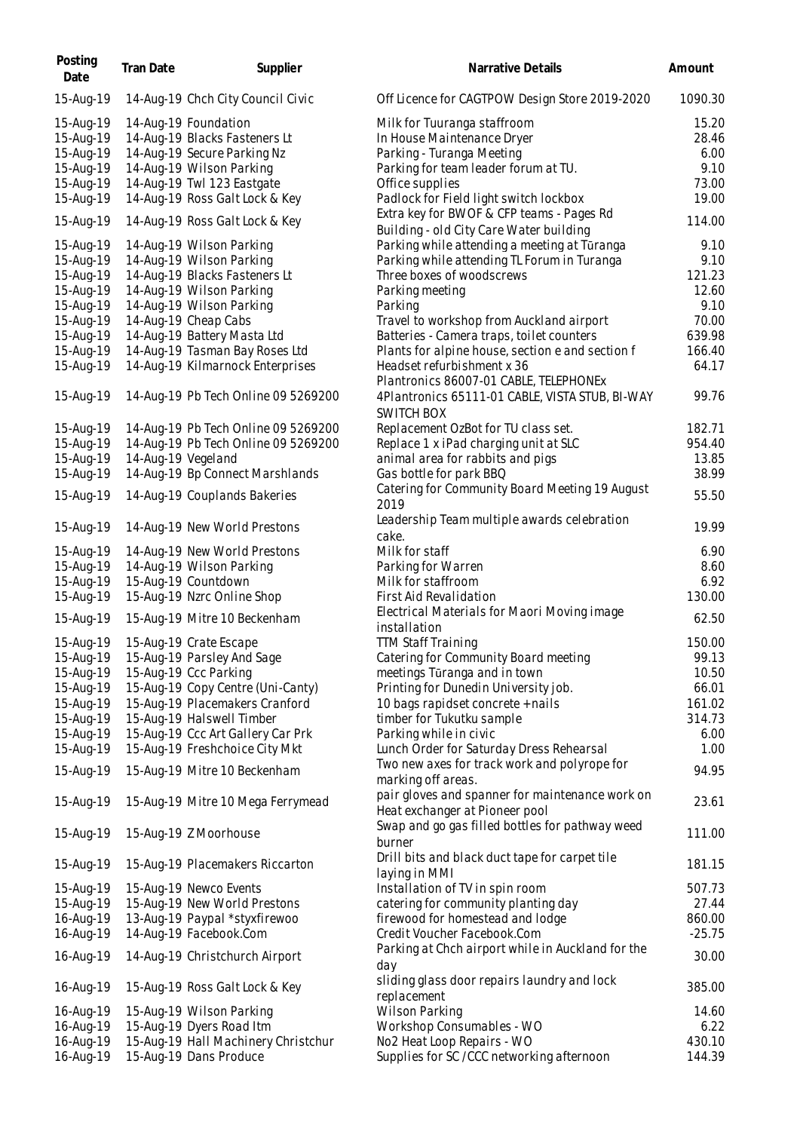| Posting<br>Date | Tran Date          | Supplier                            | Narrative Details                                                                 | Amount   |
|-----------------|--------------------|-------------------------------------|-----------------------------------------------------------------------------------|----------|
| 15-Aug-19       |                    | 14-Aug-19 Chch City Council Civic   | Off Licence for CAGTPOW Design Store 2019-2020                                    | 1090.30  |
| 15-Aug-19       |                    | 14-Aug-19 Foundation                | Milk for Tuuranga staffroom                                                       | 15.20    |
| 15-Aug-19       |                    | 14-Aug-19 Blacks Fasteners Lt       | In House Maintenance Dryer                                                        | 28.46    |
| 15-Aug-19       |                    | 14-Aug-19 Secure Parking Nz         | Parking - Turanga Meeting                                                         | 6.00     |
|                 |                    |                                     |                                                                                   |          |
| 15-Aug-19       |                    | 14-Aug-19 Wilson Parking            | Parking for team leader forum at TU.                                              | 9.10     |
| 15-Aug-19       |                    | 14-Aug-19 Twl 123 Eastgate          | Office supplies                                                                   | 73.00    |
| 15-Aug-19       |                    | 14-Aug-19 Ross Galt Lock & Key      | Padlock for Field light switch lockbox                                            | 19.00    |
|                 |                    |                                     | Extra key for BWOF & CFP teams - Pages Rd                                         |          |
| 15-Aug-19       |                    | 14-Aug-19 Ross Galt Lock & Key      | Building - old City Care Water building                                           | 114.00   |
| 15-Aug-19       |                    | 14-Aug-19 Wilson Parking            | Parking while attending a meeting at Tūranga                                      | 9.10     |
|                 |                    | 14-Aug-19 Wilson Parking            |                                                                                   | 9.10     |
| 15-Aug-19       |                    |                                     | Parking while attending TL Forum in Turanga                                       |          |
| 15-Aug-19       |                    | 14-Aug-19 Blacks Fasteners Lt       | Three boxes of woodscrews                                                         | 121.23   |
| 15-Aug-19       |                    | 14-Aug-19 Wilson Parking            | Parking meeting                                                                   | 12.60    |
| 15-Aug-19       |                    | 14-Aug-19 Wilson Parking            | Parking                                                                           | 9.10     |
| 15-Aug-19       |                    | 14-Aug-19 Cheap Cabs                | Travel to workshop from Auckland airport                                          | 70.00    |
| 15-Aug-19       |                    | 14-Aug-19 Battery Masta Ltd         | Batteries - Camera traps, toilet counters                                         | 639.98   |
|                 |                    |                                     |                                                                                   |          |
| 15-Aug-19       |                    | 14-Aug-19 Tasman Bay Roses Ltd      | Plants for alpine house, section e and section f                                  | 166.40   |
| 15-Aug-19       |                    | 14-Aug-19 Kilmarnock Enterprises    | Headset refurbishment x 36                                                        | 64.17    |
|                 |                    |                                     | Plantronics 86007-01 CABLE, TELEPHONEx                                            |          |
| 15-Aug-19       |                    | 14-Aug-19 Pb Tech Online 09 5269200 | 4Plantronics 65111-01 CABLE, VISTA STUB, BI-WAY<br><b>SWITCH BOX</b>              | 99.76    |
| 15-Aug-19       |                    | 14-Aug-19 Pb Tech Online 09 5269200 | Replacement OzBot for TU class set.                                               | 182.71   |
|                 |                    |                                     |                                                                                   |          |
| 15-Aug-19       |                    | 14-Aug-19 Pb Tech Online 09 5269200 | Replace 1 x iPad charging unit at SLC                                             | 954.40   |
| 15-Aug-19       | 14-Aug-19 Vegeland |                                     | animal area for rabbits and pigs                                                  | 13.85    |
| 15-Aug-19       |                    | 14-Aug-19 Bp Connect Marshlands     | Gas bottle for park BBQ                                                           | 38.99    |
| 15-Aug-19       |                    | 14-Aug-19 Couplands Bakeries        | Catering for Community Board Meeting 19 August<br>2019                            | 55.50    |
| 15-Aug-19       |                    | 14-Aug-19 New World Prestons        | Leadership Team multiple awards celebration<br>cake.                              | 19.99    |
| 15-Aug-19       |                    | 14-Aug-19 New World Prestons        | Milk for staff                                                                    | 6.90     |
| 15-Aug-19       |                    | 14-Aug-19 Wilson Parking            | Parking for Warren                                                                | 8.60     |
|                 |                    |                                     |                                                                                   |          |
| 15-Aug-19       |                    | 15-Aug-19 Countdown                 | Milk for staffroom                                                                | 6.92     |
| 15-Aug-19       |                    | 15-Aug-19 Nzrc Online Shop          | First Aid Revalidation                                                            | 130.00   |
| 15-Aug-19       |                    | 15-Aug-19 Mitre 10 Beckenham        | Electrical Materials for Maori Moving image<br>installation                       | 62.50    |
| 15-Aug-19       |                    | 15-Aug-19 Crate Escape              | <b>TTM Staff Training</b>                                                         | 150.00   |
| 15-Aug-19       |                    | 15-Aug-19 Parsley And Sage          | Catering for Community Board meeting                                              | 99.13    |
|                 |                    |                                     |                                                                                   |          |
| 15-Aug-19       |                    | 15-Aug-19 Ccc Parking               | meetings Tūranga and in town                                                      | 10.50    |
| 15-Aug-19       |                    | 15-Aug-19 Copy Centre (Uni-Canty)   | Printing for Dunedin University job.                                              | 66.01    |
| 15-Aug-19       |                    | 15-Aug-19 Placemakers Cranford      | 10 bags rapidset concrete + nails                                                 | 161.02   |
| 15-Aug-19       |                    | 15-Aug-19 Halswell Timber           | timber for Tukutku sample                                                         | 314.73   |
| 15-Aug-19       |                    | 15-Aug-19 Ccc Art Gallery Car Prk   | Parking while in civic                                                            | 6.00     |
| 15-Aug-19       |                    | 15-Aug-19 Freshchoice City Mkt      | Lunch Order for Saturday Dress Rehearsal                                          | 1.00     |
|                 |                    |                                     |                                                                                   |          |
| 15-Aug-19       |                    | 15-Aug-19 Mitre 10 Beckenham        | Two new axes for track work and polyrope for                                      | 94.95    |
|                 |                    |                                     | marking off areas.                                                                |          |
| 15-Aug-19       |                    | 15-Aug-19 Mitre 10 Mega Ferrymead   | pair gloves and spanner for maintenance work on<br>Heat exchanger at Pioneer pool | 23.61    |
| 15-Aug-19       |                    | 15-Aug-19 Z Moorhouse               | Swap and go gas filled bottles for pathway weed<br>burner                         | 111.00   |
| 15-Aug-19       |                    | 15-Aug-19 Placemakers Riccarton     | Drill bits and black duct tape for carpet tile<br>laying in MMI                   | 181.15   |
| 15-Aug-19       |                    | 15-Aug-19 Newco Events              | Installation of TV in spin room                                                   | 507.73   |
|                 |                    |                                     | catering for community planting day                                               |          |
| 15-Aug-19       |                    | 15-Aug-19 New World Prestons        |                                                                                   | 27.44    |
| 16-Aug-19       |                    | 13-Aug-19 Paypal *styxfirewoo       | firewood for homestead and lodge                                                  | 860.00   |
| 16-Aug-19       |                    | 14-Aug-19 Facebook.Com              | Credit Voucher Facebook.Com                                                       | $-25.75$ |
| 16-Aug-19       |                    | 14-Aug-19 Christchurch Airport      | Parking at Chch airport while in Auckland for the<br>day                          | 30.00    |
| 16-Aug-19       |                    | 15-Aug-19 Ross Galt Lock & Key      | sliding glass door repairs laundry and lock<br>replacement                        | 385.00   |
|                 |                    |                                     |                                                                                   |          |
| 16-Aug-19       |                    | 15-Aug-19 Wilson Parking            | Wilson Parking                                                                    | 14.60    |
| 16-Aug-19       |                    | 15-Aug-19 Dyers Road Itm            | Workshop Consumables - WO                                                         | 6.22     |
| 16-Aug-19       |                    | 15-Aug-19 Hall Machinery Christchur | No2 Heat Loop Repairs - WO                                                        | 430.10   |
| 16-Aug-19       |                    | 15-Aug-19 Dans Produce              | Supplies for SC / CCC networking afternoon                                        | 144.39   |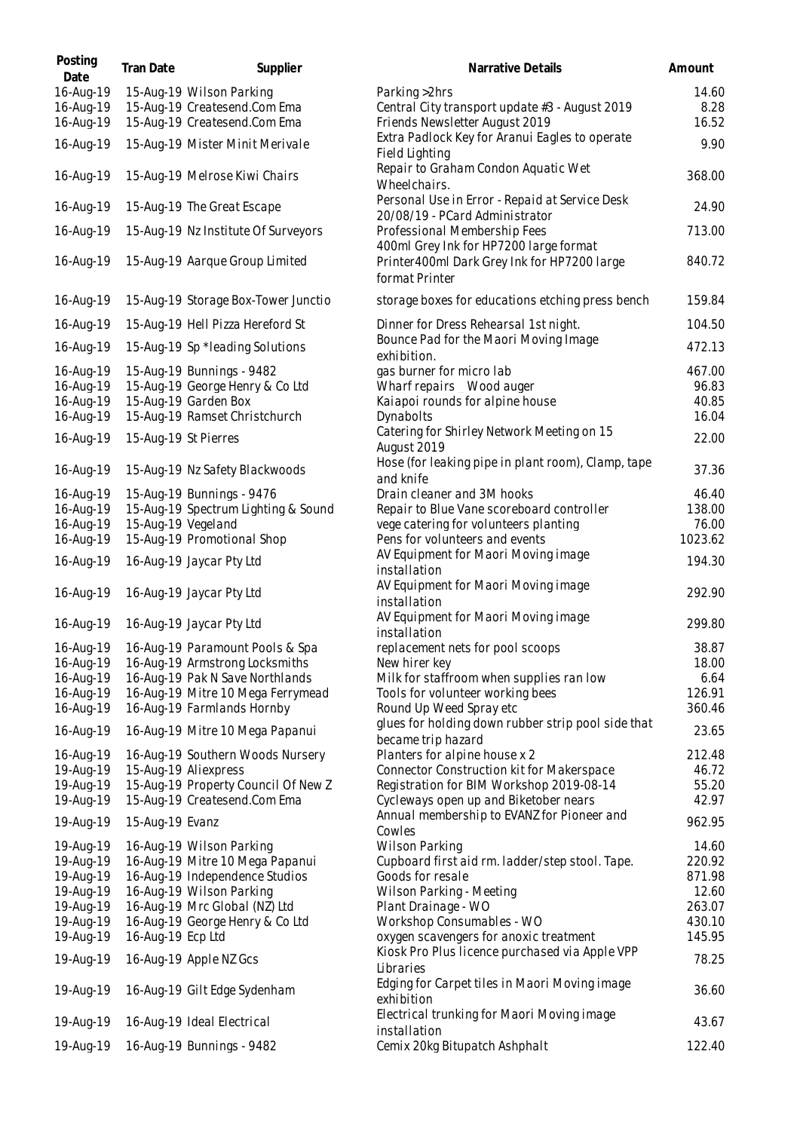| Posting<br>Date        | Tran Date            | Supplier                                                 | Narrative Details                                                                                               | Amount           |
|------------------------|----------------------|----------------------------------------------------------|-----------------------------------------------------------------------------------------------------------------|------------------|
| 16-Aug-19<br>16-Aug-19 |                      | 15-Aug-19 Wilson Parking<br>15-Aug-19 Createsend.Com Ema | Parking > 2hrs<br>Central City transport update #3 - August 2019                                                | 14.60<br>8.28    |
| 16-Aug-19              |                      | 15-Aug-19 Createsend.Com Ema                             | Friends Newsletter August 2019<br>Extra Padlock Key for Aranui Eagles to operate                                | 16.52            |
| 16-Aug-19              |                      | 15-Aug-19 Mister Minit Merivale                          | Field Lighting<br>Repair to Graham Condon Aquatic Wet                                                           | 9.90             |
| 16-Aug-19              |                      | 15-Aug-19 Melrose Kiwi Chairs                            | Wheelchairs.                                                                                                    | 368.00           |
| 16-Aug-19              |                      | 15-Aug-19 The Great Escape                               | Personal Use in Error - Repaid at Service Desk<br>20/08/19 - PCard Administrator                                | 24.90            |
| 16-Aug-19              |                      | 15-Aug-19 Nz Institute Of Surveyors                      | Professional Membership Fees<br>400ml Grey Ink for HP7200 large format                                          | 713.00           |
| 16-Aug-19              |                      | 15-Aug-19 Aarque Group Limited                           | Printer400ml Dark Grey Ink for HP7200 large<br>format Printer                                                   | 840.72           |
| 16-Aug-19              |                      | 15-Aug-19 Storage Box-Tower Junctio                      | storage boxes for educations etching press bench                                                                | 159.84           |
| 16-Aug-19              |                      | 15-Aug-19 Hell Pizza Hereford St                         | Dinner for Dress Rehearsal 1st night.                                                                           | 104.50           |
| 16-Aug-19              |                      | 15-Aug-19 Sp *leading Solutions                          | Bounce Pad for the Maori Moving Image<br>exhibition.                                                            | 472.13           |
| 16-Aug-19              |                      | 15-Aug-19 Bunnings - 9482                                | gas burner for micro lab                                                                                        | 467.00           |
| 16-Aug-19              |                      | 15-Aug-19 George Henry & Co Ltd                          | Wharf repairs _ Wood auger                                                                                      | 96.83            |
| 16-Aug-19              |                      | 15-Aug-19 Garden Box                                     | Kaiapoi rounds for alpine house                                                                                 | 40.85            |
| 16-Aug-19              |                      | 15-Aug-19 Ramset Christchurch                            | Dynabolts                                                                                                       | 16.04            |
| 16-Aug-19              | 15-Aug-19 St Pierres |                                                          | Catering for Shirley Network Meeting on 15<br>August 2019<br>Hose (for leaking pipe in plant room), Clamp, tape | 22.00            |
| 16-Aug-19              |                      | 15-Aug-19 Nz Safety Blackwoods                           | and knife                                                                                                       | 37.36            |
| 16-Aug-19              |                      | 15-Aug-19 Bunnings - 9476                                | Drain cleaner and 3M hooks                                                                                      | 46.40            |
| 16-Aug-19              |                      | 15-Aug-19 Spectrum Lighting & Sound                      | Repair to Blue Vane scoreboard controller                                                                       | 138.00           |
| 16-Aug-19              | 15-Aug-19 Vegeland   |                                                          | vege catering for volunteers planting                                                                           | 76.00            |
| 16-Aug-19              |                      | 15-Aug-19 Promotional Shop                               | Pens for volunteers and events<br>AV Equipment for Maori Moving image                                           | 1023.62          |
| 16-Aug-19              |                      | 16-Aug-19 Jaycar Pty Ltd                                 | installation                                                                                                    | 194.30           |
| 16-Aug-19              |                      | 16-Aug-19 Jaycar Pty Ltd                                 | AV Equipment for Maori Moving image<br>installation                                                             | 292.90           |
| 16-Aug-19              |                      | 16-Aug-19 Jaycar Pty Ltd                                 | AV Equipment for Maori Moving image<br>installation                                                             | 299.80           |
| 16-Aug-19              |                      | 16-Aug-19 Paramount Pools & Spa                          | replacement nets for pool scoops                                                                                | 38.87            |
| 16-Aug-19              |                      | 16-Aug-19 Armstrong Locksmiths                           | New hirer key                                                                                                   | 18.00            |
| 16-Aug-19              |                      | 16-Aug-19 Pak N Save Northlands                          | Milk for staffroom when supplies ran low                                                                        | 6.64             |
| 16-Aug-19              |                      | 16-Aug-19 Mitre 10 Mega Ferrymead                        | Tools for volunteer working bees                                                                                | 126.91           |
| 16-Aug-19              |                      | 16-Aug-19 Farmlands Hornby                               | Round Up Weed Spray etc                                                                                         | 360.46           |
| 16-Aug-19              |                      | 16-Aug-19 Mitre 10 Mega Papanui                          | glues for holding down rubber strip pool side that<br>became trip hazard                                        | 23.65            |
| 16-Aug-19              |                      | 16-Aug-19 Southern Woods Nursery                         | Planters for alpine house x 2                                                                                   | 212.48           |
| 19-Aug-19              |                      | 15-Aug-19 Aliexpress                                     | Connector Construction kit for Makerspace                                                                       | 46.72            |
| 19-Aug-19              |                      | 15-Aug-19 Property Council Of New Z                      | Registration for BIM Workshop 2019-08-14                                                                        | 55.20            |
| 19-Aug-19              |                      | 15-Aug-19 Createsend.Com Ema                             | Cycleways open up and Biketober nears                                                                           | 42.97            |
| 19-Aug-19              | 15-Aug-19 Evanz      |                                                          | Annual membership to EVANZ for Pioneer and<br>Cowles                                                            | 962.95           |
| 19-Aug-19              |                      | 16-Aug-19 Wilson Parking                                 | Wilson Parking                                                                                                  | 14.60            |
| 19-Aug-19              |                      | 16-Aug-19 Mitre 10 Mega Papanui                          | Cupboard first aid rm. ladder/step stool. Tape.                                                                 | 220.92           |
| 19-Aug-19              |                      | 16-Aug-19 Independence Studios                           | Goods for resale                                                                                                | 871.98           |
| 19-Aug-19              |                      | 16-Aug-19 Wilson Parking                                 | Wilson Parking - Meeting                                                                                        | 12.60            |
| 19-Aug-19<br>19-Aug-19 |                      | 16-Aug-19 Mrc Global (NZ) Ltd                            | Plant Drainage - WO                                                                                             | 263.07<br>430.10 |
| 19-Aug-19              | 16-Aug-19 Ecp Ltd    | 16-Aug-19 George Henry & Co Ltd                          | Workshop Consumables - WO<br>oxygen scavengers for anoxic treatment                                             | 145.95           |
| 19-Aug-19              |                      | 16-Aug-19 Apple NZ Gcs                                   | Kiosk Pro Plus licence purchased via Apple VPP                                                                  | 78.25            |
| 19-Aug-19              |                      | 16-Aug-19 Gilt Edge Sydenham                             | Libraries<br>Edging for Carpet tiles in Maori Moving image<br>exhibition                                        | 36.60            |
| 19-Aug-19              |                      | 16-Aug-19 Ideal Electrical                               | Electrical trunking for Maori Moving image                                                                      | 43.67            |
|                        |                      |                                                          | installation                                                                                                    |                  |
| 19-Aug-19              |                      | 16-Aug-19 Bunnings - 9482                                | Cemix 20kg Bitupatch Ashphalt                                                                                   | 122.40           |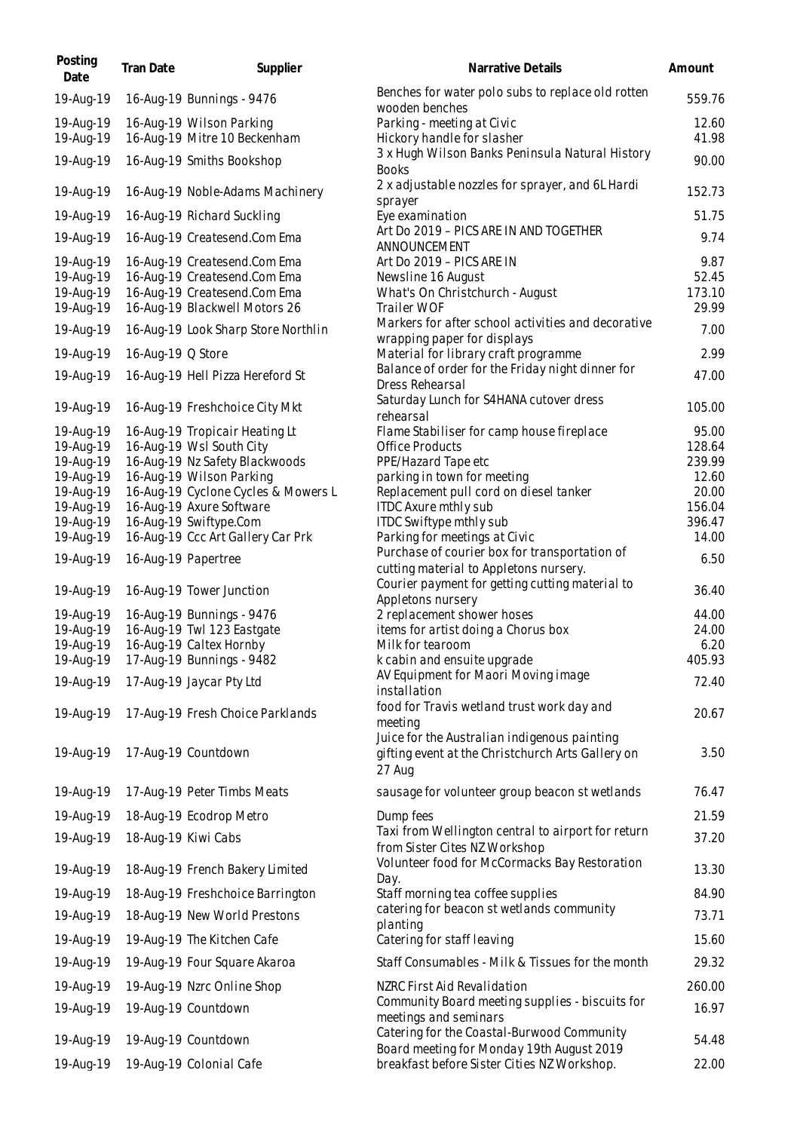| Posting<br>Date                                  | Tran Date         | Supplier                                                                                                                      | Narrative Details                                                                                           | Amount                           |
|--------------------------------------------------|-------------------|-------------------------------------------------------------------------------------------------------------------------------|-------------------------------------------------------------------------------------------------------------|----------------------------------|
| 19-Aug-19                                        |                   | 16-Aug-19 Bunnings - 9476                                                                                                     | Benches for water polo subs to replace old rotten<br>wooden benches                                         | 559.76                           |
| 19-Aug-19<br>19-Aug-19                           |                   | 16-Aug-19 Wilson Parking<br>16-Aug-19 Mitre 10 Beckenham                                                                      | Parking - meeting at Civic<br>Hickory handle for slasher                                                    | 12.60<br>41.98                   |
| 19-Aug-19                                        |                   | 16-Aug-19 Smiths Bookshop                                                                                                     | 3 x Hugh Wilson Banks Peninsula Natural History                                                             | 90.00                            |
| 19-Aug-19                                        |                   | 16-Aug-19 Noble-Adams Machinery                                                                                               | <b>Books</b><br>2 x adjustable nozzles for sprayer, and 6L Hardi                                            | 152.73                           |
| 19-Aug-19                                        |                   | 16-Aug-19 Richard Suckling                                                                                                    | sprayer<br>Eye examination                                                                                  | 51.75                            |
| 19-Aug-19                                        |                   | 16-Aug-19 Createsend.Com Ema                                                                                                  | Art Do 2019 - PICS ARE IN AND TOGETHER<br>ANNOUNCEMENT                                                      | 9.74                             |
| 19-Aug-19<br>19-Aug-19<br>19-Aug-19<br>19-Aug-19 |                   | 16-Aug-19 Createsend.Com Ema<br>16-Aug-19 Createsend.Com Ema<br>16-Aug-19 Createsend.Com Ema<br>16-Aug-19 Blackwell Motors 26 | Art Do 2019 - PICS ARE IN<br>Newsline 16 August<br>What's On Christchurch - August<br>Trailer WOF           | 9.87<br>52.45<br>173.10<br>29.99 |
| 19-Aug-19                                        |                   | 16-Aug-19 Look Sharp Store Northlin                                                                                           | Markers for after school activities and decorative<br>wrapping paper for displays                           | 7.00                             |
| 19-Aug-19                                        | 16-Aug-19 Q Store |                                                                                                                               | Material for library craft programme                                                                        | 2.99                             |
| 19-Aug-19                                        |                   | 16-Aug-19 Hell Pizza Hereford St                                                                                              | Balance of order for the Friday night dinner for<br>Dress Rehearsal                                         | 47.00                            |
| 19-Aug-19                                        |                   | 16-Aug-19 Freshchoice City Mkt                                                                                                | Saturday Lunch for S4HANA cutover dress<br>rehearsal                                                        | 105.00                           |
| 19-Aug-19                                        |                   | 16-Aug-19 Tropicair Heating Lt                                                                                                | Flame Stabiliser for camp house fireplace                                                                   | 95.00<br>128.64                  |
| 19-Aug-19<br>19-Aug-19                           |                   | 16-Aug-19 Wsl South City<br>16-Aug-19 Nz Safety Blackwoods                                                                    | <b>Office Products</b><br>PPE/Hazard Tape etc                                                               | 239.99                           |
| 19-Aug-19                                        |                   | 16-Aug-19 Wilson Parking                                                                                                      | parking in town for meeting                                                                                 | 12.60                            |
| 19-Aug-19                                        |                   | 16-Aug-19 Cyclone Cycles & Mowers L                                                                                           | Replacement pull cord on diesel tanker                                                                      | 20.00                            |
| 19-Aug-19                                        |                   | 16-Aug-19 Axure Software                                                                                                      | <b>ITDC Axure mthly sub</b>                                                                                 | 156.04                           |
| 19-Aug-19                                        |                   | 16-Aug-19 Swiftype.Com                                                                                                        | ITDC Swiftype mthly sub                                                                                     | 396.47                           |
| 19-Aug-19                                        |                   | 16-Aug-19 Ccc Art Gallery Car Prk                                                                                             | Parking for meetings at Civic                                                                               | 14.00                            |
|                                                  |                   |                                                                                                                               | Purchase of courier box for transportation of                                                               |                                  |
| 19-Aug-19                                        |                   | 16-Aug-19 Papertree                                                                                                           | cutting material to Appletons nursery.<br>Courier payment for getting cutting material to                   | 6.50                             |
| 19-Aug-19                                        |                   | 16-Aug-19 Tower Junction                                                                                                      | Appletons nursery                                                                                           | 36.40                            |
| 19-Aug-19                                        |                   | 16-Aug-19 Bunnings - 9476                                                                                                     | 2 replacement shower hoses                                                                                  | 44.00                            |
| 19-Aug-19                                        |                   | 16-Aug-19 Twl 123 Eastgate                                                                                                    | items for artist doing a Chorus box                                                                         | 24.00                            |
| 19-Aug-19                                        |                   | 16-Aug-19 Caltex Hornby                                                                                                       | Milk for tearoom                                                                                            | 6.20                             |
| 19-Aug-19                                        |                   | 17-Aug-19 Bunnings - 9482                                                                                                     | k cabin and ensuite upgrade                                                                                 | 405.93                           |
| 19-Aug-19                                        |                   | 17-Aug-19 Jaycar Pty Ltd                                                                                                      | AV Equipment for Maori Moving image<br>installation                                                         | 72.40                            |
| 19-Aug-19                                        |                   | 17-Aug-19 Fresh Choice Parklands                                                                                              | food for Travis wetland trust work day and<br>meeting                                                       | 20.67                            |
| 19-Aug-19                                        |                   | 17-Aug-19 Countdown                                                                                                           | Juice for the Australian indigenous painting<br>gifting event at the Christchurch Arts Gallery on<br>27 Aug | 3.50                             |
| 19-Aug-19                                        |                   | 17-Aug-19 Peter Timbs Meats                                                                                                   | sausage for volunteer group beacon st wetlands                                                              | 76.47                            |
| 19-Aug-19                                        |                   | 18-Aug-19 Ecodrop Metro                                                                                                       | Dump fees                                                                                                   | 21.59                            |
| 19-Aug-19                                        |                   | 18-Aug-19 Kiwi Cabs                                                                                                           | Taxi from Wellington central to airport for return<br>from Sister Cites NZ Workshop                         | 37.20                            |
| 19-Aug-19                                        |                   | 18-Aug-19 French Bakery Limited                                                                                               | Volunteer food for McCormacks Bay Restoration<br>Day.                                                       | 13.30                            |
| 19-Aug-19                                        |                   | 18-Aug-19 Freshchoice Barrington                                                                                              | Staff morning tea coffee supplies                                                                           | 84.90                            |
| 19-Aug-19                                        |                   | 18-Aug-19 New World Prestons                                                                                                  | catering for beacon st wetlands community<br>planting                                                       | 73.71                            |
| 19-Aug-19                                        |                   | 19-Aug-19 The Kitchen Cafe                                                                                                    | Catering for staff leaving                                                                                  | 15.60                            |
| 19-Aug-19                                        |                   | 19-Aug-19 Four Square Akaroa                                                                                                  | Staff Consumables - Milk & Tissues for the month                                                            | 29.32                            |
| 19-Aug-19                                        |                   | 19-Aug-19 Nzrc Online Shop                                                                                                    | NZRC First Aid Revalidation                                                                                 | 260.00                           |
| 19-Aug-19                                        |                   | 19-Aug-19 Countdown                                                                                                           | Community Board meeting supplies - biscuits for<br>meetings and seminars                                    | 16.97                            |
| 19-Aug-19                                        |                   | 19-Aug-19 Countdown                                                                                                           | Catering for the Coastal-Burwood Community                                                                  | 54.48                            |
| 19-Aug-19                                        |                   | 19-Aug-19 Colonial Cafe                                                                                                       | Board meeting for Monday 19th August 2019<br>breakfast before Sister Cities NZ Workshop.                    | 22.00                            |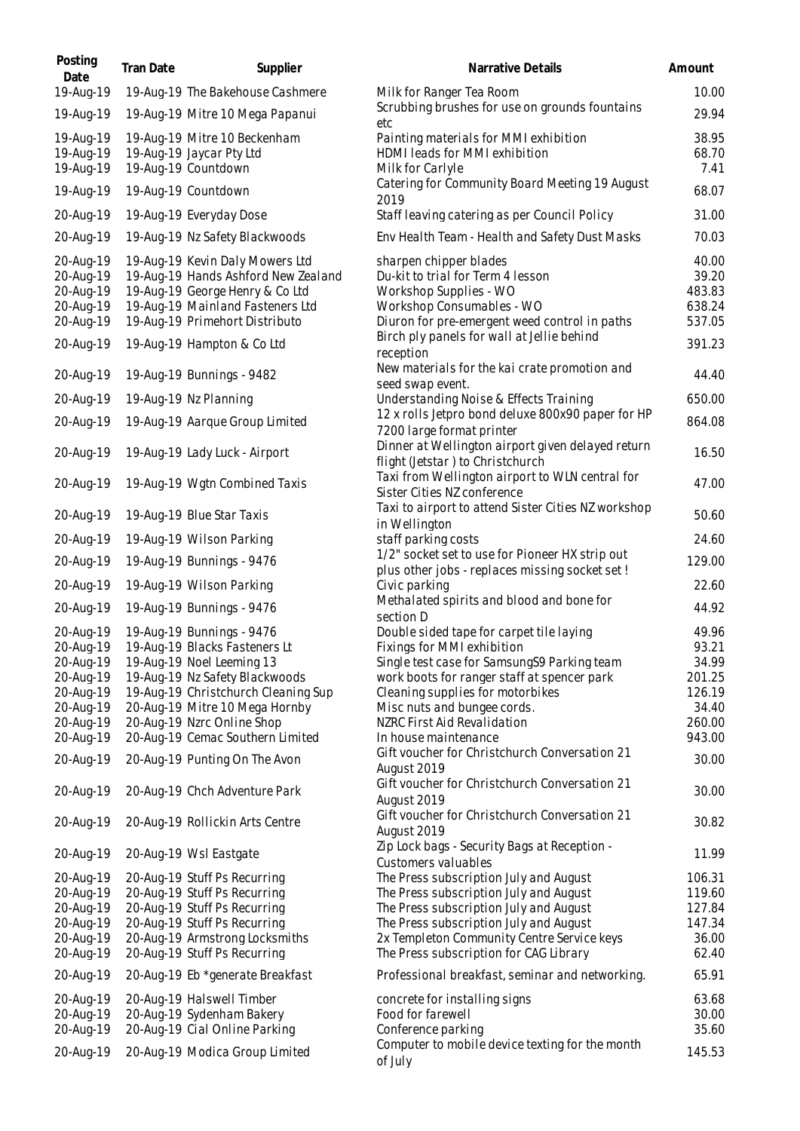| Posting<br>Date                                                                                                                                                                                              | Tran Date | Supplier                                                                                                                                                                                                                                                                                                                                                                                                                                                                                                                            | Narrative Details                                                                                                                                                                                                                                                                                                                                                                                                                                                                                                                                                                                                                                                                                                                             | Amount                                                                                                                                               |
|--------------------------------------------------------------------------------------------------------------------------------------------------------------------------------------------------------------|-----------|-------------------------------------------------------------------------------------------------------------------------------------------------------------------------------------------------------------------------------------------------------------------------------------------------------------------------------------------------------------------------------------------------------------------------------------------------------------------------------------------------------------------------------------|-----------------------------------------------------------------------------------------------------------------------------------------------------------------------------------------------------------------------------------------------------------------------------------------------------------------------------------------------------------------------------------------------------------------------------------------------------------------------------------------------------------------------------------------------------------------------------------------------------------------------------------------------------------------------------------------------------------------------------------------------|------------------------------------------------------------------------------------------------------------------------------------------------------|
| 19-Aug-19                                                                                                                                                                                                    |           | 19-Aug-19 The Bakehouse Cashmere                                                                                                                                                                                                                                                                                                                                                                                                                                                                                                    | Milk for Ranger Tea Room                                                                                                                                                                                                                                                                                                                                                                                                                                                                                                                                                                                                                                                                                                                      | 10.00                                                                                                                                                |
| 19-Aug-19                                                                                                                                                                                                    |           | 19-Aug-19 Mitre 10 Mega Papanui                                                                                                                                                                                                                                                                                                                                                                                                                                                                                                     | Scrubbing brushes for use on grounds fountains<br>etc                                                                                                                                                                                                                                                                                                                                                                                                                                                                                                                                                                                                                                                                                         | 29.94                                                                                                                                                |
| 19-Aug-19<br>19-Aug-19<br>19-Aug-19                                                                                                                                                                          |           | 19-Aug-19 Mitre 10 Beckenham<br>19-Aug-19 Jaycar Pty Ltd<br>19-Aug-19 Countdown                                                                                                                                                                                                                                                                                                                                                                                                                                                     | Painting materials for MMI exhibition<br>HDMI leads for MMI exhibition<br>Milk for Carlyle                                                                                                                                                                                                                                                                                                                                                                                                                                                                                                                                                                                                                                                    | 38.95<br>68.70<br>7.41                                                                                                                               |
| 19-Aug-19                                                                                                                                                                                                    |           | 19-Aug-19 Countdown                                                                                                                                                                                                                                                                                                                                                                                                                                                                                                                 | Catering for Community Board Meeting 19 August<br>2019                                                                                                                                                                                                                                                                                                                                                                                                                                                                                                                                                                                                                                                                                        | 68.07                                                                                                                                                |
| 20-Aug-19                                                                                                                                                                                                    |           | 19-Aug-19 Everyday Dose                                                                                                                                                                                                                                                                                                                                                                                                                                                                                                             | Staff leaving catering as per Council Policy                                                                                                                                                                                                                                                                                                                                                                                                                                                                                                                                                                                                                                                                                                  | 31.00                                                                                                                                                |
| 20-Aug-19                                                                                                                                                                                                    |           | 19-Aug-19 Nz Safety Blackwoods                                                                                                                                                                                                                                                                                                                                                                                                                                                                                                      | Env Health Team - Health and Safety Dust Masks                                                                                                                                                                                                                                                                                                                                                                                                                                                                                                                                                                                                                                                                                                | 70.03                                                                                                                                                |
| 20-Aug-19<br>20-Aug-19<br>20-Aug-19<br>20-Aug-19<br>20-Aug-19                                                                                                                                                |           | 19-Aug-19 Kevin Daly Mowers Ltd<br>19-Aug-19 Hands Ashford New Zealand<br>19-Aug-19 George Henry & Co Ltd<br>19-Aug-19 Mainland Fasteners Ltd<br>19-Aug-19 Primehort Distributo                                                                                                                                                                                                                                                                                                                                                     | sharpen chipper blades<br>Du-kit to trial for Term 4 lesson<br>Workshop Supplies - WO<br>Workshop Consumables - WO<br>Diuron for pre-emergent weed control in paths<br>Birch ply panels for wall at Jellie behind                                                                                                                                                                                                                                                                                                                                                                                                                                                                                                                             | 40.00<br>39.20<br>483.83<br>638.24<br>537.05                                                                                                         |
| 20-Aug-19                                                                                                                                                                                                    |           | 19-Aug-19 Hampton & Co Ltd                                                                                                                                                                                                                                                                                                                                                                                                                                                                                                          | reception                                                                                                                                                                                                                                                                                                                                                                                                                                                                                                                                                                                                                                                                                                                                     | 391.23                                                                                                                                               |
| 20-Aug-19                                                                                                                                                                                                    |           | 19-Aug-19 Bunnings - 9482                                                                                                                                                                                                                                                                                                                                                                                                                                                                                                           | New materials for the kai crate promotion and<br>seed swap event.                                                                                                                                                                                                                                                                                                                                                                                                                                                                                                                                                                                                                                                                             | 44.40                                                                                                                                                |
| 20-Aug-19                                                                                                                                                                                                    |           | 19-Aug-19 Nz Planning                                                                                                                                                                                                                                                                                                                                                                                                                                                                                                               | Understanding Noise & Effects Training                                                                                                                                                                                                                                                                                                                                                                                                                                                                                                                                                                                                                                                                                                        | 650.00                                                                                                                                               |
| 20-Aug-19                                                                                                                                                                                                    |           | 19-Aug-19 Aarque Group Limited                                                                                                                                                                                                                                                                                                                                                                                                                                                                                                      | 12 x rolls Jetpro bond deluxe 800x90 paper for HP<br>7200 large format printer                                                                                                                                                                                                                                                                                                                                                                                                                                                                                                                                                                                                                                                                | 864.08                                                                                                                                               |
| 20-Aug-19                                                                                                                                                                                                    |           | 19-Aug-19 Lady Luck - Airport                                                                                                                                                                                                                                                                                                                                                                                                                                                                                                       | Dinner at Wellington airport given delayed return<br>flight (Jetstar) to Christchurch                                                                                                                                                                                                                                                                                                                                                                                                                                                                                                                                                                                                                                                         | 16.50                                                                                                                                                |
| 20-Aug-19                                                                                                                                                                                                    |           | 19-Aug-19 Wgtn Combined Taxis                                                                                                                                                                                                                                                                                                                                                                                                                                                                                                       | Taxi from Wellington airport to WLN central for<br>Sister Cities NZ conference                                                                                                                                                                                                                                                                                                                                                                                                                                                                                                                                                                                                                                                                | 47.00                                                                                                                                                |
| 20-Aug-19                                                                                                                                                                                                    |           | 19-Aug-19 Blue Star Taxis                                                                                                                                                                                                                                                                                                                                                                                                                                                                                                           | Taxi to airport to attend Sister Cities NZ workshop<br>in Wellington                                                                                                                                                                                                                                                                                                                                                                                                                                                                                                                                                                                                                                                                          | 50.60                                                                                                                                                |
| 20-Aug-19                                                                                                                                                                                                    |           | 19-Aug-19 Wilson Parking                                                                                                                                                                                                                                                                                                                                                                                                                                                                                                            | staff parking costs                                                                                                                                                                                                                                                                                                                                                                                                                                                                                                                                                                                                                                                                                                                           | 24.60                                                                                                                                                |
| 20-Aug-19                                                                                                                                                                                                    |           | 19-Aug-19 Bunnings - 9476                                                                                                                                                                                                                                                                                                                                                                                                                                                                                                           | 1/2" socket set to use for Pioneer HX strip out<br>plus other jobs - replaces missing socket set!                                                                                                                                                                                                                                                                                                                                                                                                                                                                                                                                                                                                                                             | 129.00                                                                                                                                               |
| 20-Aug-19                                                                                                                                                                                                    |           | 19-Aug-19 Wilson Parking                                                                                                                                                                                                                                                                                                                                                                                                                                                                                                            | Civic parking                                                                                                                                                                                                                                                                                                                                                                                                                                                                                                                                                                                                                                                                                                                                 | 22.60                                                                                                                                                |
| 20-Aug-19                                                                                                                                                                                                    |           | 19-Aug-19 Bunnings - 9476                                                                                                                                                                                                                                                                                                                                                                                                                                                                                                           | Methalated spirits and blood and bone for<br>section D                                                                                                                                                                                                                                                                                                                                                                                                                                                                                                                                                                                                                                                                                        | 44.92                                                                                                                                                |
| 20-Aug-19<br>20-Aug-19<br>20-Aug-19<br>20-Aug-19<br>20-Aug-19<br>20-Aug-19<br>20-Aug-19<br>20-Aug-19<br>20-Aug-19<br>20-Aug-19<br>20-Aug-19<br>20-Aug-19<br>20-Aug-19<br>20-Aug-19<br>20-Aug-19<br>20-Aug-19 |           | 19-Aug-19 Bunnings - 9476<br>19-Aug-19 Blacks Fasteners Lt<br>19-Aug-19 Noel Leeming 13<br>19-Aug-19 Nz Safety Blackwoods<br>19-Aug-19 Christchurch Cleaning Sup<br>20-Aug-19 Mitre 10 Mega Hornby<br>20-Aug-19 Nzrc Online Shop<br>20-Aug-19 Cemac Southern Limited<br>20-Aug-19 Punting On The Avon<br>20-Aug-19 Chch Adventure Park<br>20-Aug-19 Rollickin Arts Centre<br>20-Aug-19 Wsl Eastgate<br>20-Aug-19 Stuff Ps Recurring<br>20-Aug-19 Stuff Ps Recurring<br>20-Aug-19 Stuff Ps Recurring<br>20-Aug-19 Stuff Ps Recurring | Double sided tape for carpet tile laying<br>Fixings for MMI exhibition<br>Single test case for SamsungS9 Parking team<br>work boots for ranger staff at spencer park<br>Cleaning supplies for motorbikes<br>Misc nuts and bungee cords.<br>NZRC First Aid Revalidation<br>In house maintenance<br>Gift voucher for Christchurch Conversation 21<br>August 2019<br>Gift voucher for Christchurch Conversation 21<br>August 2019<br>Gift voucher for Christchurch Conversation 21<br>August 2019<br>Zip Lock bags - Security Bags at Reception -<br>Customers valuables<br>The Press subscription July and August<br>The Press subscription July and August<br>The Press subscription July and August<br>The Press subscription July and August | 49.96<br>93.21<br>34.99<br>201.25<br>126.19<br>34.40<br>260.00<br>943.00<br>30.00<br>30.00<br>30.82<br>11.99<br>106.31<br>119.60<br>127.84<br>147.34 |
| 20-Aug-19<br>20-Aug-19                                                                                                                                                                                       |           | 20-Aug-19 Armstrong Locksmiths<br>20-Aug-19 Stuff Ps Recurring                                                                                                                                                                                                                                                                                                                                                                                                                                                                      | 2x Templeton Community Centre Service keys<br>The Press subscription for CAG Library                                                                                                                                                                                                                                                                                                                                                                                                                                                                                                                                                                                                                                                          | 36.00<br>62.40                                                                                                                                       |
| 20-Aug-19                                                                                                                                                                                                    |           | 20-Aug-19 Eb *generate Breakfast                                                                                                                                                                                                                                                                                                                                                                                                                                                                                                    | Professional breakfast, seminar and networking.                                                                                                                                                                                                                                                                                                                                                                                                                                                                                                                                                                                                                                                                                               | 65.91                                                                                                                                                |
| 20-Aug-19<br>20-Aug-19<br>20-Aug-19<br>20-Aug-19                                                                                                                                                             |           | 20-Aug-19 Halswell Timber<br>20-Aug-19 Sydenham Bakery<br>20-Aug-19 Cial Online Parking<br>20-Aug-19 Modica Group Limited                                                                                                                                                                                                                                                                                                                                                                                                           | concrete for installing signs<br>Food for farewell<br>Conference parking<br>Computer to mobile device texting for the month<br>of July                                                                                                                                                                                                                                                                                                                                                                                                                                                                                                                                                                                                        | 63.68<br>30.00<br>35.60<br>145.53                                                                                                                    |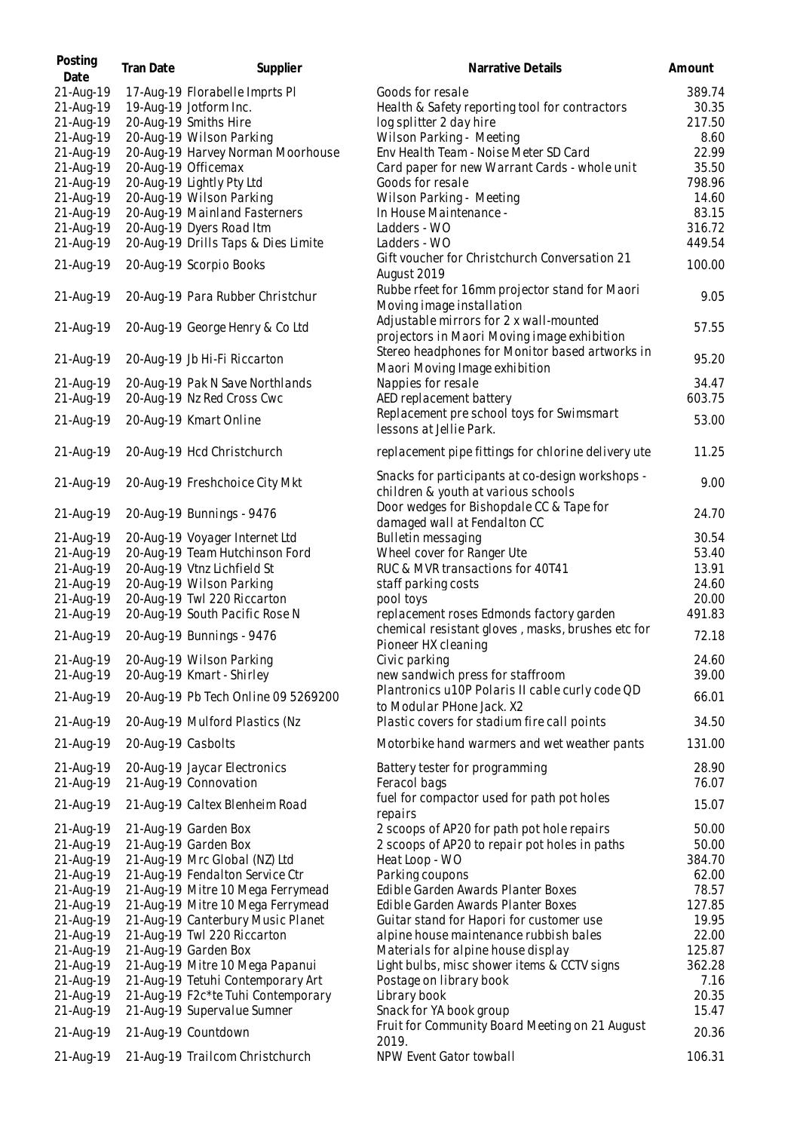| Posting<br>Date | Tran Date          | Supplier                            | Narrative Details                                                                       | Amount |
|-----------------|--------------------|-------------------------------------|-----------------------------------------------------------------------------------------|--------|
| 21-Aug-19       |                    | 17-Aug-19 Florabelle Imprts PI      | Goods for resale                                                                        | 389.74 |
| 21-Aug-19       |                    | 19-Aug-19 Jotform Inc.              | Health & Safety reporting tool for contractors                                          | 30.35  |
| 21-Aug-19       |                    | 20-Aug-19 Smiths Hire               | log splitter 2 day hire                                                                 | 217.50 |
| 21-Aug-19       |                    | 20-Aug-19 Wilson Parking            | Wilson Parking - Meeting                                                                | 8.60   |
| 21-Aug-19       |                    | 20-Aug-19 Harvey Norman Moorhouse   | Env Health Team - Noise Meter SD Card                                                   | 22.99  |
| 21-Aug-19       |                    | 20-Aug-19 Officemax                 | Card paper for new Warrant Cards - whole unit                                           | 35.50  |
| 21-Aug-19       |                    | 20-Aug-19 Lightly Pty Ltd           | Goods for resale                                                                        | 798.96 |
| 21-Aug-19       |                    | 20-Aug-19 Wilson Parking            | Wilson Parking - Meeting                                                                | 14.60  |
| 21-Aug-19       |                    | 20-Aug-19 Mainland Fasterners       | In House Maintenance -                                                                  | 83.15  |
| 21-Aug-19       |                    | 20-Aug-19 Dyers Road Itm            | Ladders - WO                                                                            | 316.72 |
| 21-Aug-19       |                    | 20-Aug-19 Drills Taps & Dies Limite | Ladders - WO                                                                            | 449.54 |
|                 |                    |                                     | Gift voucher for Christchurch Conversation 21                                           |        |
| 21-Aug-19       |                    | 20-Aug-19 Scorpio Books             | August 2019                                                                             | 100.00 |
| 21-Aug-19       |                    | 20-Aug-19 Para Rubber Christchur    | Rubbe rfeet for 16mm projector stand for Maori<br>Moving image installation             | 9.05   |
| 21-Aug-19       |                    | 20-Aug-19 George Henry & Co Ltd     | Adjustable mirrors for 2 x wall-mounted<br>projectors in Maori Moving image exhibition  | 57.55  |
| 21-Aug-19       |                    | 20-Aug-19 Jb Hi-Fi Riccarton        | Stereo headphones for Monitor based artworks in<br>Maori Moving Image exhibition        | 95.20  |
| 21-Aug-19       |                    | 20-Aug-19 Pak N Save Northlands     | Nappies for resale                                                                      | 34.47  |
| 21-Aug-19       |                    | 20-Aug-19 Nz Red Cross Cwc          | AED replacement battery                                                                 | 603.75 |
|                 |                    |                                     | Replacement pre school toys for Swimsmart                                               |        |
| 21-Aug-19       |                    | 20-Aug-19 Kmart Online              | lessons at Jellie Park.                                                                 | 53.00  |
| 21-Aug-19       |                    | 20-Aug-19 Hcd Christchurch          | replacement pipe fittings for chlorine delivery ute                                     | 11.25  |
| 21-Aug-19       |                    | 20-Aug-19 Freshchoice City Mkt      | Snacks for participants at co-design workshops -<br>children & youth at various schools | 9.00   |
| 21-Aug-19       |                    | 20-Aug-19 Bunnings - 9476           | Door wedges for Bishopdale CC & Tape for<br>damaged wall at Fendalton CC                | 24.70  |
| 21-Aug-19       |                    | 20-Aug-19 Voyager Internet Ltd      | Bulletin messaging                                                                      | 30.54  |
| 21-Aug-19       |                    | 20-Aug-19 Team Hutchinson Ford      | Wheel cover for Ranger Ute                                                              | 53.40  |
| 21-Aug-19       |                    | 20-Aug-19 Vtnz Lichfield St         | RUC & MVR transactions for 40T41                                                        | 13.91  |
| 21-Aug-19       |                    | 20-Aug-19 Wilson Parking            | staff parking costs                                                                     | 24.60  |
| 21-Aug-19       |                    | 20-Aug-19 Twl 220 Riccarton         | pool toys                                                                               | 20.00  |
| 21-Aug-19       |                    | 20-Aug-19 South Pacific Rose N      | replacement roses Edmonds factory garden                                                | 491.83 |
| 21-Aug-19       |                    | 20-Aug-19 Bunnings - 9476           | chemical resistant gloves, masks, brushes etc for                                       | 72.18  |
|                 |                    |                                     | Pioneer HX cleaning                                                                     |        |
| 21-Aug-19       |                    | 20-Aug-19 Wilson Parking            | Civic parking                                                                           | 24.60  |
| 21-Aug-19       |                    | 20-Aug-19 Kmart - Shirley           | new sandwich press for staffroom                                                        | 39.00  |
| 21-Aug-19       |                    | 20-Aug-19 Pb Tech Online 09 5269200 | Plantronics u10P Polaris II cable curly code QD<br>to Modular PHone Jack. X2            | 66.01  |
| 21-Aug-19       |                    | 20-Aug-19 Mulford Plastics (Nz      | Plastic covers for stadium fire call points                                             | 34.50  |
| 21-Aug-19       | 20-Aug-19 Casbolts |                                     | Motorbike hand warmers and wet weather pants                                            | 131.00 |
| 21-Aug-19       |                    | 20-Aug-19 Jaycar Electronics        | Battery tester for programming                                                          | 28.90  |
| 21-Aug-19       |                    | 21-Aug-19 Connovation               | Feracol bags                                                                            | 76.07  |
| 21-Aug-19       |                    | 21-Aug-19 Caltex Blenheim Road      | fuel for compactor used for path pot holes<br>repairs                                   | 15.07  |
| 21-Aug-19       |                    | 21-Aug-19 Garden Box                | 2 scoops of AP20 for path pot hole repairs                                              | 50.00  |
| 21-Aug-19       |                    | 21-Aug-19 Garden Box                | 2 scoops of AP20 to repair pot holes in paths                                           | 50.00  |
| 21-Aug-19       |                    | 21-Aug-19 Mrc Global (NZ) Ltd       | Heat Loop - WO                                                                          | 384.70 |
| 21-Aug-19       |                    | 21-Aug-19 Fendalton Service Ctr     | Parking coupons                                                                         | 62.00  |
| 21-Aug-19       |                    | 21-Aug-19 Mitre 10 Mega Ferrymead   | Edible Garden Awards Planter Boxes                                                      | 78.57  |
| 21-Aug-19       |                    | 21-Aug-19 Mitre 10 Mega Ferrymead   | Edible Garden Awards Planter Boxes                                                      | 127.85 |
| 21-Aug-19       |                    | 21-Aug-19 Canterbury Music Planet   | Guitar stand for Hapori for customer use                                                | 19.95  |
| 21-Aug-19       |                    | 21-Aug-19 Twl 220 Riccarton         | alpine house maintenance rubbish bales                                                  | 22.00  |
| 21-Aug-19       |                    | 21-Aug-19 Garden Box                | Materials for alpine house display                                                      | 125.87 |
| 21-Aug-19       |                    | 21-Aug-19 Mitre 10 Mega Papanui     | Light bulbs, misc shower items & CCTV signs                                             | 362.28 |
| 21-Aug-19       |                    | 21-Aug-19 Tetuhi Contemporary Art   | Postage on library book                                                                 | 7.16   |
| 21-Aug-19       |                    | 21-Aug-19 F2c*te Tuhi Contemporary  | Library book                                                                            | 20.35  |
| 21-Aug-19       |                    | 21-Aug-19 Supervalue Sumner         | Snack for YA book group                                                                 | 15.47  |
| 21-Aug-19       |                    | 21-Aug-19 Countdown                 | Fruit for Community Board Meeting on 21 August                                          | 20.36  |
| 21-Aug-19       |                    | 21-Aug-19 Trailcom Christchurch     | 2019.<br>NPW Event Gator towball                                                        | 106.31 |
|                 |                    |                                     |                                                                                         |        |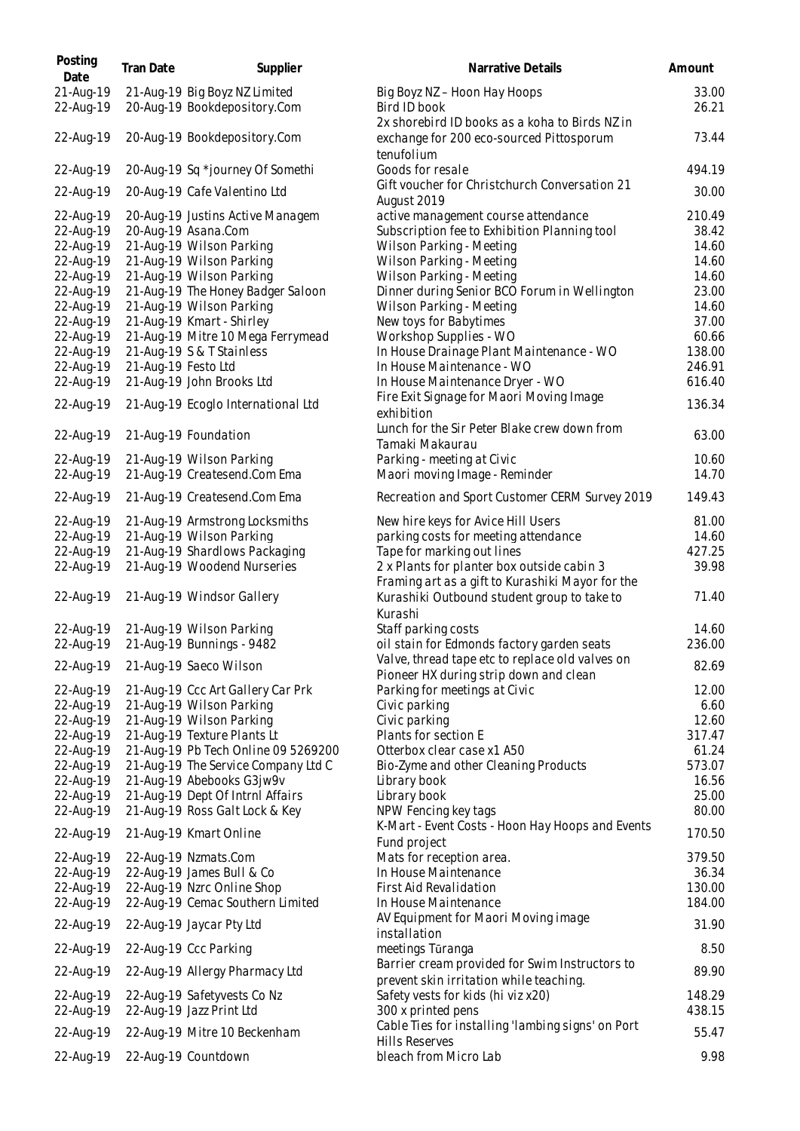| Posting<br>Date        | <b>Tran Date</b>    | Supplier                                                      | Narrative Details                                                                              | Amount         |
|------------------------|---------------------|---------------------------------------------------------------|------------------------------------------------------------------------------------------------|----------------|
| 21-Aug-19<br>22-Aug-19 |                     | 21-Aug-19 Big Boyz NZ Limited<br>20-Aug-19 Bookdepository.Com | Big Boyz NZ - Hoon Hay Hoops<br>Bird ID book                                                   | 33.00<br>26.21 |
| 22-Aug-19              |                     | 20-Aug-19 Bookdepository.Com                                  | 2x shorebird ID books as a koha to Birds NZ in<br>exchange for 200 eco-sourced Pittosporum     | 73.44          |
| 22-Aug-19              |                     | 20-Aug-19 Sq *journey Of Somethi                              | tenufolium<br>Goods for resale                                                                 | 494.19         |
| 22-Aug-19              |                     | 20-Aug-19 Cafe Valentino Ltd                                  | Gift voucher for Christchurch Conversation 21<br>August 2019                                   | 30.00          |
| 22-Aug-19              |                     | 20-Aug-19 Justins Active Managem                              | active management course attendance                                                            | 210.49         |
| 22-Aug-19              |                     | 20-Aug-19 Asana.Com                                           | Subscription fee to Exhibition Planning tool                                                   | 38.42          |
| 22-Aug-19              |                     | 21-Aug-19 Wilson Parking                                      | Wilson Parking - Meeting                                                                       | 14.60          |
| 22-Aug-19              |                     | 21-Aug-19 Wilson Parking                                      | Wilson Parking - Meeting                                                                       | 14.60          |
| 22-Aug-19              |                     | 21-Aug-19 Wilson Parking                                      | Wilson Parking - Meeting                                                                       | 14.60          |
| 22-Aug-19              |                     | 21-Aug-19 The Honey Badger Saloon                             | Dinner during Senior BCO Forum in Wellington                                                   | 23.00          |
| 22-Aug-19              |                     | 21-Aug-19 Wilson Parking                                      | Wilson Parking - Meeting                                                                       | 14.60          |
| 22-Aug-19              |                     | 21-Aug-19 Kmart - Shirley                                     | New toys for Babytimes                                                                         | 37.00          |
| 22-Aug-19              |                     | 21-Aug-19 Mitre 10 Mega Ferrymead                             | Workshop Supplies - WO                                                                         | 60.66          |
| 22-Aug-19              |                     | 21-Aug-19 S & T Stainless                                     | In House Drainage Plant Maintenance - WO                                                       | 138.00         |
| 22-Aug-19              | 21-Aug-19 Festo Ltd |                                                               | In House Maintenance - WO                                                                      | 246.91         |
| 22-Aug-19              |                     | 21-Aug-19 John Brooks Ltd                                     | In House Maintenance Dryer - WO                                                                | 616.40         |
| 22-Aug-19              |                     | 21-Aug-19 Ecoglo International Ltd                            | Fire Exit Signage for Maori Moving Image<br>exhibition                                         | 136.34         |
| 22-Aug-19              |                     | 21-Aug-19 Foundation                                          | Lunch for the Sir Peter Blake crew down from<br>Tamaki Makaurau                                | 63.00          |
| 22-Aug-19              |                     | 21-Aug-19 Wilson Parking                                      | Parking - meeting at Civic                                                                     | 10.60          |
| 22-Aug-19              |                     | 21-Aug-19 Createsend.Com Ema                                  | Maori moving Image - Reminder                                                                  | 14.70          |
| 22-Aug-19              |                     | 21-Aug-19 Createsend.Com Ema                                  | Recreation and Sport Customer CERM Survey 2019                                                 | 149.43         |
| 22-Aug-19              |                     | 21-Aug-19 Armstrong Locksmiths                                | New hire keys for Avice Hill Users                                                             | 81.00          |
| 22-Aug-19              |                     | 21-Aug-19 Wilson Parking                                      | parking costs for meeting attendance                                                           | 14.60          |
| 22-Aug-19              |                     | 21-Aug-19 Shardlows Packaging                                 | Tape for marking out lines                                                                     | 427.25         |
| 22-Aug-19              |                     | 21-Aug-19 Woodend Nurseries                                   | 2 x Plants for planter box outside cabin 3<br>Framing art as a gift to Kurashiki Mayor for the | 39.98          |
| 22-Aug-19              |                     | 21-Aug-19 Windsor Gallery                                     | Kurashiki Outbound student group to take to<br>Kurashi                                         | 71.40          |
| 22-Aug-19              |                     | 21-Aug-19 Wilson Parking                                      | Staff parking costs                                                                            | 14.60          |
| 22-Aug-19              |                     | 21-Aug-19 Bunnings - 9482                                     | oil stain for Edmonds factory garden seats                                                     | 236.00         |
| 22-Aug-19              |                     | 21-Aug-19 Saeco Wilson                                        | Valve, thread tape etc to replace old valves on<br>Pioneer HX during strip down and clean      | 82.69          |
| 22-Aug-19              |                     | 21-Aug-19 Ccc Art Gallery Car Prk                             | Parking for meetings at Civic                                                                  | 12.00          |
| 22-Aug-19              |                     | 21-Aug-19 Wilson Parking                                      | Civic parking                                                                                  | 6.60           |
| 22-Aug-19              |                     | 21-Aug-19 Wilson Parking                                      | Civic parking                                                                                  | 12.60          |
| 22-Aug-19              |                     | 21-Aug-19 Texture Plants Lt                                   | Plants for section E                                                                           | 317.47         |
| 22-Aug-19              |                     | 21-Aug-19 Pb Tech Online 09 5269200                           | Otterbox clear case x1 A50                                                                     | 61.24          |
| 22-Aug-19              |                     | 21-Aug-19 The Service Company Ltd C                           | Bio-Zyme and other Cleaning Products                                                           | 573.07         |
| 22-Aug-19              |                     | 21-Aug-19 Abebooks G3jw9v                                     | Library book                                                                                   | 16.56          |
| 22-Aug-19              |                     | 21-Aug-19 Dept Of Intrnl Affairs                              | Library book                                                                                   | 25.00          |
| 22-Aug-19              |                     | 21-Aug-19 Ross Galt Lock & Key                                | NPW Fencing key tags                                                                           | 80.00          |
| 22-Aug-19              |                     | 21-Aug-19 Kmart Online                                        | K-Mart - Event Costs - Hoon Hay Hoops and Events<br>Fund project                               | 170.50         |
| 22-Aug-19              |                     | 22-Aug-19 Nzmats.Com                                          | Mats for reception area.                                                                       | 379.50         |
| 22-Aug-19              |                     | 22-Aug-19 James Bull & Co                                     | In House Maintenance                                                                           | 36.34          |
| 22-Aug-19              |                     | 22-Aug-19 Nzrc Online Shop                                    | First Aid Revalidation                                                                         | 130.00         |
| 22-Aug-19              |                     | 22-Aug-19 Cemac Southern Limited                              | In House Maintenance                                                                           | 184.00         |
| 22-Aug-19              |                     | 22-Aug-19 Jaycar Pty Ltd                                      | AV Equipment for Maori Moving image                                                            | 31.90          |
| 22-Aug-19              |                     | 22-Aug-19 Ccc Parking                                         | installation<br>meetings Tūranga                                                               | 8.50           |
| 22-Aug-19              |                     | 22-Aug-19 Allergy Pharmacy Ltd                                | Barrier cream provided for Swim Instructors to                                                 | 89.90          |
|                        |                     |                                                               | prevent skin irritation while teaching.                                                        |                |
| 22-Aug-19              |                     | 22-Aug-19 Safetyvests Co Nz                                   | Safety vests for kids (hi viz x20)                                                             | 148.29         |
| 22-Aug-19              |                     | 22-Aug-19 Jazz Print Ltd                                      | 300 x printed pens                                                                             | 438.15         |
| 22-Aug-19              |                     | 22-Aug-19 Mitre 10 Beckenham                                  | Cable Ties for installing 'lambing signs' on Port<br><b>Hills Reserves</b>                     | 55.47          |
| 22-Aug-19              |                     | 22-Aug-19 Countdown                                           | bleach from Micro Lab                                                                          | 9.98           |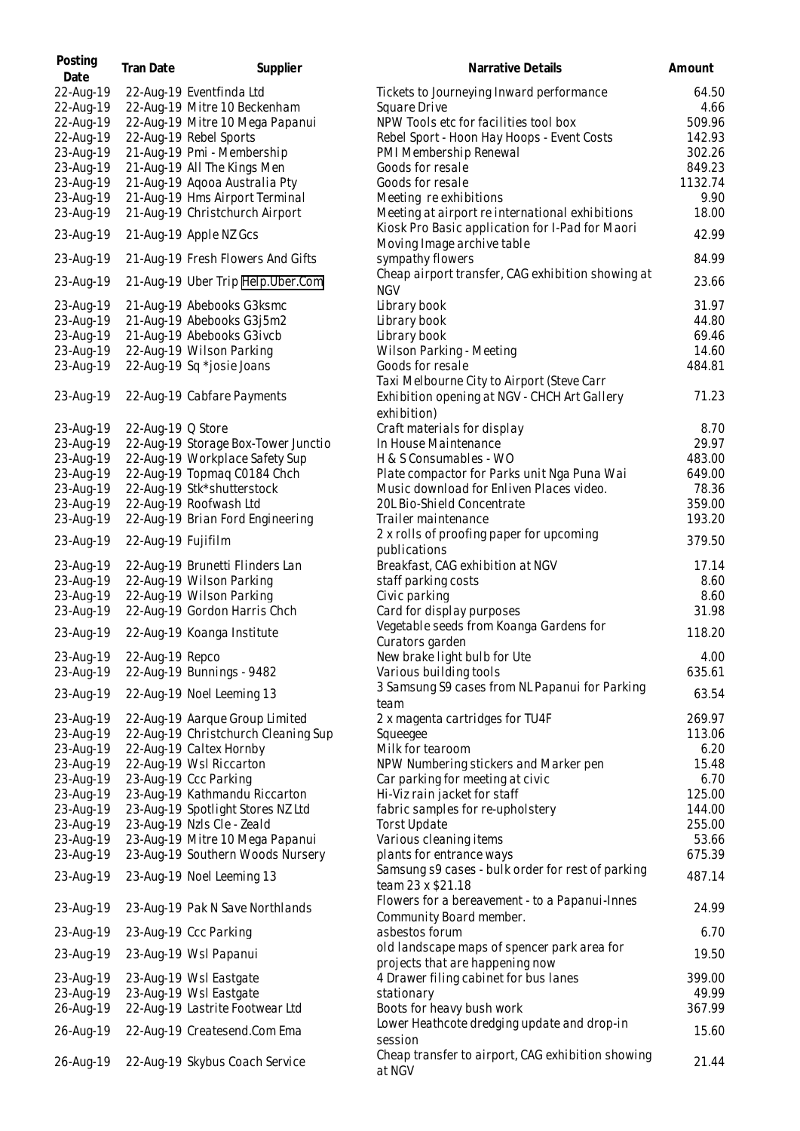| Posting<br>Date | <b>Tran Date</b>   | Supplier                            | Narrative Details                                                              | Amount  |
|-----------------|--------------------|-------------------------------------|--------------------------------------------------------------------------------|---------|
| 22-Aug-19       |                    | 22-Aug-19 Eventfinda Ltd            | Tickets to Journeying Inward performance                                       | 64.50   |
| 22-Aug-19       |                    | 22-Aug-19 Mitre 10 Beckenham        | Square Drive                                                                   | 4.66    |
| 22-Aug-19       |                    | 22-Aug-19 Mitre 10 Mega Papanui     | NPW Tools etc for facilities tool box                                          | 509.96  |
| 22-Aug-19       |                    | 22-Aug-19 Rebel Sports              | Rebel Sport - Hoon Hay Hoops - Event Costs                                     | 142.93  |
| 23-Aug-19       |                    | 21-Aug-19 Pmi - Membership          | PMI Membership Renewal                                                         | 302.26  |
| 23-Aug-19       |                    | 21-Aug-19 All The Kings Men         | Goods for resale                                                               | 849.23  |
| 23-Aug-19       |                    | 21-Aug-19 Agooa Australia Pty       | Goods for resale                                                               | 1132.74 |
| 23-Aug-19       |                    | 21-Aug-19 Hms Airport Terminal      | Meeting re exhibitions                                                         | 9.90    |
| 23-Aug-19       |                    | 21-Aug-19 Christchurch Airport      | Meeting at airport re international exhibitions                                | 18.00   |
| 23-Aug-19       |                    | 21-Aug-19 Apple NZ Gcs              | Kiosk Pro Basic application for I-Pad for Maori<br>Moving Image archive table  | 42.99   |
| 23-Aug-19       |                    | 21-Aug-19 Fresh Flowers And Gifts   | sympathy flowers                                                               | 84.99   |
| 23-Aug-19       |                    | 21-Aug-19 Uber Trip Help.Uber.Com   | Cheap airport transfer, CAG exhibition showing at<br><b>NGV</b>                | 23.66   |
| 23-Aug-19       |                    | 21-Aug-19 Abebooks G3ksmc           | Library book                                                                   | 31.97   |
| 23-Aug-19       |                    | 21-Aug-19 Abebooks G3j5m2           | Library book                                                                   | 44.80   |
| 23-Aug-19       |                    | 21-Aug-19 Abebooks G3ivcb           | Library book                                                                   | 69.46   |
| 23-Aug-19       |                    | 22-Aug-19 Wilson Parking            | Wilson Parking - Meeting                                                       | 14.60   |
| 23-Aug-19       |                    | 22-Aug-19 Sq *josie Joans           | Goods for resale                                                               | 484.81  |
|                 |                    |                                     | Taxi Melbourne City to Airport (Steve Carr                                     |         |
| 23-Aug-19       |                    | 22-Aug-19 Cabfare Payments          | Exhibition opening at NGV - CHCH Art Gallery                                   | 71.23   |
|                 |                    |                                     | exhibition)                                                                    |         |
| 23-Aug-19       | 22-Aug-19 Q Store  |                                     | Craft materials for display                                                    | 8.70    |
| 23-Aug-19       |                    | 22-Aug-19 Storage Box-Tower Junctio | In House Maintenance                                                           | 29.97   |
| 23-Aug-19       |                    | 22-Aug-19 Workplace Safety Sup      | H & S Consumables - WO                                                         | 483.00  |
| 23-Aug-19       |                    | 22-Aug-19 Topmaq C0184 Chch         | Plate compactor for Parks unit Nga Puna Wai                                    | 649.00  |
| 23-Aug-19       |                    | 22-Aug-19 Stk*shutterstock          | Music download for Enliven Places video.                                       | 78.36   |
| 23-Aug-19       |                    | 22-Aug-19 Roofwash Ltd              | 20L Bio-Shield Concentrate                                                     | 359.00  |
| 23-Aug-19       |                    | 22-Aug-19 Brian Ford Engineering    | Trailer maintenance                                                            | 193.20  |
| 23-Aug-19       | 22-Aug-19 Fujifilm |                                     | 2 x rolls of proofing paper for upcoming<br>publications                       | 379.50  |
| 23-Aug-19       |                    | 22-Aug-19 Brunetti Flinders Lan     | Breakfast, CAG exhibition at NGV                                               | 17.14   |
| 23-Aug-19       |                    | 22-Aug-19 Wilson Parking            | staff parking costs                                                            | 8.60    |
| 23-Aug-19       |                    | 22-Aug-19 Wilson Parking            | Civic parking                                                                  | 8.60    |
| 23-Aug-19       |                    | 22-Aug-19 Gordon Harris Chch        | Card for display purposes                                                      | 31.98   |
| 23-Aug-19       |                    | 22-Aug-19 Koanga Institute          | Vegetable seeds from Koanga Gardens for                                        | 118.20  |
|                 |                    |                                     | Curators garden                                                                |         |
| 23-Aug-19       | 22-Aug-19 Repco    |                                     | New brake light bulb for Ute                                                   | 4.00    |
| 23-Aug-19       |                    | 22-Aug-19 Bunnings - 9482           | Various building tools                                                         | 635.61  |
| 23-Aug-19       |                    | 22-Aug-19 Noel Leeming 13           | 3 Samsung S9 cases from NL Papanui for Parking<br>team                         | 63.54   |
| 23-Aug-19       |                    | 22-Aug-19 Aarque Group Limited      | 2 x magenta cartridges for TU4F                                                | 269.97  |
| 23-Aug-19       |                    | 22-Aug-19 Christchurch Cleaning Sup | Squeegee                                                                       | 113.06  |
| 23-Aug-19       |                    | 22-Aug-19 Caltex Hornby             | Milk for tearoom                                                               | 6.20    |
| 23-Aug-19       |                    | 22-Aug-19 Wsl Riccarton             | NPW Numbering stickers and Marker pen                                          | 15.48   |
| 23-Aug-19       |                    | 23-Aug-19 Ccc Parking               | Car parking for meeting at civic                                               | 6.70    |
| 23-Aug-19       |                    | 23-Aug-19 Kathmandu Riccarton       | Hi-Viz rain jacket for staff                                                   | 125.00  |
| 23-Aug-19       |                    | 23-Aug-19 Spotlight Stores NZ Ltd   | fabric samples for re-upholstery                                               | 144.00  |
| 23-Aug-19       |                    | 23-Aug-19 Nzls Cle - Zeald          | <b>Torst Update</b>                                                            | 255.00  |
| 23-Aug-19       |                    | 23-Aug-19 Mitre 10 Mega Papanui     | Various cleaning items                                                         | 53.66   |
| 23-Aug-19       |                    | 23-Aug-19 Southern Woods Nursery    | plants for entrance ways                                                       | 675.39  |
|                 |                    |                                     | Samsung s9 cases - bulk order for rest of parking                              |         |
| 23-Aug-19       |                    | 23-Aug-19 Noel Leeming 13           | team 23 x \$21.18                                                              | 487.14  |
| 23-Aug-19       |                    | 23-Aug-19 Pak N Save Northlands     | Flowers for a bereavement - to a Papanui-Innes<br>Community Board member.      | 24.99   |
| 23-Aug-19       |                    | 23-Aug-19 Ccc Parking               | asbestos forum                                                                 | 6.70    |
| 23-Aug-19       |                    | 23-Aug-19 Wsl Papanui               | old landscape maps of spencer park area for<br>projects that are happening now | 19.50   |
| 23-Aug-19       |                    | 23-Aug-19 Wsl Eastgate              | 4 Drawer filing cabinet for bus lanes                                          | 399.00  |
| 23-Aug-19       |                    | 23-Aug-19 Wsl Eastgate              | stationary                                                                     | 49.99   |
| 26-Aug-19       |                    | 22-Aug-19 Lastrite Footwear Ltd     | Boots for heavy bush work                                                      | 367.99  |
| 26-Aug-19       |                    | 22-Aug-19 Createsend.Com Ema        | Lower Heathcote dredging update and drop-in                                    | 15.60   |
| 26-Aug-19       |                    | 22-Aug-19 Skybus Coach Service      | session<br>Cheap transfer to airport, CAG exhibition showing<br>at NGV         | 21.44   |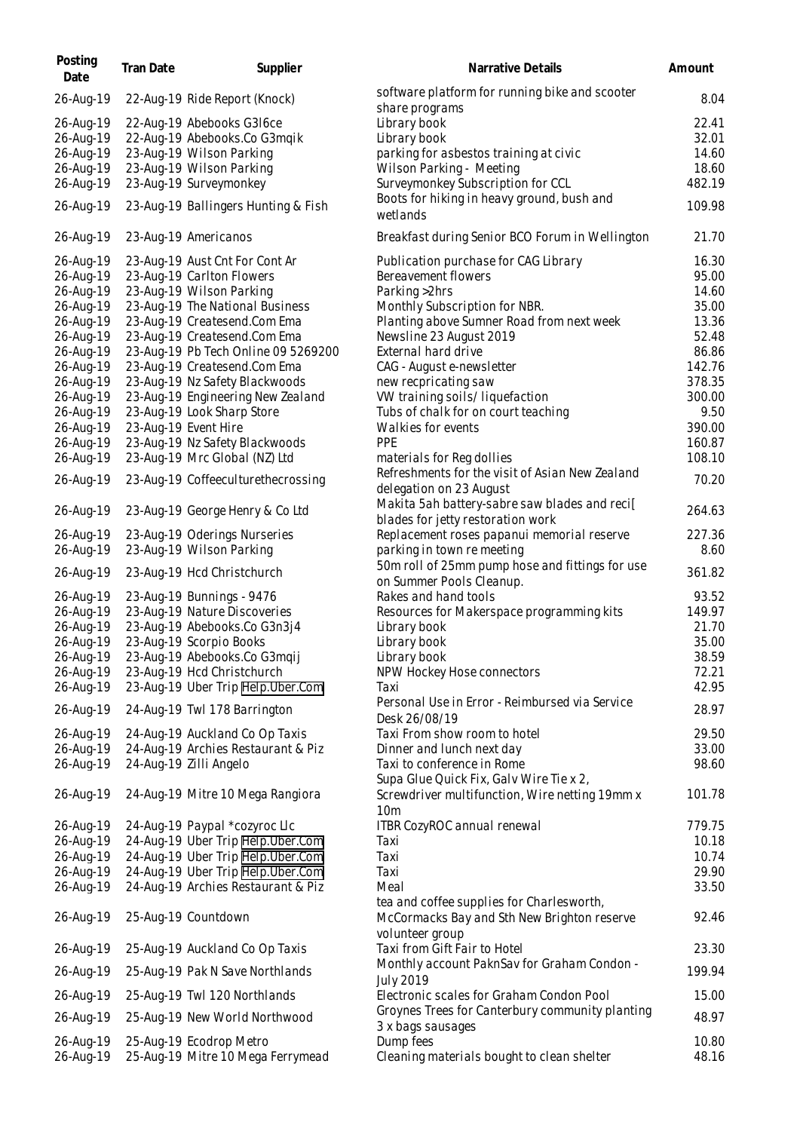| Posting<br>Date | Tran Date | Supplier                            | Narrative Details                                                | Amount |
|-----------------|-----------|-------------------------------------|------------------------------------------------------------------|--------|
| 26-Aug-19       |           | 22-Aug-19 Ride Report (Knock)       | software platform for running bike and scooter<br>share programs | 8.04   |
| 26-Aug-19       |           | 22-Aug-19 Abebooks G316ce           | Library book                                                     | 22.41  |
| 26-Aug-19       |           | 22-Aug-19 Abebooks.Co G3mqik        | Library book                                                     | 32.01  |
| 26-Aug-19       |           | 23-Aug-19 Wilson Parking            | parking for asbestos training at civic                           | 14.60  |
|                 |           |                                     |                                                                  |        |
| 26-Aug-19       |           | 23-Aug-19 Wilson Parking            | Wilson Parking - Meeting                                         | 18.60  |
| 26-Aug-19       |           | 23-Aug-19 Surveymonkey              | Surveymonkey Subscription for CCL                                | 482.19 |
| 26-Aug-19       |           | 23-Aug-19 Ballingers Hunting & Fish | Boots for hiking in heavy ground, bush and<br>wetlands           | 109.98 |
| 26-Aug-19       |           | 23-Aug-19 Americanos                | Breakfast during Senior BCO Forum in Wellington                  | 21.70  |
| 26-Aug-19       |           | 23-Aug-19 Aust Cnt For Cont Ar      | Publication purchase for CAG Library                             | 16.30  |
| 26-Aug-19       |           | 23-Aug-19 Carlton Flowers           | Bereavement flowers                                              | 95.00  |
| 26-Aug-19       |           | 23-Aug-19 Wilson Parking            | Parking > 2hrs                                                   | 14.60  |
| 26-Aug-19       |           | 23-Aug-19 The National Business     | Monthly Subscription for NBR.                                    | 35.00  |
| 26-Aug-19       |           | 23-Aug-19 Createsend.Com Ema        | Planting above Sumner Road from next week                        | 13.36  |
| 26-Aug-19       |           | 23-Aug-19 Createsend.Com Ema        | Newsline 23 August 2019                                          | 52.48  |
| 26-Aug-19       |           | 23-Aug-19 Pb Tech Online 09 5269200 | External hard drive                                              | 86.86  |
| 26-Aug-19       |           | 23-Aug-19 Createsend.Com Ema        | CAG - August e-newsletter                                        | 142.76 |
|                 |           | 23-Aug-19 Nz Safety Blackwoods      | new recpricating saw                                             | 378.35 |
| 26-Aug-19       |           |                                     |                                                                  |        |
| 26-Aug-19       |           | 23-Aug-19 Engineering New Zealand   | VW training soils/liquefaction                                   | 300.00 |
| 26-Aug-19       |           | 23-Aug-19 Look Sharp Store          | Tubs of chalk for on court teaching                              | 9.50   |
| 26-Aug-19       |           | 23-Aug-19 Event Hire                | Walkies for events                                               | 390.00 |
| 26-Aug-19       |           | 23-Aug-19 Nz Safety Blackwoods      | PPE                                                              | 160.87 |
| 26-Aug-19       |           | 23-Aug-19 Mrc Global (NZ) Ltd       | materials for Reg dollies                                        | 108.10 |
| 26-Aug-19       |           | 23-Aug-19 Coffeeculturethecrossing  | Refreshments for the visit of Asian New Zealand                  | 70.20  |
|                 |           |                                     | delegation on 23 August                                          |        |
|                 |           |                                     | Makita 5ah battery-sabre saw blades and reci[                    | 264.63 |
| 26-Aug-19       |           | 23-Aug-19 George Henry & Co Ltd     | blades for jetty restoration work                                |        |
| 26-Aug-19       |           | 23-Aug-19 Oderings Nurseries        | Replacement roses papanui memorial reserve                       | 227.36 |
| 26-Aug-19       |           | 23-Aug-19 Wilson Parking            | parking in town re meeting                                       | 8.60   |
|                 |           |                                     | 50m roll of 25mm pump hose and fittings for use                  |        |
| 26-Aug-19       |           | 23-Aug-19 Hcd Christchurch          | on Summer Pools Cleanup.                                         | 361.82 |
| 26-Aug-19       |           | 23-Aug-19 Bunnings - 9476           | Rakes and hand tools                                             | 93.52  |
|                 |           |                                     |                                                                  | 149.97 |
| 26-Aug-19       |           | 23-Aug-19 Nature Discoveries        | Resources for Makerspace programming kits                        |        |
| 26-Aug-19       |           | 23-Aug-19 Abebooks.Co G3n3j4        | Library book                                                     | 21.70  |
| 26-Aug-19       |           | 23-Aug-19 Scorpio Books             | Library book                                                     | 35.00  |
| 26-Aug-19       |           | 23-Aug-19 Abebooks.Co G3mqij        | Library book                                                     | 38.59  |
| 26-Aug-19       |           | 23-Aug-19 Hcd Christchurch          | NPW Hockey Hose connectors                                       | 72.21  |
| 26-Aug-19       |           | 23-Aug-19 Uber Trip Help. Uber. Com | Taxi                                                             | 42.95  |
| 26-Aug-19       |           | 24-Aug-19 Twl 178 Barrington        | Personal Use in Error - Reimbursed via Service<br>Desk 26/08/19  | 28.97  |
| 26-Aug-19       |           | 24-Aug-19 Auckland Co Op Taxis      | Taxi From show room to hotel                                     | 29.50  |
| 26-Aug-19       |           | 24-Aug-19 Archies Restaurant & Piz  | Dinner and lunch next day                                        | 33.00  |
| 26-Aug-19       |           | 24-Aug-19 Zilli Angelo              | Taxi to conference in Rome                                       | 98.60  |
|                 |           |                                     | Supa Glue Quick Fix, Galv Wire Tie x 2,                          |        |
| 26-Aug-19       |           | 24-Aug-19 Mitre 10 Mega Rangiora    | Screwdriver multifunction, Wire netting 19mm x                   | 101.78 |
|                 |           |                                     | 10 <sub>m</sub>                                                  |        |
| 26-Aug-19       |           | 24-Aug-19 Paypal *cozyroc Llc       | ITBR CozyROC annual renewal                                      | 779.75 |
| 26-Aug-19       |           | 24-Aug-19 Uber Trip Help.Uber.Com   | Taxi                                                             | 10.18  |
| 26-Aug-19       |           | 24-Aug-19 Uber Trip Help.Uber.Com   | Taxi                                                             | 10.74  |
| 26-Aug-19       |           | 24-Aug-19 Uber Trip Help.Uber.Com   | Taxi                                                             | 29.90  |
| 26-Aug-19       |           | 24-Aug-19 Archies Restaurant & Piz  | Meal                                                             | 33.50  |
|                 |           |                                     | tea and coffee supplies for Charlesworth,                        |        |
| 26-Aug-19       |           | 25-Aug-19 Countdown                 | McCormacks Bay and Sth New Brighton reserve<br>volunteer group   | 92.46  |
| 26-Aug-19       |           | 25-Aug-19 Auckland Co Op Taxis      | Taxi from Gift Fair to Hotel                                     | 23.30  |
| 26-Aug-19       |           | 25-Aug-19 Pak N Save Northlands     | Monthly account PaknSav for Graham Condon -                      | 199.94 |
| 26-Aug-19       |           | 25-Aug-19 Twl 120 Northlands        | <b>July 2019</b><br>Electronic scales for Graham Condon Pool     | 15.00  |
| 26-Aug-19       |           | 25-Aug-19 New World Northwood       | Groynes Trees for Canterbury community planting                  | 48.97  |
|                 |           |                                     | 3 x bags sausages                                                |        |
| 26-Aug-19       |           | 25-Aug-19 Ecodrop Metro             | Dump fees                                                        | 10.80  |
| 26-Aug-19       |           | 25-Aug-19 Mitre 10 Mega Ferrymead   | Cleaning materials bought to clean shelter                       | 48.16  |